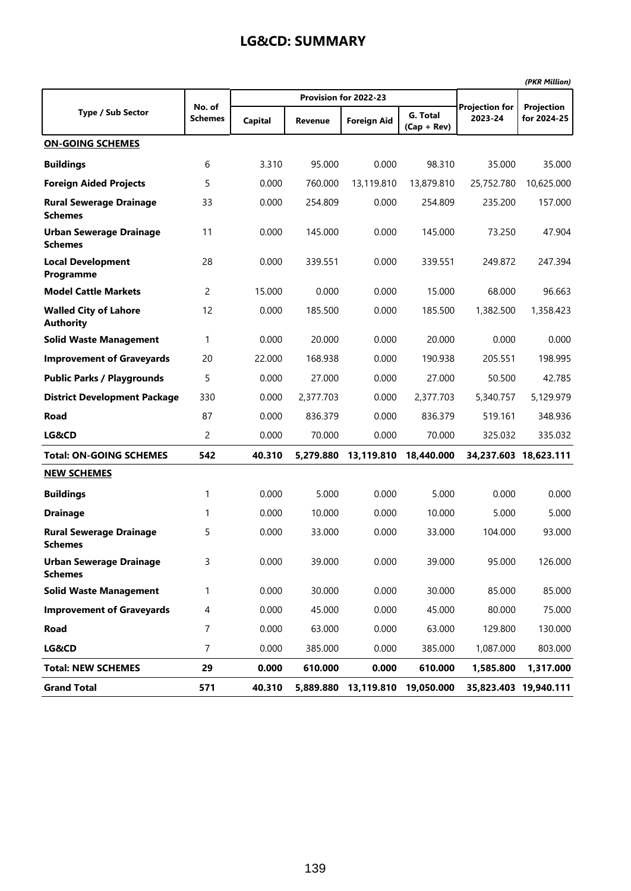|                                                  |                |         |                |                       |                           |                                  | (PKR Million)             |
|--------------------------------------------------|----------------|---------|----------------|-----------------------|---------------------------|----------------------------------|---------------------------|
|                                                  | No. of         |         |                | Provision for 2022-23 |                           |                                  |                           |
| <b>Type / Sub Sector</b>                         | <b>Schemes</b> | Capital | <b>Revenue</b> | <b>Foreign Aid</b>    | G. Total<br>$(Cap + Rev)$ | <b>Projection for</b><br>2023-24 | Projection<br>for 2024-25 |
| <b>ON-GOING SCHEMES</b>                          |                |         |                |                       |                           |                                  |                           |
| <b>Buildings</b>                                 | 6              | 3.310   | 95.000         | 0.000                 | 98.310                    | 35.000                           | 35.000                    |
| <b>Foreign Aided Projects</b>                    | 5              | 0.000   | 760.000        | 13,119.810            | 13,879.810                | 25,752.780                       | 10,625.000                |
| <b>Rural Sewerage Drainage</b><br><b>Schemes</b> | 33             | 0.000   | 254.809        | 0.000                 | 254.809                   | 235.200                          | 157.000                   |
| <b>Urban Sewerage Drainage</b><br><b>Schemes</b> | 11             | 0.000   | 145.000        | 0.000                 | 145.000                   | 73.250                           | 47.904                    |
| <b>Local Development</b><br>Programme            | 28             | 0.000   | 339.551        | 0.000                 | 339.551                   | 249.872                          | 247.394                   |
| <b>Model Cattle Markets</b>                      | 2              | 15.000  | 0.000          | 0.000                 | 15.000                    | 68.000                           | 96.663                    |
| <b>Walled City of Lahore</b><br><b>Authority</b> | 12             | 0.000   | 185.500        | 0.000                 | 185.500                   | 1,382.500                        | 1,358.423                 |
| <b>Solid Waste Management</b>                    | 1              | 0.000   | 20.000         | 0.000                 | 20.000                    | 0.000                            | 0.000                     |
| <b>Improvement of Graveyards</b>                 | 20             | 22.000  | 168.938        | 0.000                 | 190.938                   | 205.551                          | 198.995                   |
| <b>Public Parks / Playgrounds</b>                | 5              | 0.000   | 27.000         | 0.000                 | 27.000                    | 50.500                           | 42.785                    |
| <b>District Development Package</b>              | 330            | 0.000   | 2,377.703      | 0.000                 | 2,377.703                 | 5,340.757                        | 5,129.979                 |
| Road                                             | 87             | 0.000   | 836.379        | 0.000                 | 836.379                   | 519.161                          | 348.936                   |
| LG&CD                                            | 2              | 0.000   | 70.000         | 0.000                 | 70.000                    | 325.032                          | 335.032                   |
| <b>Total: ON-GOING SCHEMES</b>                   | 542            | 40.310  | 5,279.880      | 13,119.810            | 18,440.000                |                                  | 34,237.603 18,623.111     |
| <b>NEW SCHEMES</b>                               |                |         |                |                       |                           |                                  |                           |
| <b>Buildings</b>                                 | 1              | 0.000   | 5.000          | 0.000                 | 5.000                     | 0.000                            | 0.000                     |
| <b>Drainage</b>                                  | 1              | 0.000   | 10.000         | 0.000                 | 10.000                    | 5.000                            | 5.000                     |
| <b>Rural Sewerage Drainage</b><br><b>Schemes</b> | 5              | 0.000   | 33.000         | 0.000                 | 33.000                    | 104.000                          | 93.000                    |
| <b>Urban Sewerage Drainage</b><br><b>Schemes</b> | 3              | 0.000   | 39.000         | 0.000                 | 39.000                    | 95.000                           | 126.000                   |
| <b>Solid Waste Management</b>                    | 1              | 0.000   | 30.000         | 0.000                 | 30.000                    | 85.000                           | 85.000                    |
| <b>Improvement of Graveyards</b>                 | 4              | 0.000   | 45.000         | 0.000                 | 45.000                    | 80.000                           | 75.000                    |
| Road                                             | $\overline{7}$ | 0.000   | 63.000         | 0.000                 | 63.000                    | 129.800                          | 130.000                   |
| LG&CD                                            | $\overline{7}$ | 0.000   | 385.000        | 0.000                 | 385.000                   | 1,087.000                        | 803.000                   |
| <b>Total: NEW SCHEMES</b>                        | 29             | 0.000   | 610.000        | 0.000                 | 610.000                   | 1,585.800                        | 1,317.000                 |
| <b>Grand Total</b>                               | 571            | 40.310  | 5,889.880      | 13,119.810            | 19,050.000                |                                  | 35,823.403 19,940.111     |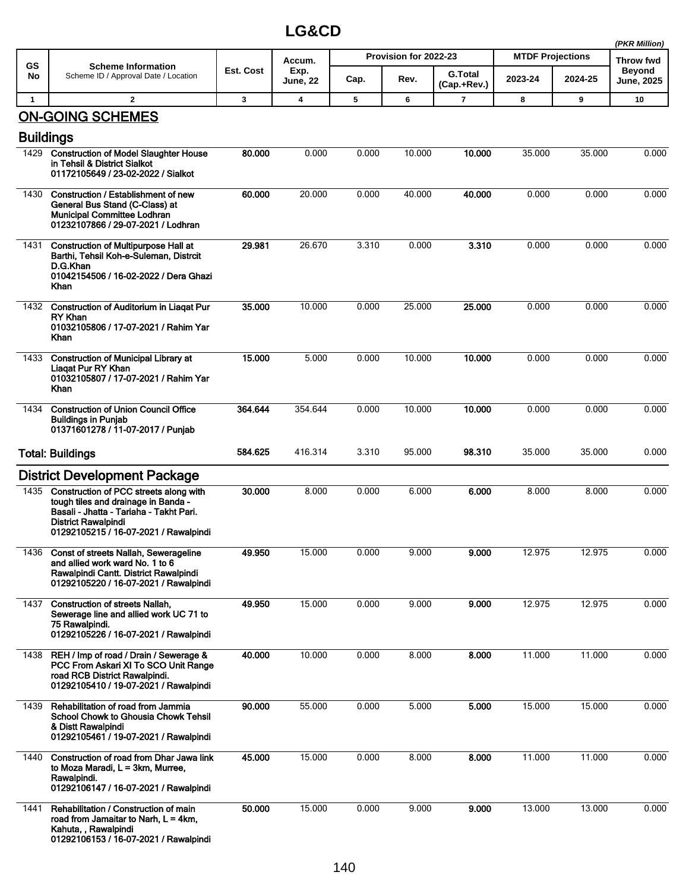|              |                                                                                                                                                                                                 |           |                         |       |                       |                |                         |         | (PKR Million)                     |
|--------------|-------------------------------------------------------------------------------------------------------------------------------------------------------------------------------------------------|-----------|-------------------------|-------|-----------------------|----------------|-------------------------|---------|-----------------------------------|
| GS           | <b>Scheme Information</b>                                                                                                                                                                       | Est. Cost | Accum.<br>Exp.          |       | Provision for 2022-23 | <b>G.Total</b> | <b>MTDF Projections</b> |         | <b>Throw fwd</b><br><b>Beyond</b> |
| No           | Scheme ID / Approval Date / Location                                                                                                                                                            |           | <b>June, 22</b>         | Cap.  | Rev.                  | (Cap.+Rev.)    | 2023-24                 | 2024-25 | <b>June, 2025</b>                 |
| $\mathbf{1}$ | $\overline{2}$                                                                                                                                                                                  | 3         | $\overline{\mathbf{4}}$ | 5     | 6                     | 7              | 8                       | 9       | 10                                |
|              | <b>ON-GOING SCHEMES</b><br><b>Buildings</b>                                                                                                                                                     |           |                         |       |                       |                |                         |         |                                   |
|              |                                                                                                                                                                                                 |           |                         |       |                       |                |                         |         |                                   |
| 1429         | <b>Construction of Model Slaughter House</b><br>in Tehsil & District Sialkot<br>01172105649 / 23-02-2022 / Sialkot                                                                              | 80.000    | 0.000                   | 0.000 | 10.000                | 10.000         | 35.000                  | 35.000  | 0.000                             |
| 1430         | Construction / Establishment of new<br>General Bus Stand (C-Class) at<br><b>Municipal Committee Lodhran</b><br>01232107866 / 29-07-2021 / Lodhran                                               | 60.000    | 20.000                  | 0.000 | 40.000                | 40,000         | 0.000                   | 0.000   | 0.000                             |
| 1431         | <b>Construction of Multipurpose Hall at</b><br>Barthi, Tehsil Koh-e-Suleman, Distrcit<br>D.G.Khan<br>01042154506 / 16-02-2022 / Dera Ghazi<br>Khan                                              | 29.981    | 26.670                  | 3.310 | 0.000                 | 3.310          | 0.000                   | 0.000   | 0.000                             |
|              | 1432 Construction of Auditorium in Liagat Pur<br>RY Khan<br>01032105806 / 17-07-2021 / Rahim Yar<br>Khan                                                                                        | 35.000    | 10.000                  | 0.000 | 25.000                | 25.000         | 0.000                   | 0.000   | 0.000                             |
| 1433         | <b>Construction of Municipal Library at</b><br>Liagat Pur RY Khan<br>01032105807 / 17-07-2021 / Rahim Yar<br>Khan                                                                               | 15.000    | 5.000                   | 0.000 | 10.000                | 10.000         | 0.000                   | 0.000   | 0.000                             |
| 1434         | <b>Construction of Union Council Office</b><br><b>Buildings in Punjab</b><br>01371601278 / 11-07-2017 / Punjab                                                                                  | 364.644   | 354.644                 | 0.000 | 10.000                | 10.000         | 0.000                   | 0.000   | 0.000                             |
|              | <b>Total: Buildings</b>                                                                                                                                                                         | 584.625   | 416.314                 | 3.310 | 95.000                | 98.310         | 35.000                  | 35.000  | 0.000                             |
|              | <b>District Development Package</b>                                                                                                                                                             |           |                         |       |                       |                |                         |         |                                   |
| 1435         | Construction of PCC streets along with<br>tough tiles and drainage in Banda -<br>Basali - Jhatta - Tariaha - Takht Pari.<br><b>District Rawalpindi</b><br>01292105215 / 16-07-2021 / Rawalpindi | 30.000    | 8.000                   | 0.000 | 6.000                 | 6.000          | 8.000                   | 8.000   | 0.000                             |
|              | 1436 Const of streets Nallah, Sewerageline<br>and allied work ward No. 1 to 6<br>Rawalpindi Cantt. District Rawalpindi<br>01292105220 / 16-07-2021 / Rawalpindi                                 | 49.950    | 15.000                  | 0.000 | 9.000                 | 9.000          | 12.975                  | 12.975  | 0.000                             |
| 1437         | <b>Construction of streets Nallah.</b><br>Sewerage line and allied work UC 71 to<br>75 Rawalpindi.<br>01292105226 / 16-07-2021 / Rawalpindi                                                     | 49.950    | 15.000                  | 0.000 | 9.000                 | 9.000          | 12.975                  | 12.975  | 0.000                             |
| 1438         | REH / Imp of road / Drain / Sewerage &<br>PCC From Askari XI To SCO Unit Range<br>road RCB District Rawalpindi.<br>01292105410 / 19-07-2021 / Rawalpindi                                        | 40.000    | 10.000                  | 0.000 | 8.000                 | 8.000          | 11.000                  | 11.000  | 0.000                             |
| 1439         | Rehabilitation of road from Jammia<br><b>School Chowk to Ghousia Chowk Tehsil</b><br>& Distt Rawalpindi<br>01292105461 / 19-07-2021 / Rawalpindi                                                | 90.000    | 55.000                  | 0.000 | 5.000                 | 5.000          | 15.000                  | 15.000  | 0.000                             |
| 1440         | Construction of road from Dhar Jawa link<br>to Moza Maradi, L = 3km, Murree,<br>Rawalpindi.<br>01292106147 / 16-07-2021 / Rawalpindi                                                            | 45.000    | 15.000                  | 0.000 | 8.000                 | 8.000          | 11.000                  | 11.000  | 0.000                             |
| 1441         | Rehabilitation / Construction of main<br>road from Jamaitar to Narh, $L = 4km$ ,<br>Kahuta, , Rawalpindi<br>01292106153 / 16-07-2021 / Rawalpindi                                               | 50.000    | 15.000                  | 0.000 | 9.000                 | 9.000          | 13.000                  | 13.000  | 0.000                             |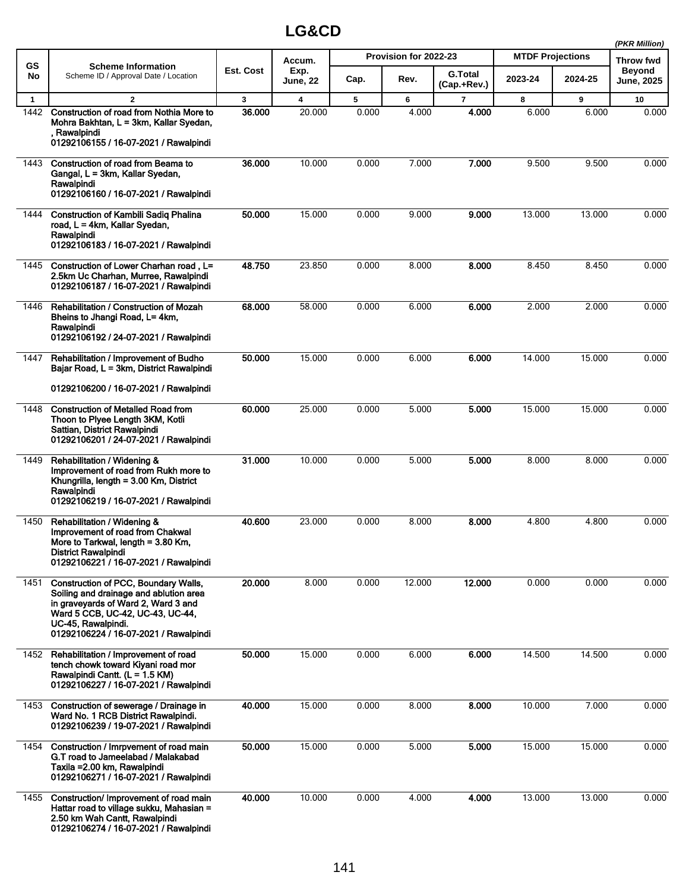|              |                                                                                                                                                                                                                                 |              |                         |       |                       |                               |                         |         | (PKR Million)        |
|--------------|---------------------------------------------------------------------------------------------------------------------------------------------------------------------------------------------------------------------------------|--------------|-------------------------|-------|-----------------------|-------------------------------|-------------------------|---------|----------------------|
| <b>GS</b>    | <b>Scheme Information</b>                                                                                                                                                                                                       |              | Accum.                  |       | Provision for 2022-23 |                               | <b>MTDF Projections</b> |         | <b>Throw fwd</b>     |
| No           | Scheme ID / Approval Date / Location                                                                                                                                                                                            | Est. Cost    | Exp.<br><b>June, 22</b> | Cap.  | Rev.                  | <b>G.Total</b><br>(Cap.+Rev.) | 2023-24                 | 2024-25 | Beyond<br>June, 2025 |
| $\mathbf{1}$ | $\overline{2}$                                                                                                                                                                                                                  | $\mathbf{3}$ | 4                       | 5     | 6                     | $\overline{7}$                | 8                       | 9       | 10                   |
| 1442         | Construction of road from Nothia More to<br>Mohra Bakhtan, L = 3km, Kallar Syedan,<br>, Rawalpindi<br>01292106155 / 16-07-2021 / Rawalpindi                                                                                     | 36.000       | 20.000                  | 0.000 | 4.000                 | 4.000                         | 6.000                   | 6.000   | 0.000                |
| 1443         | Construction of road from Beama to<br>Gangal, L = 3km, Kallar Syedan,<br>Rawalpindi<br>01292106160 / 16-07-2021 / Rawalpindi                                                                                                    | 36.000       | 10.000                  | 0.000 | 7.000                 | 7.000                         | 9.500                   | 9.500   | 0.000                |
| 1444         | <b>Construction of Kambili Sadiq Phalina</b><br>road, L = 4km, Kallar Syedan,<br>Rawalpindi<br>01292106183 / 16-07-2021 / Rawalpindi                                                                                            | 50.000       | 15.000                  | 0.000 | 9.000                 | 9.000                         | 13.000                  | 13.000  | 0.000                |
| 1445         | Construction of Lower Charhan road. L=<br>2.5km Uc Charhan, Murree, Rawalpindi<br>01292106187 / 16-07-2021 / Rawalpindi                                                                                                         | 48.750       | 23.850                  | 0.000 | 8.000                 | 8.000                         | 8.450                   | 8.450   | 0.000                |
| 1446         | <b>Rehabilitation / Construction of Mozah</b><br>Bheins to Jhangi Road, L= 4km,<br>Rawalpindi<br>01292106192 / 24-07-2021 / Rawalpindi                                                                                          | 68,000       | 58.000                  | 0.000 | 6.000                 | 6.000                         | 2.000                   | 2.000   | 0.000                |
| 1447         | Rehabilitation / Improvement of Budho<br>Bajar Road, L = 3km, District Rawalpindi<br>01292106200 / 16-07-2021 / Rawalpindi                                                                                                      | 50.000       | 15.000                  | 0.000 | 6.000                 | 6.000                         | 14.000                  | 15.000  | 0.000                |
| 1448         | <b>Construction of Metalled Road from</b><br>Thoon to Plyee Length 3KM, Kotli<br>Sattian, District Rawalpindi<br>01292106201 / 24-07-2021 / Rawalpindi                                                                          | 60.000       | 25.000                  | 0.000 | 5.000                 | 5.000                         | 15.000                  | 15.000  | 0.000                |
| 1449         | Rehabilitation / Widening &<br>Improvement of road from Rukh more to<br>Khungrilla, length = 3.00 Km, District<br>Rawalpindi<br>01292106219 / 16-07-2021 / Rawalpindi                                                           | 31.000       | 10.000                  | 0.000 | 5.000                 | 5.000                         | 8.000                   | 8.000   | 0.000                |
| 1450         | Rehabilitation / Widening &<br>Improvement of road from Chakwal<br>More to Tarkwal, length = 3.80 Km,<br><b>District Rawalpindi</b><br>01292106221 / 16-07-2021 / Rawalpindi                                                    | 40.600       | 23.000                  | 0.000 | 8.000                 | 8.000                         | 4.800                   | 4.800   | 0.000                |
| 1451         | <b>Construction of PCC, Boundary Walls,</b><br>Soiling and drainage and ablution area<br>in graveyards of Ward 2, Ward 3 and<br>Ward 5 CCB, UC-42, UC-43, UC-44,<br>UC-45, Rawalpindi.<br>01292106224 / 16-07-2021 / Rawalpindi | 20.000       | 8.000                   | 0.000 | 12.000                | 12.000                        | 0.000                   | 0.000   | 0.000                |
| 1452         | Rehabilitation / Improvement of road<br>tench chowk toward Kiyani road mor<br>Rawalpindi Cantt. (L = 1.5 KM)<br>01292106227 / 16-07-2021 / Rawalpindi                                                                           | 50.000       | 15.000                  | 0.000 | 6.000                 | 6.000                         | 14.500                  | 14.500  | 0.000                |
| 1453         | Construction of sewerage / Drainage in<br>Ward No. 1 RCB District Rawalpindi.<br>01292106239 / 19-07-2021 / Rawalpindi                                                                                                          | 40.000       | 15.000                  | 0.000 | 8.000                 | 8.000                         | 10.000                  | 7.000   | 0.000                |
| 1454         | Construction / Imrpvement of road main<br>G.T road to Jameelabad / Malakabad<br>Taxila = 2.00 km, Rawalpindi<br>01292106271 / 16-07-2021 / Rawalpindi                                                                           | 50.000       | 15.000                  | 0.000 | 5.000                 | 5.000                         | 15.000                  | 15.000  | 0.000                |
| 1455         | Construction/ Improvement of road main<br>Hattar road to village sukku, Mahasian =<br>2.50 km Wah Cantt, Rawalpindi<br>01292106274 / 16-07-2021 / Rawalpindi                                                                    | 40.000       | 10.000                  | 0.000 | 4.000                 | 4.000                         | 13.000                  | 13.000  | 0.000                |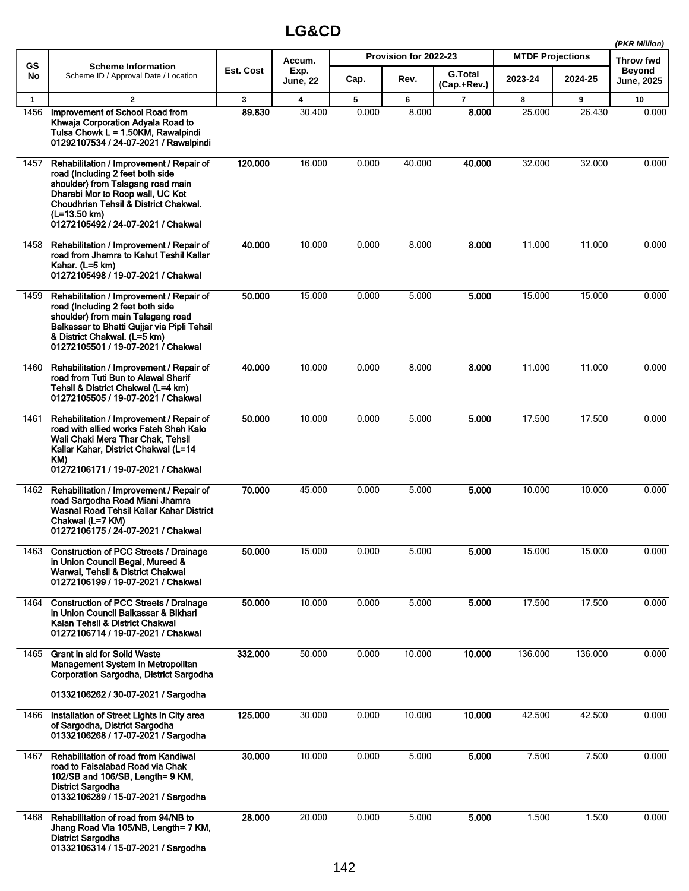|              |                                                                                                                                                                                                                                                      |              |                         |       |                       |                               |                         | (PKR Million) |                      |
|--------------|------------------------------------------------------------------------------------------------------------------------------------------------------------------------------------------------------------------------------------------------------|--------------|-------------------------|-------|-----------------------|-------------------------------|-------------------------|---------------|----------------------|
| <b>GS</b>    | <b>Scheme Information</b>                                                                                                                                                                                                                            |              | Accum.                  |       | Provision for 2022-23 |                               | <b>MTDF Projections</b> |               | Throw fwd            |
| No           | Scheme ID / Approval Date / Location                                                                                                                                                                                                                 | Est. Cost    | Exp.<br><b>June, 22</b> | Cap.  | Rev.                  | <b>G.Total</b><br>(Cap.+Rev.) | 2023-24                 | 2024-25       | Beyond<br>June, 2025 |
| $\mathbf{1}$ | $\mathbf{2}$                                                                                                                                                                                                                                         | $\mathbf{3}$ | 4                       | 5     | 6                     | $\overline{7}$                | 8                       | 9             | 10                   |
| 1456         | Improvement of School Road from<br>Khwaja Corporation Adyala Road to<br>Tulsa Chowk L = 1.50KM, Rawalpindi<br>01292107534 / 24-07-2021 / Rawalpindi                                                                                                  | 89.830       | 30.400                  | 0.000 | 8.000                 | 8.000                         | 25.000                  | 26.430        | 0.000                |
| 1457         | Rehabilitation / Improvement / Repair of<br>road (Including 2 feet both side<br>shoulder) from Talagang road main<br>Dharabi Mor to Roop wall, UC Kot<br>Choudhrian Tehsil & District Chakwal.<br>(L=13.50 km)<br>01272105492 / 24-07-2021 / Chakwal | 120.000      | 16.000                  | 0.000 | 40.000                | 40.000                        | 32.000                  | 32.000        | 0.000                |
| 1458         | Rehabilitation / Improvement / Repair of<br>road from Jhamra to Kahut Teshil Kallar<br>Kahar. (L=5 km)<br>01272105498 / 19-07-2021 / Chakwal                                                                                                         | 40.000       | 10.000                  | 0.000 | 8.000                 | 8.000                         | 11.000                  | 11.000        | 0.000                |
| 1459         | Rehabilitation / Improvement / Repair of<br>road (Including 2 feet both side<br>shoulder) from main Talagang road<br>Balkassar to Bhatti Gujjar via Pipli Tehsil<br>& District Chakwal. (L=5 km)<br>01272105501 / 19-07-2021 / Chakwal               | 50.000       | 15.000                  | 0.000 | 5.000                 | 5.000                         | 15.000                  | 15.000        | 0.000                |
| 1460         | Rehabilitation / Improvement / Repair of<br>road from Tuti Bun to Alawal Sharif<br>Tehsil & District Chakwal (L=4 km)<br>01272105505 / 19-07-2021 / Chakwal                                                                                          | 40.000       | 10.000                  | 0.000 | 8.000                 | 8.000                         | 11.000                  | 11.000        | 0.000                |
| 1461         | Rehabilitation / Improvement / Repair of<br>road with allied works Fateh Shah Kalo<br>Wali Chaki Mera Thar Chak, Tehsil<br>Kallar Kahar, District Chakwal (L=14<br>KM)<br>01272106171 / 19-07-2021 / Chakwal                                         | 50.000       | 10.000                  | 0.000 | 5.000                 | 5.000                         | 17.500                  | 17.500        | 0.000                |
| 1462         | Rehabilitation / Improvement / Repair of<br>road Sargodha Road Miani Jhamra<br>Wasnal Road Tehsil Kallar Kahar District<br>Chakwal (L=7 KM)<br>01272106175 / 24-07-2021 / Chakwal                                                                    | 70.000       | 45.000                  | 0.000 | 5.000                 | 5.000                         | 10.000                  | 10.000        | 0.000                |
| 1463         | <b>Construction of PCC Streets / Drainage</b><br>in Union Council Begal, Mureed &<br>Warwal, Tehsil & District Chakwal<br>01272106199 / 19-07-2021 / Chakwal                                                                                         | 50.000       | 15.000                  | 0.000 | 5.000                 | 5.000                         | 15.000                  | 15.000        | 0.000                |
| 1464         | <b>Construction of PCC Streets / Drainage</b><br>in Union Council Balkassar & Bikhari<br>Kalan Tehsil & District Chakwal<br>01272106714 / 19-07-2021 / Chakwal                                                                                       | 50.000       | 10.000                  | 0.000 | 5.000                 | 5.000                         | 17.500                  | 17.500        | 0.000                |
| 1465         | <b>Grant in aid for Solid Waste</b><br>Management System in Metropolitan<br>Corporation Sargodha, District Sargodha                                                                                                                                  | 332.000      | 50.000                  | 0.000 | 10.000                | 10.000                        | 136.000                 | 136.000       | 0.000                |
|              | 01332106262 / 30-07-2021 / Sargodha                                                                                                                                                                                                                  |              |                         |       |                       |                               |                         |               |                      |
| 1466         | Installation of Street Lights in City area<br>of Sargodha, District Sargodha<br>01332106268 / 17-07-2021 / Sargodha                                                                                                                                  | 125.000      | 30.000                  | 0.000 | 10.000                | 10.000                        | 42.500                  | 42.500        | 0.000                |
| 1467         | Rehabilitation of road from Kandiwal<br>road to Faisalabad Road via Chak<br>102/SB and 106/SB, Length= 9 KM,<br><b>District Sargodha</b><br>01332106289 / 15-07-2021 / Sargodha                                                                      | 30.000       | 10.000                  | 0.000 | 5.000                 | 5.000                         | 7.500                   | 7.500         | 0.000                |
| 1468         | Rehabilitation of road from 94/NB to<br>Jhang Road Via 105/NB, Length= 7 KM,<br><b>District Sargodha</b><br>01332106314 / 15-07-2021 / Sargodha                                                                                                      | 28.000       | 20.000                  | 0.000 | 5.000                 | 5.000                         | 1.500                   | 1.500         | 0.000                |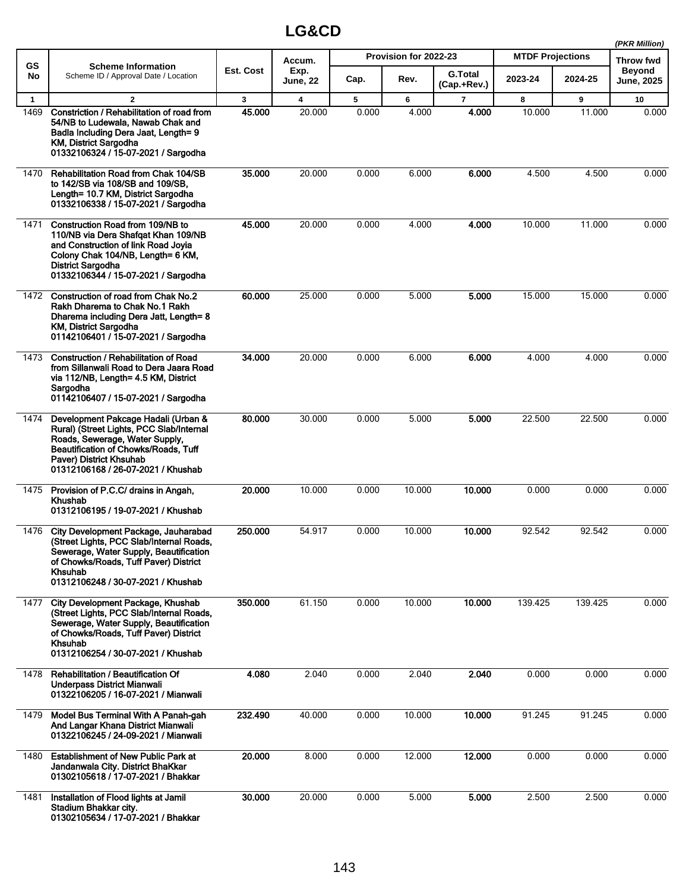|              |                                                                                                                                                                                                                                   |           |                         |       |                       |                               |                         |         | (PKR Million)               |
|--------------|-----------------------------------------------------------------------------------------------------------------------------------------------------------------------------------------------------------------------------------|-----------|-------------------------|-------|-----------------------|-------------------------------|-------------------------|---------|-----------------------------|
| <b>GS</b>    | <b>Scheme Information</b>                                                                                                                                                                                                         |           | Accum.                  |       | Provision for 2022-23 |                               | <b>MTDF Projections</b> |         | <b>Throw fwd</b>            |
| No           | Scheme ID / Approval Date / Location                                                                                                                                                                                              | Est. Cost | Exp.<br><b>June, 22</b> | Cap.  | Rev.                  | <b>G.Total</b><br>(Cap.+Rev.) | 2023-24                 | 2024-25 | <b>Beyond</b><br>June, 2025 |
| $\mathbf{1}$ | $\mathbf{2}$                                                                                                                                                                                                                      | 3         | 4                       | 5     | 6                     | $\overline{7}$                | 8                       | 9       | 10                          |
| 1469         | Constriction / Rehabilitation of road from<br>54/NB to Ludewala, Nawab Chak and<br>Badla Including Dera Jaat, Length= 9<br>KM, District Sargodha<br>01332106324 / 15-07-2021 / Sargodha                                           | 45.000    | 20.000                  | 0.000 | 4.000                 | 4.000                         | 10.000                  | 11.000  | 0.000                       |
| 1470         | <b>Rehabilitation Road from Chak 104/SB</b><br>to 142/SB via 108/SB and 109/SB.<br>Length= 10.7 KM, District Sargodha<br>01332106338 / 15-07-2021 / Sargodha                                                                      | 35.000    | 20.000                  | 0.000 | 6.000                 | 6.000                         | 4.500                   | 4.500   | 0.000                       |
| 1471         | Construction Road from 109/NB to<br>110/NB via Dera Shafqat Khan 109/NB<br>and Construction of link Road Joyia<br>Colony Chak 104/NB, Length= 6 KM,<br><b>District Sargodha</b><br>01332106344 / 15-07-2021 / Sargodha            | 45.000    | 20.000                  | 0.000 | 4.000                 | 4.000                         | 10.000                  | 11.000  | 0.000                       |
| 1472         | Construction of road from Chak No.2<br>Rakh Dharema to Chak No.1 Rakh<br>Dharema including Dera Jatt, Length= 8<br><b>KM, District Sargodha</b><br>01142106401 / 15-07-2021 / Sargodha                                            | 60.000    | 25.000                  | 0.000 | 5.000                 | 5.000                         | 15.000                  | 15.000  | 0.000                       |
| 1473         | <b>Construction / Rehabilitation of Road</b><br>from Sillanwali Road to Dera Jaara Road<br>via 112/NB, Length= 4.5 KM, District<br>Sargodha<br>01142106407 / 15-07-2021 / Sargodha                                                | 34.000    | 20.000                  | 0.000 | 6.000                 | 6.000                         | 4.000                   | 4.000   | 0.000                       |
| 1474         | Development Pakcage Hadali (Urban &<br>Rural) (Street Lights, PCC Slab/Internal<br>Roads, Sewerage, Water Supply,<br><b>Beautification of Chowks/Roads, Tuff</b><br>Paver) District Khsuhab<br>01312106168 / 26-07-2021 / Khushab | 80.000    | 30.000                  | 0.000 | 5.000                 | 5.000                         | 22.500                  | 22.500  | 0.000                       |
| 1475         | Provision of P.C.C/ drains in Angah,<br><b>Khushab</b><br>01312106195 / 19-07-2021 / Khushab                                                                                                                                      | 20.000    | 10.000                  | 0.000 | 10.000                | 10.000                        | 0.000                   | 0.000   | 0.000                       |
| 1476         | City Development Package, Jauharabad<br>(Street Lights, PCC Slab/Internal Roads,<br>Sewerage, Water Supply, Beautification<br>of Chowks/Roads, Tuff Paver) District<br><b>Khsuhab</b><br>01312106248 / 30-07-2021 / Khushab       | 250.000   | 54.917                  | 0.000 | 10.000                | 10.000                        | 92.542                  | 92.542  | 0.000                       |
| 1477         | City Development Package, Khushab<br>(Street Lights, PCC Slab/Internal Roads,<br>Sewerage, Water Supply, Beautification<br>of Chowks/Roads, Tuff Paver) District<br><b>Khsuhab</b><br>01312106254 / 30-07-2021 / Khushab          | 350.000   | 61.150                  | 0.000 | 10.000                | 10.000                        | 139.425                 | 139.425 | 0.000                       |
| 1478         | <b>Rehabilitation / Beautification Of</b><br>Underpass District Mianwali<br>01322106205 / 16-07-2021 / Mianwali                                                                                                                   | 4.080     | 2.040                   | 0.000 | 2.040                 | 2.040                         | 0.000                   | 0.000   | 0.000                       |
| 1479         | Model Bus Terminal With A Panah-gah<br>And Langar Khana District Mianwali<br>01322106245 / 24-09-2021 / Mianwali                                                                                                                  | 232.490   | 40.000                  | 0.000 | 10.000                | 10.000                        | 91.245                  | 91.245  | 0.000                       |
| 1480         | <b>Establishment of New Public Park at</b><br>Jandanwala City. District BhaKkar<br>01302105618 / 17-07-2021 / Bhakkar                                                                                                             | 20.000    | 8.000                   | 0.000 | 12.000                | 12.000                        | 0.000                   | 0.000   | 0.000                       |
| 1481         | Installation of Flood lights at Jamil<br>Stadium Bhakkar city.<br>01302105634 / 17-07-2021 / Bhakkar                                                                                                                              | 30.000    | 20.000                  | 0.000 | 5.000                 | 5.000                         | 2.500                   | 2.500   | 0.000                       |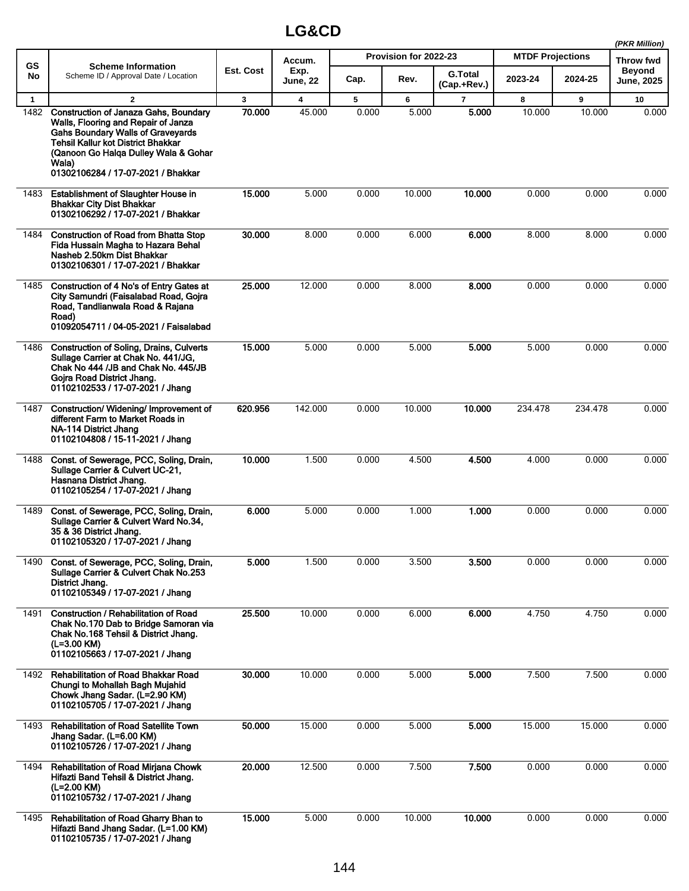|                      |                                                                                                                                                                                                                                                                              |                        |                         |            |                       |                               |                         |             | (PKR Million)                      |
|----------------------|------------------------------------------------------------------------------------------------------------------------------------------------------------------------------------------------------------------------------------------------------------------------------|------------------------|-------------------------|------------|-----------------------|-------------------------------|-------------------------|-------------|------------------------------------|
| <b>GS</b>            | <b>Scheme Information</b>                                                                                                                                                                                                                                                    |                        | Accum.                  |            | Provision for 2022-23 |                               | <b>MTDF Projections</b> |             | Throw fwd                          |
| No                   | Scheme ID / Approval Date / Location                                                                                                                                                                                                                                         | Est. Cost              | Exp.<br><b>June, 22</b> | Cap.       | Rev.                  | <b>G.Total</b><br>(Cap.+Rev.) | 2023-24                 | 2024-25     | <b>Beyond</b><br><b>June, 2025</b> |
| $\mathbf{1}$<br>1482 | $\mathbf{2}$<br><b>Construction of Janaza Gahs, Boundary</b><br>Walls, Flooring and Repair of Janza<br><b>Gahs Boundary Walls of Graveyards</b><br>Tehsil Kallur kot District Bhakkar<br>(Qanoon Go Halga Dulley Wala & Gohar<br>Wala)<br>01302106284 / 17-07-2021 / Bhakkar | $\mathbf{3}$<br>70.000 | 4<br>45.000             | 5<br>0.000 | 6<br>5.000            | $\overline{7}$<br>5.000       | 8<br>10.000             | 9<br>10.000 | 10<br>0.000                        |
| 1483                 | <b>Establishment of Slaughter House in</b><br><b>Bhakkar City Dist Bhakkar</b><br>01302106292 / 17-07-2021 / Bhakkar                                                                                                                                                         | 15.000                 | 5.000                   | 0.000      | 10.000                | 10.000                        | 0.000                   | 0.000       | 0.000                              |
| 1484                 | <b>Construction of Road from Bhatta Stop</b><br>Fida Hussain Magha to Hazara Behal<br>Nasheb 2.50km Dist Bhakkar<br>01302106301 / 17-07-2021 / Bhakkar                                                                                                                       | 30.000                 | 8.000                   | 0.000      | 6.000                 | 6.000                         | 8.000                   | 8.000       | 0.000                              |
| 1485                 | Construction of 4 No's of Entry Gates at<br>City Samundri (Faisalabad Road, Gojra<br>Road, Tandlianwala Road & Rajana<br>Road)<br>01092054711 / 04-05-2021 / Faisalabad                                                                                                      | 25.000                 | 12.000                  | 0.000      | 8.000                 | 8.000                         | 0.000                   | 0.000       | 0.000                              |
| 1486                 | <b>Construction of Soling, Drains, Culverts</b><br>Sullage Carrier at Chak No. 441/JG,<br>Chak No 444 /JB and Chak No. 445/JB<br>Gojra Road District Jhang.<br>01102102533 / 17-07-2021 / Jhang                                                                              | 15.000                 | 5.000                   | 0.000      | 5.000                 | 5.000                         | 5.000                   | 0.000       | 0.000                              |
| 1487                 | Construction/Widening/Improvement of<br>different Farm to Market Roads in<br>NA-114 District Jhang<br>01102104808 / 15-11-2021 / Jhang                                                                                                                                       | 620.956                | 142.000                 | 0.000      | 10.000                | 10.000                        | 234.478                 | 234.478     | 0.000                              |
| 1488                 | Const. of Sewerage, PCC, Soling, Drain,<br>Sullage Carrier & Culvert UC-21,<br>Hasnana District Jhang.<br>01102105254 / 17-07-2021 / Jhang                                                                                                                                   | 10.000                 | 1.500                   | 0.000      | 4.500                 | 4.500                         | 4.000                   | 0.000       | 0.000                              |
| 1489                 | Const. of Sewerage, PCC, Soling, Drain,<br>Sullage Carrier & Culvert Ward No.34,<br>35 & 36 District Jhang.<br>01102105320 / 17-07-2021 / Jhang                                                                                                                              | 6.000                  | 5.000                   | 0.000      | 1.000                 | 1.000                         | 0.000                   | 0.000       | 0.000                              |
| 1490                 | Const. of Sewerage, PCC, Soling, Drain,<br>Sullage Carrier & Culvert Chak No.253<br>District Jhang.<br>01102105349 / 17-07-2021 / Jhang                                                                                                                                      | 5.000                  | 1.500                   | 0.000      | 3.500                 | 3.500                         | 0.000                   | 0.000       | 0.000                              |
| 1491                 | <b>Construction / Rehabilitation of Road</b><br>Chak No.170 Dab to Bridge Samoran via<br>Chak No.168 Tehsil & District Jhang.<br>(L=3.00 KM)<br>01102105663 / 17-07-2021 / Jhang                                                                                             | 25.500                 | 10.000                  | 0.000      | 6.000                 | 6.000                         | 4.750                   | 4.750       | 0.000                              |
| 1492                 | <b>Rehabilitation of Road Bhakkar Road</b><br>Chungi to Mohallah Bagh Mujahid<br>Chowk Jhang Sadar. (L=2.90 KM)<br>01102105705 / 17-07-2021 / Jhang                                                                                                                          | 30.000                 | 10.000                  | 0.000      | 5.000                 | 5.000                         | 7.500                   | 7.500       | 0.000                              |
| 1493                 | <b>Rehabilitation of Road Satellite Town</b><br>Jhang Sadar. (L=6.00 KM)<br>01102105726 / 17-07-2021 / Jhang                                                                                                                                                                 | 50.000                 | 15.000                  | 0.000      | 5.000                 | 5.000                         | 15.000                  | 15.000      | 0.000                              |
| 1494                 | Rehabilitation of Road Mirjana Chowk<br>Hifazti Band Tehsil & District Jhang.<br>(L=2.00 KM)<br>01102105732 / 17-07-2021 / Jhang                                                                                                                                             | 20.000                 | 12.500                  | 0.000      | 7.500                 | 7.500                         | 0.000                   | 0.000       | 0.000                              |
| 1495                 | Rehabilitation of Road Gharry Bhan to<br>Hifazti Band Jhang Sadar. (L=1.00 KM)<br>01102105735 / 17-07-2021 / Jhang                                                                                                                                                           | 15.000                 | 5.000                   | 0.000      | 10.000                | 10.000                        | 0.000                   | 0.000       | 0.000                              |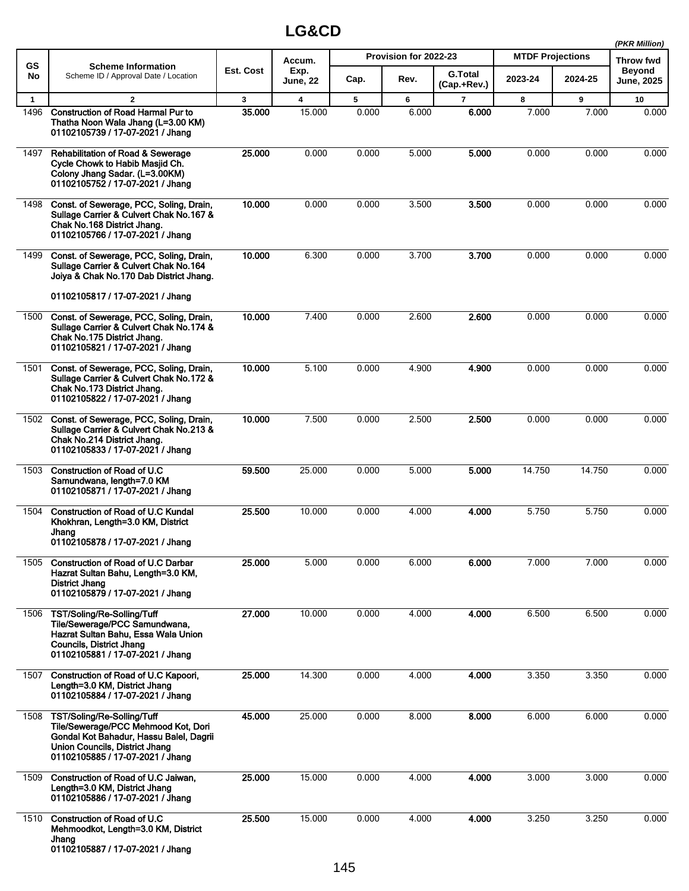|              |                                                                                                                                                                                    |              |                         |       |                       |                               |                         |         | (PKR Million)        |
|--------------|------------------------------------------------------------------------------------------------------------------------------------------------------------------------------------|--------------|-------------------------|-------|-----------------------|-------------------------------|-------------------------|---------|----------------------|
| <b>GS</b>    | <b>Scheme Information</b>                                                                                                                                                          | Est. Cost    | Accum.                  |       | Provision for 2022-23 |                               | <b>MTDF Projections</b> |         | Throw fwd            |
| No           | Scheme ID / Approval Date / Location                                                                                                                                               |              | Exp.<br><b>June, 22</b> | Cap.  | Rev.                  | <b>G.Total</b><br>(Cap.+Rev.) | 2023-24                 | 2024-25 | Beyond<br>June, 2025 |
| $\mathbf{1}$ | $\mathbf{2}$                                                                                                                                                                       | $\mathbf{3}$ | $\overline{\mathbf{4}}$ | 5     | 6                     | $\overline{7}$                | 8                       | 9       | 10                   |
| 1496         | <b>Construction of Road Harmal Pur to</b><br>Thatha Noon Wala Jhang (L=3.00 KM)<br>01102105739 / 17-07-2021 / Jhang                                                                | 35.000       | 15.000                  | 0.000 | 6.000                 | 6.000                         | 7.000                   | 7.000   | 0.000                |
| 1497         | <b>Rehabilitation of Road &amp; Sewerage</b><br>Cycle Chowk to Habib Masjid Ch.<br>Colony Jhang Sadar. (L=3.00KM)<br>01102105752 / 17-07-2021 / Jhang                              | 25.000       | 0.000                   | 0.000 | 5.000                 | 5.000                         | 0.000                   | 0.000   | 0.000                |
| 1498         | Const. of Sewerage, PCC, Soling, Drain,<br>Sullage Carrier & Culvert Chak No.167 &<br>Chak No.168 District Jhang.<br>01102105766 / 17-07-2021 / Jhang                              | 10.000       | 0.000                   | 0.000 | 3.500                 | 3.500                         | 0.000                   | 0.000   | 0.000                |
| 1499         | Const. of Sewerage, PCC, Soling, Drain,<br>Sullage Carrier & Culvert Chak No.164<br>Joiya & Chak No.170 Dab District Jhang.                                                        | 10.000       | 6.300                   | 0.000 | 3.700                 | 3.700                         | 0.000                   | 0.000   | 0.000                |
|              | 01102105817 / 17-07-2021 / Jhang                                                                                                                                                   |              |                         |       |                       |                               |                         |         |                      |
| 1500         | Const. of Sewerage, PCC, Soling, Drain,<br>Sullage Carrier & Culvert Chak No. 174 &<br>Chak No.175 District Jhang.<br>01102105821 / 17-07-2021 / Jhang                             | 10.000       | 7.400                   | 0.000 | 2.600                 | 2.600                         | 0.000                   | 0.000   | 0.000                |
| 1501         | Const. of Sewerage, PCC, Soling, Drain,<br>Sullage Carrier & Culvert Chak No.172 &<br>Chak No.173 District Jhang.<br>01102105822 / 17-07-2021 / Jhang                              | 10.000       | 5.100                   | 0.000 | 4.900                 | 4.900                         | 0.000                   | 0.000   | 0.000                |
| 1502         | Const. of Sewerage, PCC, Soling, Drain,<br>Sullage Carrier & Culvert Chak No.213 &<br>Chak No.214 District Jhang.<br>01102105833 / 17-07-2021 / Jhang                              | 10.000       | 7.500                   | 0.000 | 2.500                 | 2.500                         | 0.000                   | 0.000   | 0.000                |
| 1503         | Construction of Road of U.C.<br>Samundwana, length=7.0 KM<br>01102105871 / 17-07-2021 / Jhang                                                                                      | 59.500       | 25.000                  | 0.000 | 5.000                 | 5.000                         | 14.750                  | 14.750  | 0.000                |
| 1504         | <b>Construction of Road of U.C Kundal</b><br>Khokhran, Length=3.0 KM, District<br>Jhang<br>01102105878 / 17-07-2021 / Jhang                                                        | 25.500       | 10.000                  | 0.000 | 4.000                 | 4.000                         | 5.750                   | 5.750   | 0.000                |
| 1505         | <b>Construction of Road of U.C Darbar</b><br>Hazrat Sultan Bahu, Length=3.0 KM,<br><b>District Jhang</b><br>01102105879 / 17-07-2021 / Jhang                                       | 25.000       | 5.000                   | 0.000 | 6.000                 | 6.000                         | 7.000                   | 7.000   | 0.000                |
| 1506         | TST/Soling/Re-Solling/Tuff<br>Tile/Sewerage/PCC Samundwana,<br>Hazrat Sultan Bahu, Essa Wala Union<br>Councils, District Jhang<br>01102105881 / 17-07-2021 / Jhang                 | 27.000       | 10.000                  | 0.000 | 4.000                 | 4.000                         | 6.500                   | 6.500   | 0.000                |
| 1507         | Construction of Road of U.C Kapoori,<br>Length=3.0 KM, District Jhang<br>01102105884 / 17-07-2021 / Jhang                                                                          | 25.000       | 14.300                  | 0.000 | 4.000                 | 4.000                         | 3.350                   | 3.350   | 0.000                |
| 1508         | TST/Soling/Re-Solling/Tuff<br>Tile/Sewerage/PCC Mehmood Kot, Dori<br>Gondal Kot Bahadur, Hassu Balel, Dagrii<br>Union Councils, District Jhang<br>01102105885 / 17-07-2021 / Jhang | 45.000       | 25.000                  | 0.000 | 8.000                 | 8.000                         | 6.000                   | 6.000   | 0.000                |
| 1509         | Construction of Road of U.C Jaiwan,<br>Length=3.0 KM, District Jhang<br>01102105886 / 17-07-2021 / Jhang                                                                           | 25.000       | 15.000                  | 0.000 | 4.000                 | 4.000                         | 3.000                   | 3.000   | 0.000                |
| 1510         | Construction of Road of U.C<br>Mehmoodkot, Length=3.0 KM, District<br>Jhang<br>01102105887 / 17-07-2021 / Jhang                                                                    | 25.500       | 15.000                  | 0.000 | 4.000                 | 4.000                         | 3.250                   | 3.250   | 0.000                |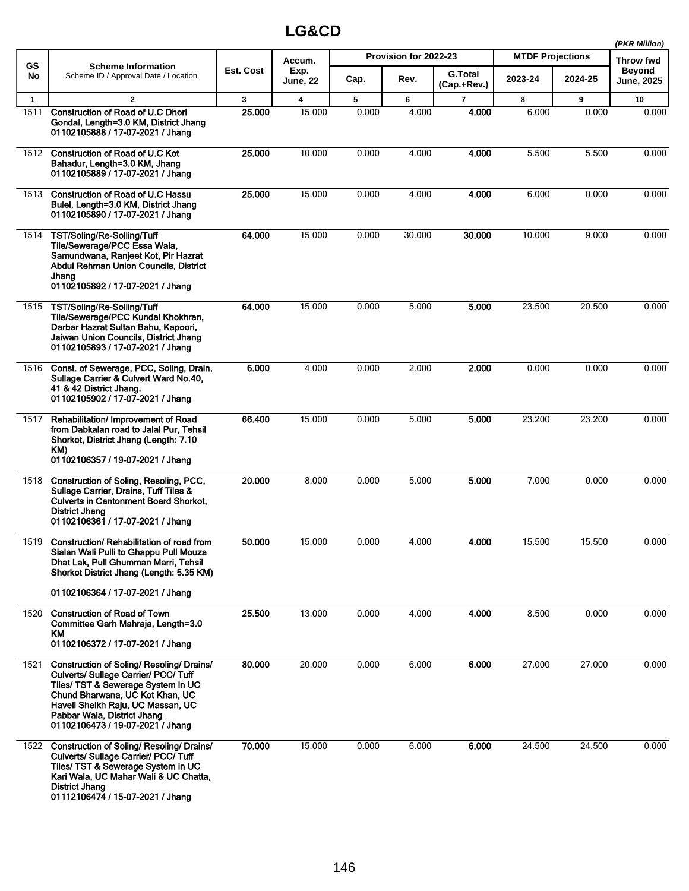|              |                                                                                                                                                                                                                                                                    |              |                         |       |                       |                               |                         |         | (PKR Million)        |
|--------------|--------------------------------------------------------------------------------------------------------------------------------------------------------------------------------------------------------------------------------------------------------------------|--------------|-------------------------|-------|-----------------------|-------------------------------|-------------------------|---------|----------------------|
| <b>GS</b>    | <b>Scheme Information</b>                                                                                                                                                                                                                                          |              | Accum.                  |       | Provision for 2022-23 |                               | <b>MTDF Projections</b> |         | Throw fwd            |
| No           | Scheme ID / Approval Date / Location                                                                                                                                                                                                                               | Est. Cost    | Exp.<br>June, 22        | Cap.  | Rev.                  | <b>G.Total</b><br>(Cap.+Rev.) | 2023-24                 | 2024-25 | Beyond<br>June, 2025 |
| $\mathbf{1}$ | $\mathbf{2}$                                                                                                                                                                                                                                                       | $\mathbf{3}$ | $\overline{\mathbf{4}}$ | 5     | 6                     | $\overline{7}$                | 8                       | 9       | 10                   |
| 1511         | <b>Construction of Road of U.C Dhori</b><br>Gondal, Length=3.0 KM, District Jhang<br>01102105888 / 17-07-2021 / Jhang                                                                                                                                              | 25.000       | 15.000                  | 0.000 | 4.000                 | 4.000                         | 6.000                   | 0.000   | 0.000                |
| 1512         | <b>Construction of Road of U.C Kot</b><br>Bahadur, Length=3.0 KM, Jhang<br>01102105889 / 17-07-2021 / Jhang                                                                                                                                                        | 25.000       | 10.000                  | 0.000 | 4.000                 | 4.000                         | 5.500                   | 5.500   | 0.000                |
| 1513         | <b>Construction of Road of U.C Hassu</b><br>Bulel, Length=3.0 KM, District Jhang<br>01102105890 / 17-07-2021 / Jhang                                                                                                                                               | 25.000       | 15.000                  | 0.000 | 4.000                 | 4.000                         | 6.000                   | 0.000   | 0.000                |
| 1514         | TST/Soling/Re-Solling/Tuff<br>Tile/Sewerage/PCC Essa Wala,<br>Samundwana, Ranjeet Kot, Pir Hazrat<br>Abdul Rehman Union Councils, District<br>Jhang<br>01102105892 / 17-07-2021 / Jhang                                                                            | 64.000       | 15.000                  | 0.000 | 30.000                | 30.000                        | 10.000                  | 9.000   | 0.000                |
| 1515         | TST/Soling/Re-Solling/Tuff<br>Tile/Sewerage/PCC Kundal Khokhran,<br>Darbar Hazrat Sultan Bahu, Kapoori,<br>Jaiwan Union Councils, District Jhang<br>01102105893 / 17-07-2021 / Jhang                                                                               | 64.000       | 15.000                  | 0.000 | 5.000                 | 5.000                         | 23.500                  | 20.500  | 0.000                |
| 1516         | Const. of Sewerage, PCC, Soling, Drain,<br>Sullage Carrier & Culvert Ward No.40,<br>41 & 42 District Jhang.<br>01102105902 / 17-07-2021 / Jhang                                                                                                                    | 6.000        | 4.000                   | 0.000 | 2.000                 | 2.000                         | 0.000                   | 0.000   | 0.000                |
| 1517         | Rehabilitation/ Improvement of Road<br>from Dabkalan road to Jalal Pur, Tehsil<br>Shorkot, District Jhang (Length: 7.10)<br>KM)<br>01102106357 / 19-07-2021 / Jhang                                                                                                | 66.400       | 15.000                  | 0.000 | 5.000                 | 5.000                         | 23.200                  | 23.200  | 0.000                |
| 1518         | Construction of Soling, Resoling, PCC,<br>Sullage Carrier, Drains, Tuff Tiles &<br><b>Culverts in Cantonment Board Shorkot,</b><br><b>District Jhang</b><br>01102106361 / 17-07-2021 / Jhang                                                                       | 20.000       | 8.000                   | 0.000 | 5.000                 | 5.000                         | 7.000                   | 0.000   | 0.000                |
| 1519         | Construction/ Rehabilitation of road from<br>Sialan Wali Pulli to Ghappu Pull Mouza<br>Dhat Lak, Pull Ghumman Marri, Tehsil<br>Shorkot District Jhang (Length: 5.35 KM)                                                                                            | 50.000       | 15.000                  | 0.000 | 4.000                 | 4.000                         | 15.500                  | 15.500  | 0.000                |
|              | 01102106364 / 17-07-2021 / Jhang                                                                                                                                                                                                                                   |              |                         |       |                       |                               |                         |         |                      |
| 1520         | <b>Construction of Road of Town</b><br>Committee Garh Mahraja, Length=3.0<br>KM<br>01102106372 / 17-07-2021 / Jhang                                                                                                                                                | 25.500       | 13.000                  | 0.000 | 4.000                 | 4.000                         | 8.500                   | 0.000   | 0.000                |
| 1521         | Construction of Soling/ Resoling/ Drains/<br>Culverts/ Sullage Carrier/ PCC/ Tuff<br>Tiles/ TST & Sewerage System in UC<br>Chund Bharwana, UC Kot Khan, UC<br>Haveli Sheikh Raju, UC Massan, UC<br>Pabbar Wala, District Jhang<br>01102106473 / 19-07-2021 / Jhang | 80.000       | 20.000                  | 0.000 | 6.000                 | 6.000                         | 27.000                  | 27.000  | 0.000                |
| 1522         | Construction of Soling/ Resoling/ Drains/<br>Culverts/ Sullage Carrier/ PCC/ Tuff<br>Tiles/ TST & Sewerage System in UC<br>Kari Wala, UC Mahar Wali & UC Chatta,<br>District Jhang<br>01112106474 / 15-07-2021 / Jhang                                             | 70.000       | 15.000                  | 0.000 | 6.000                 | 6.000                         | 24.500                  | 24.500  | 0.000                |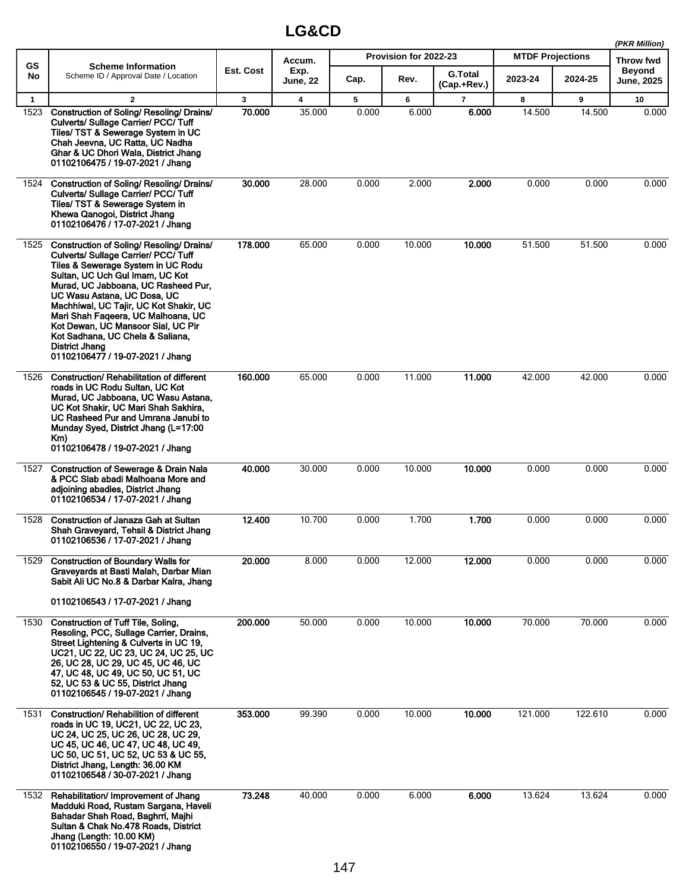|              |                                                                                                                                                                                                                                                                                                                                                                                                                                                  |           |                  |       |                       |                               |                         |         | (PKR Million)                      |
|--------------|--------------------------------------------------------------------------------------------------------------------------------------------------------------------------------------------------------------------------------------------------------------------------------------------------------------------------------------------------------------------------------------------------------------------------------------------------|-----------|------------------|-------|-----------------------|-------------------------------|-------------------------|---------|------------------------------------|
| <b>GS</b>    | <b>Scheme Information</b>                                                                                                                                                                                                                                                                                                                                                                                                                        |           | Accum.           |       | Provision for 2022-23 |                               | <b>MTDF Projections</b> |         | Throw fwd                          |
| No           | Scheme ID / Approval Date / Location                                                                                                                                                                                                                                                                                                                                                                                                             | Est. Cost | Exp.<br>June, 22 | Cap.  | Rev.                  | <b>G.Total</b><br>(Cap.+Rev.) | 2023-24                 | 2024-25 | <b>Beyond</b><br><b>June, 2025</b> |
| $\mathbf{1}$ | $\mathbf{2}$                                                                                                                                                                                                                                                                                                                                                                                                                                     | 3         | 4                | 5     | 6                     | 7                             | 8                       | 9       | 10                                 |
| 1523         | Construction of Soling/ Resoling/ Drains/<br>Culverts/ Sullage Carrier/ PCC/ Tuff<br>Tiles/ TST & Sewerage System in UC<br>Chah Jeevna, UC Ratta, UC Nadha<br>Ghar & UC Dhori Wala, District Jhang<br>01102106475 / 19-07-2021 / Jhang                                                                                                                                                                                                           | 70.000    | 35.000           | 0.000 | 6.000                 | 6.000                         | 14.500                  | 14.500  | 0.000                              |
| 1524         | Construction of Soling/ Resoling/ Drains/<br>Culverts/ Sullage Carrier/ PCC/ Tuff<br>Tiles/ TST & Sewerage System in<br>Khewa Qanogoi, District Jhang<br>01102106476 / 17-07-2021 / Jhang                                                                                                                                                                                                                                                        | 30.000    | 28.000           | 0.000 | 2.000                 | 2.000                         | 0.000                   | 0.000   | 0.000                              |
| 1525         | Construction of Soling/ Resoling/ Drains/<br>Culverts/ Sullage Carrier/ PCC/ Tuff<br>Tiles & Sewerage System in UC Rodu<br>Sultan, UC Uch Gul Imam, UC Kot<br>Murad, UC Jabboana, UC Rasheed Pur,<br>UC Wasu Astana, UC Dosa, UC<br>Machhiwal, UC Tajir, UC Kot Shakir, UC<br>Mari Shah Faqeera, UC Malhoana, UC<br>Kot Dewan, UC Mansoor Sial, UC Pir<br>Kot Sadhana, UC Chela & Saliana,<br>District Jhang<br>01102106477 / 19-07-2021 / Jhang | 178.000   | 65.000           | 0.000 | 10.000                | 10.000                        | 51.500                  | 51.500  | 0.000                              |
| 1526         | Construction/ Rehabilitation of different<br>roads in UC Rodu Sultan, UC Kot<br>Murad, UC Jabboana, UC Wasu Astana,<br>UC Kot Shakir, UC Mari Shah Sakhira,<br>UC Rasheed Pur and Umrana Janubi to<br>Munday Syed, District Jhang (L=17:00<br>Km)<br>01102106478 / 19-07-2021 / Jhang                                                                                                                                                            | 160.000   | 65.000           | 0.000 | 11.000                | 11.000                        | 42.000                  | 42.000  | 0.000                              |
| 1527         | <b>Construction of Sewerage &amp; Drain Nala</b><br>& PCC Slab abadi Malhoana More and<br>adjoining abadies, District Jhang<br>01102106534 / 17-07-2021 / Jhang                                                                                                                                                                                                                                                                                  | 40.000    | 30.000           | 0.000 | 10.000                | 10.000                        | 0.000                   | 0.000   | 0.000                              |
| 1528         | Construction of Janaza Gah at Sultan<br>Shah Graveyard, Tehsil & District Jhang<br>01102106536 / 17-07-2021 / Jhang                                                                                                                                                                                                                                                                                                                              | 12.400    | 10.700           | 0.000 | 1.700                 | 1.700                         | 0.000                   | 0.000   | 0.000                              |
| 1529         | <b>Construction of Boundary Walls for</b><br>Graveyards at Basti Malah, Darbar Mian<br>Sabit Ali UC No.8 & Darbar Kalra, Jhang<br>01102106543 / 17-07-2021 / Jhang                                                                                                                                                                                                                                                                               | 20.000    | 8.000            | 0.000 | 12.000                | 12.000                        | 0.000                   | 0.000   | 0.000                              |
| 1530         | Construction of Tuff Tile, Soling,<br>Resoling, PCC, Sullage Carrier, Drains,<br>Street Lightening & Culverts in UC 19,<br>UC21, UC 22, UC 23, UC 24, UC 25, UC<br>26, UC 28, UC 29, UC 45, UC 46, UC<br>47, UC 48, UC 49, UC 50, UC 51, UC<br>52, UC 53 & UC 55, District Jhang<br>01102106545 / 19-07-2021 / Jhang                                                                                                                             | 200.000   | 50.000           | 0.000 | 10.000                | 10.000                        | 70.000                  | 70.000  | 0.000                              |
| 1531         | <b>Construction/ Rehabilition of different</b><br>roads in UC 19, UC21, UC 22, UC 23,<br>UC 24, UC 25, UC 26, UC 28, UC 29,<br>UC 45, UC 46, UC 47, UC 48, UC 49,<br>UC 50, UC 51, UC 52, UC 53 & UC 55,<br>District Jhang, Length: 36.00 KM<br>01102106548 / 30-07-2021 / Jhang                                                                                                                                                                 | 353.000   | 99.390           | 0.000 | 10.000                | 10.000                        | 121.000                 | 122.610 | 0.000                              |
| 1532         | Rehabilitation/ Improvement of Jhang<br>Madduki Road, Rustam Sargana, Haveli<br>Bahadar Shah Road, Baghrri, Majhi<br>Sultan & Chak No.478 Roads, District<br>Jhang (Length: 10.00 KM)<br>01102106550 / 19-07-2021 / Jhang                                                                                                                                                                                                                        | 73.248    | 40.000           | 0.000 | 6.000                 | 6.000                         | 13.624                  | 13.624  | 0.000                              |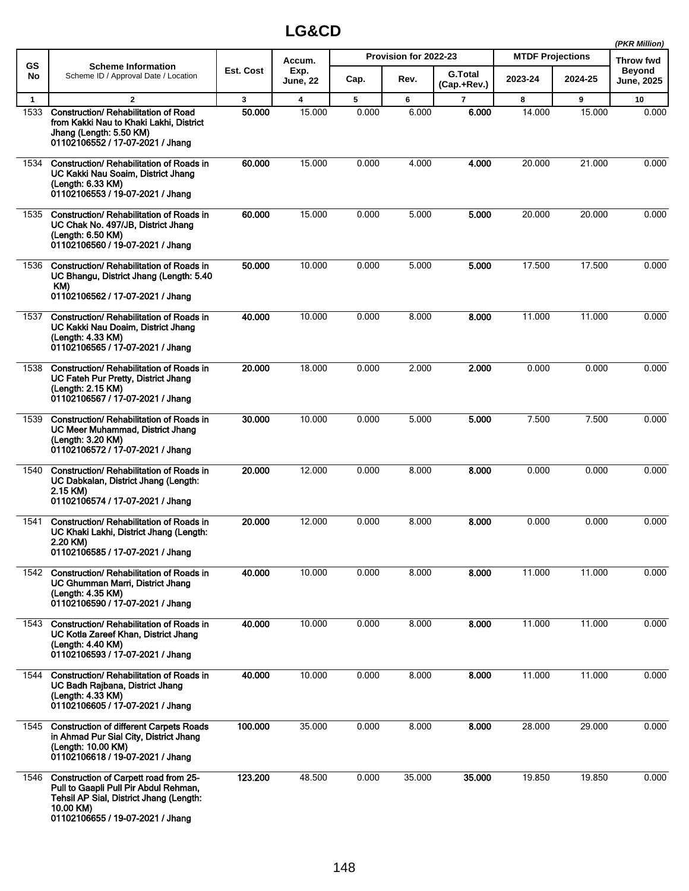|              |                                                                                                                                                                            |              |                         |       |                       |                               |                         |         | (PKR Million)               |
|--------------|----------------------------------------------------------------------------------------------------------------------------------------------------------------------------|--------------|-------------------------|-------|-----------------------|-------------------------------|-------------------------|---------|-----------------------------|
| GS           | <b>Scheme Information</b>                                                                                                                                                  |              | Accum.                  |       | Provision for 2022-23 |                               | <b>MTDF Projections</b> |         | Throw fwd                   |
| No           | Scheme ID / Approval Date / Location                                                                                                                                       | Est. Cost    | Exp.<br><b>June, 22</b> | Cap.  | Rev.                  | <b>G.Total</b><br>(Cap.+Rev.) | 2023-24                 | 2024-25 | <b>Beyond</b><br>June, 2025 |
| $\mathbf{1}$ | $\mathbf{2}$                                                                                                                                                               | $\mathbf{3}$ | 4                       | 5     | 6                     | $\overline{7}$                | 8                       | 9       | 10                          |
| 1533         | <b>Construction/ Rehabilitation of Road</b><br>from Kakki Nau to Khaki Lakhi, District<br>Jhang (Length: 5.50 KM)<br>01102106552 / 17-07-2021 / Jhang                      | 50,000       | 15.000                  | 0.000 | 6.000                 | 6.000                         | 14.000                  | 15.000  | 0.000                       |
| 1534         | Construction/ Rehabilitation of Roads in<br>UC Kakki Nau Soaim, District Jhang<br>(Length: 6.33 KM)<br>01102106553 / 19-07-2021 / Jhang                                    | 60.000       | 15.000                  | 0.000 | 4.000                 | 4.000                         | 20.000                  | 21.000  | 0.000                       |
| 1535         | Construction/ Rehabilitation of Roads in<br>UC Chak No. 497/JB, District Jhang<br>(Length: 6.50 KM)<br>01102106560 / 19-07-2021 / Jhang                                    | 60.000       | 15.000                  | 0.000 | 5.000                 | 5.000                         | 20.000                  | 20.000  | 0.000                       |
| 1536         | Construction/ Rehabilitation of Roads in<br>UC Bhangu, District Jhang (Length: 5.40<br>KM)<br>01102106562 / 17-07-2021 / Jhang                                             | 50,000       | 10.000                  | 0.000 | 5.000                 | 5.000                         | 17.500                  | 17.500  | 0.000                       |
| 1537         | Construction/ Rehabilitation of Roads in<br>UC Kakki Nau Doaim, District Jhang<br>(Length: 4.33 KM)<br>01102106565 / 17-07-2021 / Jhang                                    | 40.000       | 10.000                  | 0.000 | 8.000                 | 8.000                         | 11.000                  | 11.000  | 0.000                       |
| 1538         | <b>Construction/ Rehabilitation of Roads in</b><br>UC Fateh Pur Pretty, District Jhang<br>(Length: 2.15 KM)<br>01102106567 / 17-07-2021 / Jhang                            | 20.000       | 18.000                  | 0.000 | 2.000                 | 2.000                         | 0.000                   | 0.000   | 0.000                       |
| 1539         | Construction/ Rehabilitation of Roads in<br>UC Meer Muhammad, District Jhang<br>(Length: 3.20 KM)<br>01102106572 / 17-07-2021 / Jhang                                      | 30.000       | 10.000                  | 0.000 | 5.000                 | 5.000                         | 7.500                   | 7.500   | 0.000                       |
| 1540         | Construction/ Rehabilitation of Roads in<br>UC Dabkalan, District Jhang (Length:<br>2.15 KM)<br>01102106574 / 17-07-2021 / Jhang                                           | 20.000       | 12.000                  | 0.000 | 8.000                 | 8.000                         | 0.000                   | 0.000   | 0.000                       |
| 1541         | Construction/ Rehabilitation of Roads in<br>UC Khaki Lakhi, District Jhang (Length:<br>2.20 KM)<br>01102106585 / 17-07-2021 / Jhang                                        | 20.000       | 12.000                  | 0.000 | 8.000                 | 8.000                         | 0.000                   | 0.000   | 0.000                       |
|              | 1542 Construction/ Rehabilitation of Roads in<br>UC Ghumman Marri, District Jhang<br>(Length: 4.35 KM)<br>01102106590 / 17-07-2021 / Jhang                                 | 40.000       | 10.000                  | 0.000 | 8.000                 | 8.000                         | 11.000                  | 11.000  | 0.000                       |
| 1543         | Construction/ Rehabilitation of Roads in<br>UC Kotla Zareef Khan, District Jhang<br>(Length: 4.40 KM)<br>01102106593 / 17-07-2021 / Jhang                                  | 40.000       | 10.000                  | 0.000 | 8.000                 | 8.000                         | 11.000                  | 11.000  | 0.000                       |
| 1544         | <b>Construction/ Rehabilitation of Roads in</b><br>UC Badh Raibana, District Jhang<br>(Length: 4.33 KM)<br>01102106605 / 17-07-2021 / Jhang                                | 40.000       | 10.000                  | 0.000 | 8.000                 | 8.000                         | 11.000                  | 11.000  | 0.000                       |
| 1545         | <b>Construction of different Carpets Roads</b><br>in Ahmad Pur Sial City, District Jhang<br>(Length: 10.00 KM)<br>01102106618 / 19-07-2021 / Jhang                         | 100.000      | 35.000                  | 0.000 | 8.000                 | 8.000                         | 28.000                  | 29.000  | 0.000                       |
| 1546         | Construction of Carpett road from 25-<br>Pull to Gaapli Pull Pir Abdul Rehman,<br>Tehsil AP Sial, District Jhang (Length:<br>10.00 KM)<br>01102106655 / 19-07-2021 / Jhang | 123.200      | 48.500                  | 0.000 | 35.000                | 35.000                        | 19.850                  | 19.850  | 0.000                       |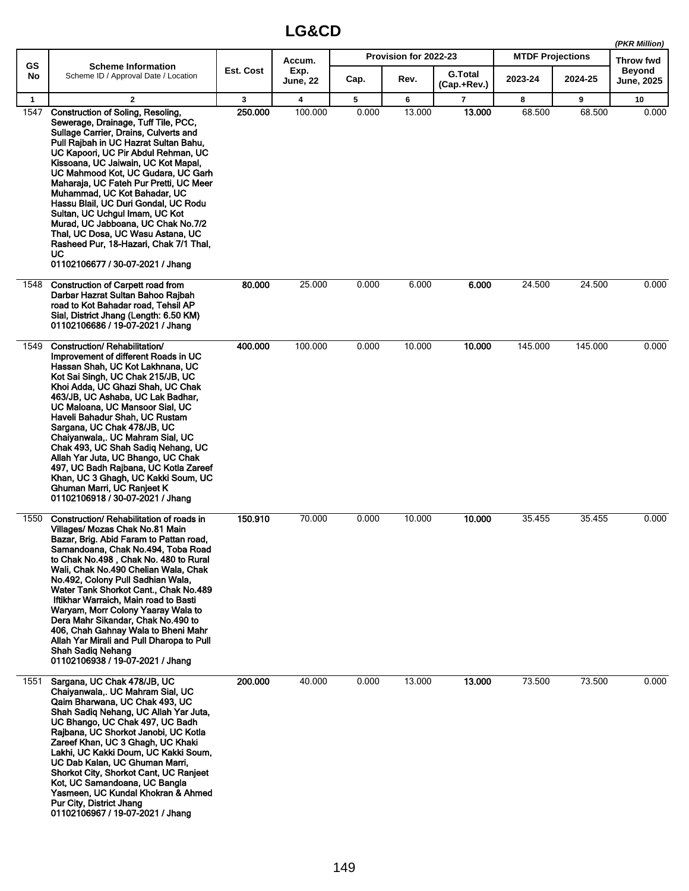|              |                                                                                                                                                                                                                                                                                                                                                                                                                                                                                                                                                                                                          |           |                 |       |                       |                               |                         |         | (PKR Million)              |
|--------------|----------------------------------------------------------------------------------------------------------------------------------------------------------------------------------------------------------------------------------------------------------------------------------------------------------------------------------------------------------------------------------------------------------------------------------------------------------------------------------------------------------------------------------------------------------------------------------------------------------|-----------|-----------------|-------|-----------------------|-------------------------------|-------------------------|---------|----------------------------|
| GS           | <b>Scheme Information</b>                                                                                                                                                                                                                                                                                                                                                                                                                                                                                                                                                                                | Est. Cost | Accum.<br>Exp.  |       | Provision for 2022-23 |                               | <b>MTDF Projections</b> |         | Throw fwd<br><b>Beyond</b> |
| No           | Scheme ID / Approval Date / Location                                                                                                                                                                                                                                                                                                                                                                                                                                                                                                                                                                     |           | <b>June, 22</b> | Cap.  | Rev.                  | <b>G.Total</b><br>(Cap.+Rev.) | 2023-24                 | 2024-25 | June, 2025                 |
| $\mathbf{1}$ | $\mathbf{2}$                                                                                                                                                                                                                                                                                                                                                                                                                                                                                                                                                                                             | 3         | 4               | 5     | 6                     | $\overline{7}$                | 8                       | 9       | 10                         |
| 1547         | <b>Construction of Soling, Resoling,</b><br>Sewerage, Drainage, Tuff Tile, PCC,<br>Sullage Carrier, Drains, Culverts and<br>Pull Rajbah in UC Hazrat Sultan Bahu,<br>UC Kapoori, UC Pir Abdul Rehman, UC<br>Kissoana, UC Jaiwain, UC Kot Mapal,<br>UC Mahmood Kot, UC Gudara, UC Garh<br>Maharaja, UC Fateh Pur Pretti, UC Meer<br>Muhammad, UC Kot Bahadar, UC<br>Hassu Blail, UC Duri Gondal, UC Rodu<br>Sultan, UC Uchgul Imam, UC Kot<br>Murad, UC Jabboana, UC Chak No.7/2<br>Thal, UC Dosa, UC Wasu Astana, UC<br>Rasheed Pur, 18-Hazari, Chak 7/1 Thal,<br>UC<br>01102106677 / 30-07-2021 / Jhang | 250.000   | 100.000         | 0.000 | 13.000                | 13.000                        | 68.500                  | 68.500  | 0.000                      |
| 1548         | <b>Construction of Carpett road from</b><br>Darbar Hazrat Sultan Bahoo Rajbah<br>road to Kot Bahadar road, Tehsil AP<br>Sial, District Jhang (Length: 6.50 KM)<br>01102106686 / 19-07-2021 / Jhang                                                                                                                                                                                                                                                                                                                                                                                                       | 80.000    | 25.000          | 0.000 | 6.000                 | 6.000                         | 24.500                  | 24.500  | 0.000                      |
| 1549         | Construction/Rehabilitation/<br>Improvement of different Roads in UC<br>Hassan Shah, UC Kot Lakhnana, UC<br>Kot Sai Singh, UC Chak 215/JB, UC<br>Khoi Adda, UC Ghazi Shah, UC Chak<br>463/JB, UC Ashaba, UC Lak Badhar,<br>UC Maloana, UC Mansoor Sial, UC<br>Haveli Bahadur Shah, UC Rustam<br>Sargana, UC Chak 478/JB, UC<br>Chaiyanwala,. UC Mahram Sial, UC<br>Chak 493, UC Shah Sadiq Nehang, UC<br>Allah Yar Juta, UC Bhango, UC Chak<br>497, UC Badh Rajbana, UC Kotla Zareef<br>Khan, UC 3 Ghagh, UC Kakki Soum, UC<br>Ghuman Marri, UC Ranieet K<br>01102106918 / 30-07-2021 / Jhang            | 400.000   | 100.000         | 0.000 | 10.000                | 10.000                        | 145.000                 | 145.000 | 0.000                      |
| 1550         | Construction/ Rehabilitation of roads in<br>Villages/ Mozas Chak No.81 Main<br>Bazar, Brig. Abid Faram to Pattan road,<br>Samandoana, Chak No.494, Toba Road<br>to Chak No.498, Chak No. 480 to Rural<br>Wali, Chak No.490 Chelian Wala, Chak<br>No.492, Colony Pull Sadhian Wala,<br>Water Tank Shorkot Cant., Chak No.489<br>Iftikhar Warraich, Main road to Basti<br>Waryam, Morr Colony Yaaray Wala to<br>Dera Mahr Sikandar, Chak No.490 to<br>406, Chah Gahnay Wala to Bheni Mahr<br>Allah Yar Mirali and Pull Dharopa to Pull<br><b>Shah Sadiq Nehang</b><br>01102106938 / 19-07-2021 / Jhang     | 150.910   | 70.000          | 0.000 | 10.000                | 10.000                        | 35.455                  | 35.455  | 0.000                      |
| 1551         | Sargana, UC Chak 478/JB, UC<br>Chaiyanwala,. UC Mahram Sial, UC<br>Qaim Bharwana, UC Chak 493, UC<br>Shah Sadig Nehang, UC Allah Yar Juta,<br>UC Bhango, UC Chak 497, UC Badh<br>Rajbana, UC Shorkot Janobi, UC Kotla<br>Zareef Khan, UC 3 Ghagh, UC Khaki<br>Lakhi, UC Kakki Doum, UC Kakki Soum,<br>UC Dab Kalan, UC Ghuman Marri,<br>Shorkot City, Shorkot Cant, UC Ranjeet<br>Kot, UC Samandoana, UC Bangla<br>Yasmeen, UC Kundal Khokran & Ahmed<br>Pur City, District Jhang<br>01102106967 / 19-07-2021 / Jhang                                                                                    | 200.000   | 40.000          | 0.000 | 13.000                | 13.000                        | 73.500                  | 73.500  | 0.000                      |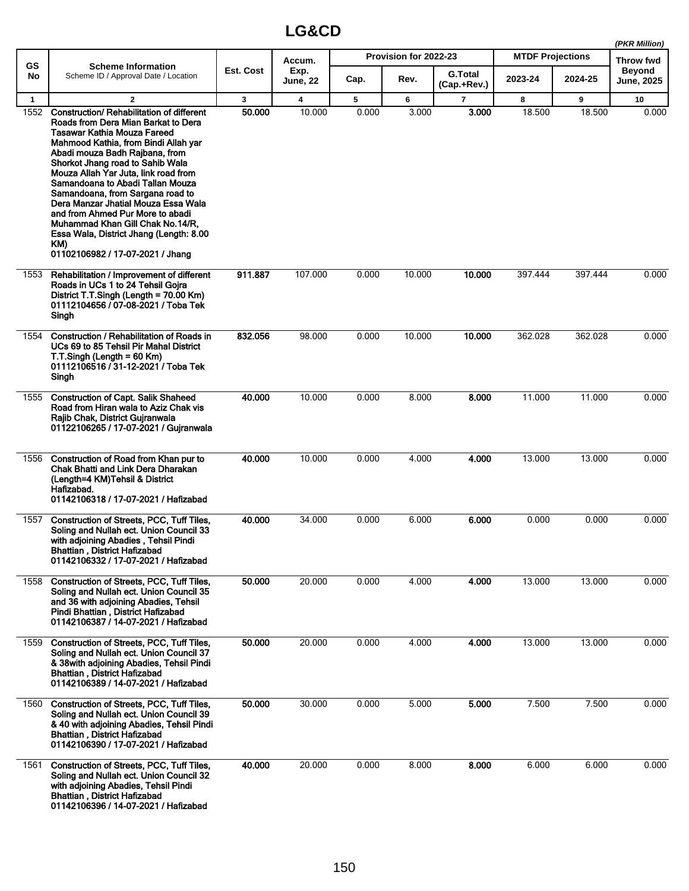|              |                                                                                                                                                                                                                                                                                                                                                                                                                                                                                                                                                    |           |                  |       |                       |                               |                         |         | (PKR Million)                      |
|--------------|----------------------------------------------------------------------------------------------------------------------------------------------------------------------------------------------------------------------------------------------------------------------------------------------------------------------------------------------------------------------------------------------------------------------------------------------------------------------------------------------------------------------------------------------------|-----------|------------------|-------|-----------------------|-------------------------------|-------------------------|---------|------------------------------------|
| <b>GS</b>    | <b>Scheme Information</b>                                                                                                                                                                                                                                                                                                                                                                                                                                                                                                                          |           | Accum.           |       | Provision for 2022-23 |                               | <b>MTDF Projections</b> |         | <b>Throw fwd</b>                   |
| No           | Scheme ID / Approval Date / Location                                                                                                                                                                                                                                                                                                                                                                                                                                                                                                               | Est. Cost | Exp.<br>June, 22 | Cap.  | Rev.                  | <b>G.Total</b><br>(Cap.+Rev.) | 2023-24                 | 2024-25 | <b>Beyond</b><br><b>June, 2025</b> |
| $\mathbf{1}$ | $\mathbf{2}$                                                                                                                                                                                                                                                                                                                                                                                                                                                                                                                                       | 3         | 4                | 5     | 6                     | $\overline{7}$                | 8                       | 9       | 10                                 |
| 1552         | Construction/ Rehabilitation of different<br>Roads from Dera Mian Barkat to Dera<br>Tasawar Kathia Mouza Fareed<br>Mahmood Kathia, from Bindi Allah yar<br>Abadi mouza Badh Rajbana, from<br>Shorkot Jhang road to Sahib Wala<br>Mouza Allah Yar Juta, link road from<br>Samandoana to Abadi Tallan Mouza<br>Samandoana, from Sargana road to<br>Dera Manzar Jhatial Mouza Essa Wala<br>and from Ahmed Pur More to abadi<br>Muhammad Khan Gill Chak No.14/R,<br>Essa Wala, District Jhang (Length: 8.00<br>KM)<br>01102106982 / 17-07-2021 / Jhang | 50.000    | 10.000           | 0.000 | 3.000                 | 3.000                         | 18.500                  | 18.500  | 0.000                              |
| 1553         | Rehabilitation / Improvement of different<br>Roads in UCs 1 to 24 Tehsil Gojra<br>District T.T.Singh (Length = 70.00 Km)<br>01112104656 / 07-08-2021 / Toba Tek<br>Singh                                                                                                                                                                                                                                                                                                                                                                           | 911.887   | 107.000          | 0.000 | 10.000                | 10.000                        | 397.444                 | 397.444 | 0.000                              |
| 1554         | Construction / Rehabilitation of Roads in<br>UCs 69 to 85 Tehsil Pir Mahal District<br>$T.T.Sinah (Lenath = 60 Km)$<br>01112106516 / 31-12-2021 / Toba Tek<br>Singh                                                                                                                                                                                                                                                                                                                                                                                | 832.056   | 98.000           | 0.000 | 10.000                | 10.000                        | 362.028                 | 362.028 | 0.000                              |
| 1555         | <b>Construction of Capt. Salik Shaheed</b><br>Road from Hiran wala to Aziz Chak vis<br>Rajib Chak, District Gujranwala<br>01122106265 / 17-07-2021 / Gujranwala                                                                                                                                                                                                                                                                                                                                                                                    | 40.000    | 10.000           | 0.000 | 8.000                 | 8.000                         | 11.000                  | 11.000  | 0.000                              |
| 1556         | Construction of Road from Khan pur to<br>Chak Bhatti and Link Dera Dharakan<br>(Length=4 KM)Tehsil & District<br>Hafizabad.<br>01142106318 / 17-07-2021 / Hafizabad                                                                                                                                                                                                                                                                                                                                                                                | 40.000    | 10.000           | 0.000 | 4.000                 | 4.000                         | 13.000                  | 13.000  | 0.000                              |
| 1557         | Construction of Streets, PCC, Tuff Tiles,<br>Soling and Nullah ect. Union Council 33<br>with adjoining Abadies, Tehsil Pindi<br>Bhattian, District Hafizabad<br>01142106332 / 17-07-2021 / Hafizabad                                                                                                                                                                                                                                                                                                                                               | 40.000    | 34.000           | 0.000 | 6.000                 | 6.000                         | 0.000                   | 0.000   | 0.000                              |
| 1558         | Construction of Streets, PCC, Tuff Tiles,<br>Soling and Nullah ect. Union Council 35<br>and 36 with adjoining Abadies, Tehsil<br>Pindi Bhattian, District Hafizabad<br>01142106387 / 14-07-2021 / Hafizabad                                                                                                                                                                                                                                                                                                                                        | 50.000    | 20.000           | 0.000 | 4.000                 | 4.000                         | 13.000                  | 13.000  | 0.000                              |
| 1559         | Construction of Streets, PCC, Tuff Tiles,<br>Soling and Nullah ect. Union Council 37<br>& 38with adjoining Abadies, Tehsil Pindi<br>Bhattian, District Hafizabad<br>01142106389 / 14-07-2021 / Hafizabad                                                                                                                                                                                                                                                                                                                                           | 50.000    | 20.000           | 0.000 | 4.000                 | 4.000                         | 13.000                  | 13.000  | 0.000                              |
| 1560         | Construction of Streets, PCC, Tuff Tiles,<br>Soling and Nullah ect. Union Council 39<br>& 40 with adjoining Abadies, Tehsil Pindi<br>Bhattian, District Hafizabad<br>01142106390 / 17-07-2021 / Hafizabad                                                                                                                                                                                                                                                                                                                                          | 50.000    | 30.000           | 0.000 | 5.000                 | 5.000                         | 7.500                   | 7.500   | 0.000                              |
| 1561         | Construction of Streets, PCC, Tuff Tiles,<br>Soling and Nullah ect. Union Council 32<br>with adjoining Abadies, Tehsil Pindi<br>Bhattian, District Hafizabad<br>01142106396 / 14-07-2021 / Hafizabad                                                                                                                                                                                                                                                                                                                                               | 40.000    | 20.000           | 0.000 | 8.000                 | 8.000                         | 6.000                   | 6.000   | 0.000                              |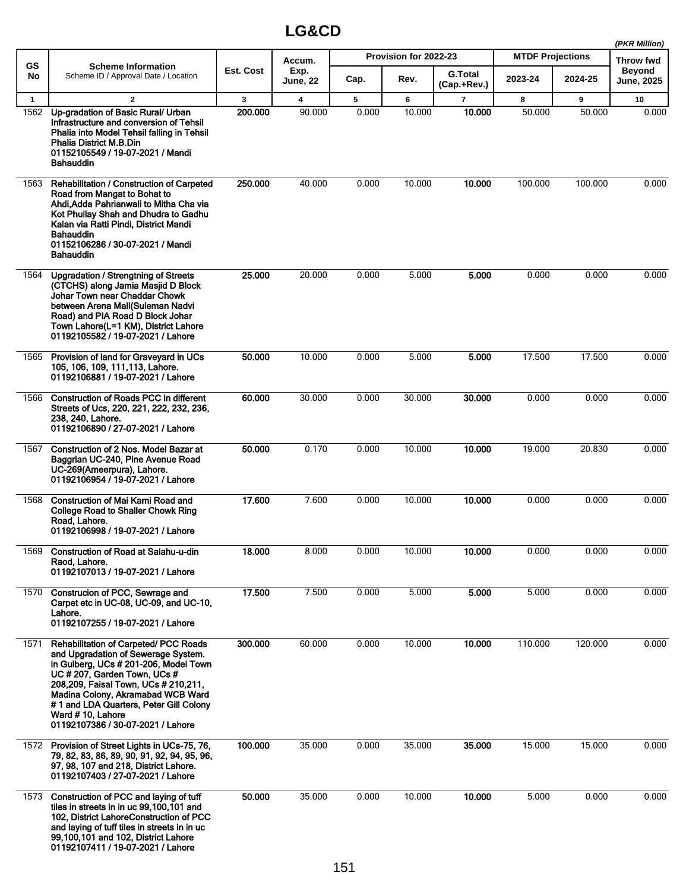|              |                                                                                                                                                                                                                                                                                                                                               |           |                 |       |                       |                               |                         |         | (PKR Million)              |
|--------------|-----------------------------------------------------------------------------------------------------------------------------------------------------------------------------------------------------------------------------------------------------------------------------------------------------------------------------------------------|-----------|-----------------|-------|-----------------------|-------------------------------|-------------------------|---------|----------------------------|
| GS           | <b>Scheme Information</b>                                                                                                                                                                                                                                                                                                                     | Est. Cost | Accum.<br>Exp.  |       | Provision for 2022-23 |                               | <b>MTDF Projections</b> |         | Throw fwd<br><b>Beyond</b> |
| No           | Scheme ID / Approval Date / Location                                                                                                                                                                                                                                                                                                          |           | <b>June, 22</b> | Cap.  | Rev.                  | <b>G.Total</b><br>(Cap.+Rev.) | 2023-24                 | 2024-25 | <b>June, 2025</b>          |
| $\mathbf{1}$ | $\overline{2}$                                                                                                                                                                                                                                                                                                                                | 3         | 4               | 5     | 6                     | $\overline{7}$                | 8                       | 9       | 10                         |
| 1562         | Up-gradation of Basic Rural/ Urban<br>Infrastructure and conversion of Tehsil<br>Phalia into Model Tehsil falling in Tehsil<br><b>Phalia District M.B.Din</b><br>01152105549 / 19-07-2021 / Mandi<br>Bahauddin                                                                                                                                | 200.000   | 90.000          | 0.000 | 10.000                | 10.000                        | 50.000                  | 50.000  | 0.000                      |
| 1563         | Rehabilitation / Construction of Carpeted<br>Road from Mangat to Bohat to<br>Ahdi Adda Pahrianwali to Mitha Cha via<br>Kot Phullay Shah and Dhudra to Gadhu<br>Kalan via Ratti Pindi, District Mandi<br><b>Bahauddin</b><br>01152106286 / 30-07-2021 / Mandi<br>Bahauddin                                                                     | 250.000   | 40.000          | 0.000 | 10.000                | 10.000                        | 100.000                 | 100.000 | 0.000                      |
| 1564         | <b>Upgradation / Strengtning of Streets</b><br>(CTCHS) along Jamia Masjid D Block<br>Johar Town near Chaddar Chowk<br>between Arena Mall(Suleman Nadvi<br>Road) and PIA Road D Block Johar<br>Town Lahore(L=1 KM), District Lahore<br>01192105582 / 19-07-2021 / Lahore                                                                       | 25.000    | 20.000          | 0.000 | 5.000                 | 5.000                         | 0.000                   | 0.000   | 0.000                      |
| 1565         | Provision of land for Graveyard in UCs<br>105, 106, 109, 111, 113, Lahore.<br>01192106881 / 19-07-2021 / Lahore                                                                                                                                                                                                                               | 50.000    | 10.000          | 0.000 | 5.000                 | 5.000                         | 17.500                  | 17.500  | 0.000                      |
| 1566         | <b>Construction of Roads PCC in different</b><br>Streets of Ucs, 220, 221, 222, 232, 236,<br>238, 240, Lahore.<br>01192106890 / 27-07-2021 / Lahore                                                                                                                                                                                           | 60.000    | 30.000          | 0.000 | 30.000                | 30.000                        | 0.000                   | 0.000   | 0.000                      |
| 1567         | Construction of 2 Nos. Model Bazar at<br>Baggrian UC-240, Pine Avenue Road<br>UC-269(Ameerpura), Lahore.<br>01192106954 / 19-07-2021 / Lahore                                                                                                                                                                                                 | 50.000    | 0.170           | 0.000 | 10.000                | 10.000                        | 19.000                  | 20.830  | 0.000                      |
| 1568         | <b>Construction of Mai Kami Road and</b><br><b>College Road to Shaller Chowk Ring</b><br>Road, Lahore.<br>01192106998 / 19-07-2021 / Lahore                                                                                                                                                                                                   | 17.600    | 7.600           | 0.000 | 10.000                | 10.000                        | 0.000                   | 0.000   | 0.000                      |
| 1569         | Construction of Road at Salahu-u-din<br>Raod, Lahore.<br>01192107013 / 19-07-2021 / Lahore                                                                                                                                                                                                                                                    | 18.000    | 8.000           | 0.000 | 10.000                | 10.000                        | 0.000                   | 0.000   | 0.000                      |
| 1570         | Construcion of PCC, Sewrage and<br>Carpet etc in UC-08, UC-09, and UC-10,<br>Lahore.<br>01192107255 / 19-07-2021 / Lahore                                                                                                                                                                                                                     | 17.500    | 7.500           | 0.000 | 5.000                 | 5.000                         | 5.000                   | 0.000   | 0.000                      |
| 1571         | <b>Rehabilitation of Carpeted/ PCC Roads</b><br>and Upgradation of Sewerage System.<br>in Gulberg, UCs # 201-206, Model Town<br>UC # 207, Garden Town, UCs #<br>208,209, Faisal Town, UCs # 210,211,<br>Madina Colony, Akramabad WCB Ward<br># 1 and LDA Quarters, Peter Gill Colony<br>Ward #10, Lahore<br>01192107386 / 30-07-2021 / Lahore | 300.000   | 60.000          | 0.000 | 10.000                | 10.000                        | 110.000                 | 120.000 | 0.000                      |
| 1572         | Provision of Street Lights in UCs-75, 76,<br>79, 82, 83, 86, 89, 90, 91, 92, 94, 95, 96,<br>97, 98, 107 and 218, District Lahore.<br>01192107403 / 27-07-2021 / Lahore                                                                                                                                                                        | 100.000   | 35.000          | 0.000 | 35.000                | 35.000                        | 15.000                  | 15.000  | 0.000                      |
| 1573         | Construction of PCC and laying of tuff<br>tiles in streets in in uc 99,100,101 and<br>102, District LahoreConstruction of PCC<br>and laying of tuff tiles in streets in in uc<br>99,100,101 and 102, District Lahore<br>01192107411 / 19-07-2021 / Lahore                                                                                     | 50.000    | 35.000          | 0.000 | 10.000                | 10.000                        | 5.000                   | 0.000   | 0.000                      |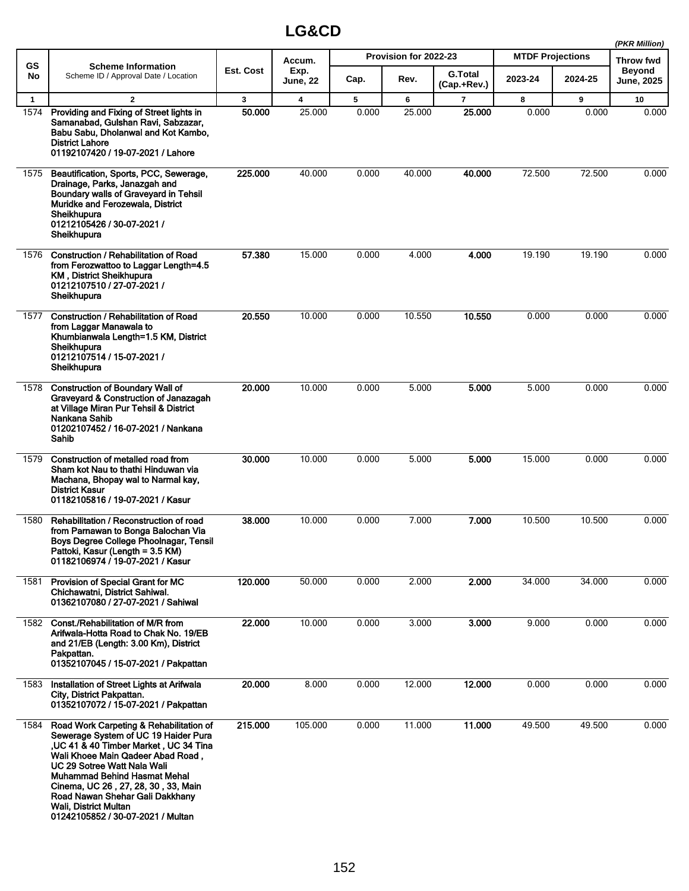|              |                                                                                                                                                                                                                                                                                                                                                                              |                  |                         |       |                       |                               |                         |         | (PKR Million)               |
|--------------|------------------------------------------------------------------------------------------------------------------------------------------------------------------------------------------------------------------------------------------------------------------------------------------------------------------------------------------------------------------------------|------------------|-------------------------|-------|-----------------------|-------------------------------|-------------------------|---------|-----------------------------|
| <b>GS</b>    | <b>Scheme Information</b>                                                                                                                                                                                                                                                                                                                                                    |                  | Accum.                  |       | Provision for 2022-23 |                               | <b>MTDF Projections</b> |         | <b>Throw fwd</b>            |
| No.          | Scheme ID / Approval Date / Location                                                                                                                                                                                                                                                                                                                                         | <b>Est. Cost</b> | Exp.<br><b>June, 22</b> | Cap.  | Rev.                  | <b>G.Total</b><br>(Cap.+Rev.) | 2023-24                 | 2024-25 | <b>Beyond</b><br>June, 2025 |
| $\mathbf{1}$ | $\mathbf{2}$                                                                                                                                                                                                                                                                                                                                                                 | 3                | 4                       | 5     | 6                     | 7                             | 8                       | 9       | 10                          |
| 1574         | Providing and Fixing of Street lights in<br>Samanabad, Gulshan Ravi, Sabzazar,<br>Babu Sabu, Dholanwal and Kot Kambo,<br><b>District Lahore</b><br>01192107420 / 19-07-2021 / Lahore                                                                                                                                                                                         | 50,000           | 25.000                  | 0.000 | 25.000                | 25.000                        | 0.000                   | 0.000   | 0.000                       |
| 1575         | Beautification, Sports, PCC, Sewerage,<br>Drainage, Parks, Janazgah and<br>Boundary walls of Graveyard in Tehsil<br>Muridke and Ferozewala, District<br>Sheikhupura<br>01212105426 / 30-07-2021 /<br>Sheikhupura                                                                                                                                                             | 225.000          | 40.000                  | 0.000 | 40.000                | 40.000                        | 72.500                  | 72.500  | 0.000                       |
| 1576         | <b>Construction / Rehabilitation of Road</b><br>from Ferozwattoo to Laggar Length=4.5<br><b>KM, District Sheikhupura</b><br>01212107510 / 27-07-2021 /<br>Sheikhupura                                                                                                                                                                                                        | 57.380           | 15.000                  | 0.000 | 4.000                 | 4.000                         | 19.190                  | 19.190  | 0.000                       |
| 1577         | <b>Construction / Rehabilitation of Road</b><br>from Laggar Manawala to<br>Khumbianwala Length=1.5 KM, District<br>Sheikhupura<br>01212107514 / 15-07-2021 /<br>Sheikhupura                                                                                                                                                                                                  | 20.550           | 10.000                  | 0.000 | 10.550                | 10.550                        | 0.000                   | 0.000   | 0.000                       |
| 1578         | <b>Construction of Boundary Wall of</b><br>Graveyard & Construction of Janazagah<br>at Village Miran Pur Tehsil & District<br>Nankana Sahib<br>01202107452 / 16-07-2021 / Nankana<br>Sahib                                                                                                                                                                                   | 20,000           | 10.000                  | 0.000 | 5.000                 | 5.000                         | 5.000                   | 0.000   | 0.000                       |
| 1579         | Construction of metalled road from<br>Sham kot Nau to thathi Hinduwan via<br>Machana, Bhopay wal to Narmal kay,<br><b>District Kasur</b><br>01182105816 / 19-07-2021 / Kasur                                                                                                                                                                                                 | 30.000           | 10.000                  | 0.000 | 5.000                 | 5.000                         | 15.000                  | 0.000   | 0.000                       |
| 1580         | Rehabilitation / Reconstruction of road<br>from Parnawan to Bonga Balochan Via<br>Boys Degree College Phoolnagar, Tensil<br>Pattoki, Kasur (Length = 3.5 KM)<br>01182106974 / 19-07-2021 / Kasur                                                                                                                                                                             | 38,000           | 10.000                  | 0.000 | 7.000                 | 7.000                         | 10.500                  | 10.500  | 0.000                       |
| 1581         | Provision of Special Grant for MC<br>Chichawatni, District Sahiwal.<br>01362107080 / 27-07-2021 / Sahiwal                                                                                                                                                                                                                                                                    | 120.000          | 50.000                  | 0.000 | 2.000                 | 2.000                         | 34.000                  | 34.000  | 0.000                       |
| 1582         | Const./Rehabilitation of M/R from<br>Arifwala-Hotta Road to Chak No. 19/EB<br>and 21/EB (Length: 3.00 Km), District<br>Pakpattan.<br>01352107045 / 15-07-2021 / Pakpattan                                                                                                                                                                                                    | 22.000           | 10.000                  | 0.000 | 3.000                 | 3.000                         | 9.000                   | 0.000   | 0.000                       |
| 1583         | Installation of Street Lights at Arifwala<br>City, District Pakpattan.<br>01352107072 / 15-07-2021 / Pakpattan                                                                                                                                                                                                                                                               | 20.000           | 8.000                   | 0.000 | 12.000                | 12.000                        | 0.000                   | 0.000   | 0.000                       |
| 1584         | Road Work Carpeting & Rehabilitation of<br>Sewerage System of UC 19 Haider Pura<br>, UC 41 & 40 Timber Market, UC 34 Tina<br>Wali Khoee Main Qadeer Abad Road,<br>UC 29 Sotree Watt Nala Wali<br><b>Muhammad Behind Hasmat Mehal</b><br>Cinema, UC 26, 27, 28, 30, 33, Main<br>Road Nawan Shehar Gali Dakkhany<br>Wali, District Multan<br>01242105852 / 30-07-2021 / Multan | 215.000          | 105.000                 | 0.000 | 11.000                | 11.000                        | 49.500                  | 49.500  | 0.000                       |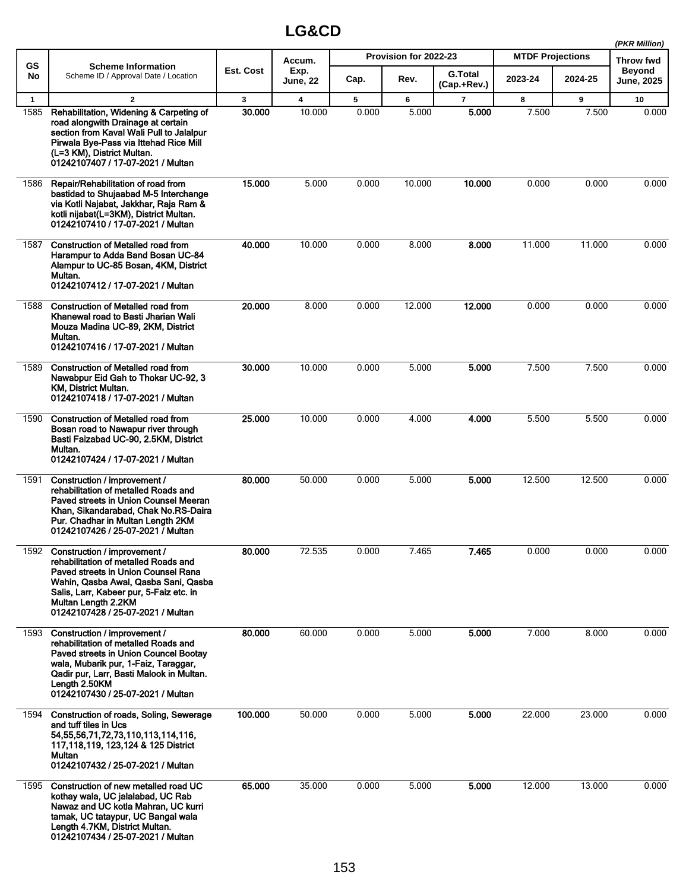|              |                                                                                                                                                                                                                                                                 |              |                         |       |                       |                               |                         |         | (PKR Million)        |
|--------------|-----------------------------------------------------------------------------------------------------------------------------------------------------------------------------------------------------------------------------------------------------------------|--------------|-------------------------|-------|-----------------------|-------------------------------|-------------------------|---------|----------------------|
| <b>GS</b>    | <b>Scheme Information</b>                                                                                                                                                                                                                                       |              | Accum.                  |       | Provision for 2022-23 |                               | <b>MTDF Projections</b> |         | Throw fwd            |
| No           | Scheme ID / Approval Date / Location                                                                                                                                                                                                                            | Est. Cost    | Exp.<br><b>June, 22</b> | Cap.  | Rev.                  | <b>G.Total</b><br>(Cap.+Rev.) | 2023-24                 | 2024-25 | Beyond<br>June, 2025 |
| $\mathbf{1}$ | $\mathbf{2}$                                                                                                                                                                                                                                                    | $\mathbf{3}$ | 4                       | 5     | 6                     | $\overline{7}$                | 8                       | 9       | 10                   |
| 1585         | Rehabilitation, Widening & Carpeting of<br>road alongwith Drainage at certain<br>section from Kaval Wali Pull to Jalalpur<br>Pirwala Bye-Pass via Ittehad Rice Mill<br>(L=3 KM), District Multan.<br>01242107407 / 17-07-2021 / Multan                          | 30.000       | 10.000                  | 0.000 | 5.000                 | 5.000                         | 7.500                   | 7.500   | 0.000                |
| 1586         | Repair/Rehabilitation of road from<br>bastidad to Shujaabad M-5 Interchange<br>via Kotli Najabat, Jakkhar, Raja Ram &<br>kotli nijabat(L=3KM), District Multan.<br>01242107410 / 17-07-2021 / Multan                                                            | 15.000       | 5.000                   | 0.000 | 10.000                | 10.000                        | 0.000                   | 0.000   | 0.000                |
| 1587         | <b>Construction of Metalled road from</b><br>Harampur to Adda Band Bosan UC-84<br>Alampur to UC-85 Bosan, 4KM, District<br>Multan.<br>01242107412 / 17-07-2021 / Multan                                                                                         | 40.000       | 10.000                  | 0.000 | 8.000                 | 8.000                         | 11.000                  | 11.000  | 0.000                |
| 1588         | <b>Construction of Metalled road from</b><br>Khanewal road to Basti Jharian Wali<br>Mouza Madina UC-89, 2KM, District<br>Multan.<br>01242107416 / 17-07-2021 / Multan                                                                                           | 20.000       | 8.000                   | 0.000 | 12.000                | 12.000                        | 0.000                   | 0.000   | 0.000                |
| 1589         | <b>Construction of Metalled road from</b><br>Nawabpur Eid Gah to Thokar UC-92, 3<br>KM, District Multan.<br>01242107418 / 17-07-2021 / Multan                                                                                                                   | 30.000       | 10.000                  | 0.000 | 5.000                 | 5.000                         | 7.500                   | 7.500   | 0.000                |
| 1590         | <b>Construction of Metalled road from</b><br>Bosan road to Nawapur river through<br>Basti Faizabad UC-90, 2.5KM, District<br>Multan.<br>01242107424 / 17-07-2021 / Multan                                                                                       | 25.000       | 10.000                  | 0.000 | 4.000                 | 4.000                         | 5.500                   | 5.500   | 0.000                |
| 1591         | Construction / improvement /<br>rehabilitation of metalled Roads and<br>Paved streets in Union Counsel Meeran<br>Khan, Sikandarabad, Chak No.RS-Daira<br>Pur. Chadhar in Multan Length 2KM<br>01242107426 / 25-07-2021 / Multan                                 | 80.000       | 50.000                  | 0.000 | 5.000                 | 5.000                         | 12.500                  | 12.500  | 0.000                |
|              | 1592 Construction / improvement /<br>rehabilitation of metalled Roads and<br>Paved streets in Union Counsel Rana<br>Wahin, Qasba Awal, Qasba Sani, Qasba<br>Salis, Larr, Kabeer pur, 5-Faiz etc. in<br>Multan Length 2.2KM<br>01242107428 / 25-07-2021 / Multan | 80.000       | 72.535                  | 0.000 | 7.465                 | 7.465                         | 0.000                   | 0.000   | 0.000                |
| 1593         | Construction / improvement /<br>rehabilitation of metalled Roads and<br>Paved streets in Union Councel Bootay<br>wala, Mubarik pur, 1-Faiz, Taraggar,<br>Qadir pur, Larr, Basti Malook in Multan.<br>Length 2.50KM<br>01242107430 / 25-07-2021 / Multan         | 80.000       | 60.000                  | 0.000 | 5.000                 | 5.000                         | 7.000                   | 8.000   | 0.000                |
| 1594         | Construction of roads, Soling, Sewerage<br>and tuff tiles in Ucs<br>54, 55, 56, 71, 72, 73, 110, 113, 114, 116,<br>117, 118, 119, 123, 124 & 125 District<br>Multan<br>01242107432 / 25-07-2021 / Multan                                                        | 100.000      | 50.000                  | 0.000 | 5.000                 | 5.000                         | 22.000                  | 23.000  | 0.000                |
| 1595         | Construction of new metalled road UC<br>kothay wala, UC jalalabad, UC Rab<br>Nawaz and UC kotla Mahran, UC kurri<br>tamak, UC tataypur, UC Bangal wala<br>Length 4.7KM, District Multan.<br>01242107434 / 25-07-2021 / Multan                                   | 65.000       | 35.000                  | 0.000 | 5.000                 | 5.000                         | 12.000                  | 13.000  | 0.000                |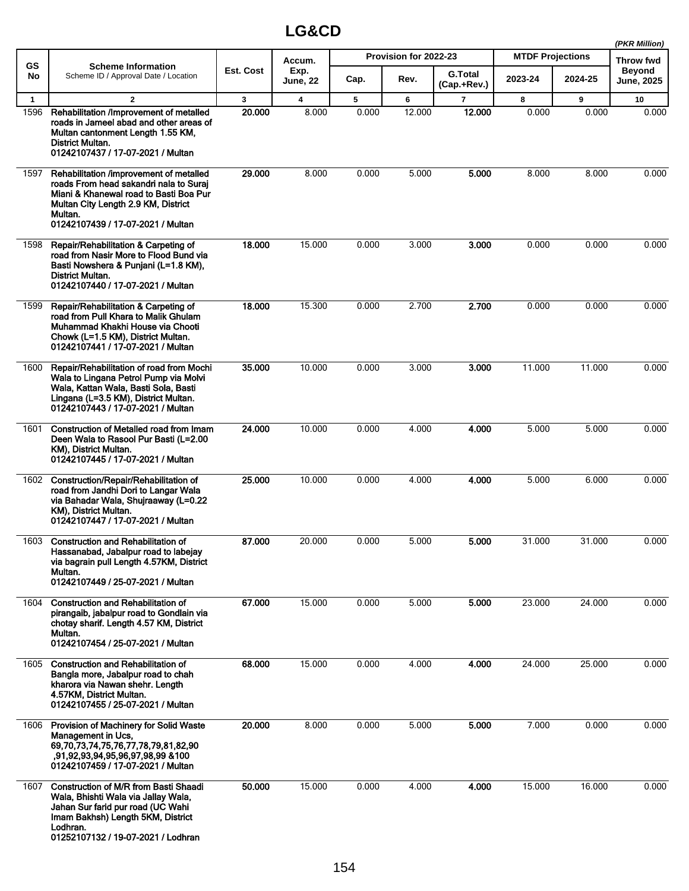|              |                                                                                                                                                                                                                    |                  |                         |       |                       |                               |                         |         | (PKR Million)               |
|--------------|--------------------------------------------------------------------------------------------------------------------------------------------------------------------------------------------------------------------|------------------|-------------------------|-------|-----------------------|-------------------------------|-------------------------|---------|-----------------------------|
| <b>GS</b>    | <b>Scheme Information</b>                                                                                                                                                                                          |                  | Accum.                  |       | Provision for 2022-23 |                               | <b>MTDF Projections</b> |         | <b>Throw fwd</b>            |
| No           | Scheme ID / Approval Date / Location                                                                                                                                                                               | <b>Est. Cost</b> | Exp.<br><b>June, 22</b> | Cap.  | Rev.                  | <b>G.Total</b><br>(Cap.+Rev.) | 2023-24                 | 2024-25 | <b>Beyond</b><br>June, 2025 |
| $\mathbf{1}$ | 2                                                                                                                                                                                                                  | 3                | 4                       | 5     | 6                     | $\overline{7}$                | 8                       | 9       | 10                          |
| 1596         | Rehabilitation /Improvement of metalled<br>roads in Jameel abad and other areas of<br>Multan cantonment Length 1.55 KM,<br>District Multan.<br>01242107437 / 17-07-2021 / Multan                                   | 20.000           | 8.000                   | 0.000 | 12.000                | 12.000                        | 0.000                   | 0.000   | 0.000                       |
| 1597         | Rehabilitation /improvement of metalled<br>roads From head sakandri nala to Suraj<br>Miani & Khanewal road to Basti Boa Pur<br>Multan City Length 2.9 KM, District<br>Multan.<br>01242107439 / 17-07-2021 / Multan | 29,000           | 8.000                   | 0.000 | 5.000                 | 5.000                         | 8.000                   | 8.000   | 0.000                       |
| 1598         | Repair/Rehabilitation & Carpeting of<br>road from Nasir More to Flood Bund via<br>Basti Nowshera & Punjani (L=1.8 KM),<br>District Multan.<br>01242107440 / 17-07-2021 / Multan                                    | 18.000           | 15.000                  | 0.000 | 3.000                 | 3.000                         | 0.000                   | 0.000   | 0.000                       |
| 1599         | Repair/Rehabilitation & Carpeting of<br>road from Pull Khara to Malik Ghulam<br>Muhammad Khakhi House via Chooti<br>Chowk (L=1.5 KM), District Multan.<br>01242107441 / 17-07-2021 / Multan                        | 18.000           | 15.300                  | 0.000 | 2.700                 | 2.700                         | 0.000                   | 0.000   | 0.000                       |
| 1600         | Repair/Rehabilitation of road from Mochi<br>Wala to Lingana Petrol Pump via Molvi<br>Wala, Kattan Wala, Basti Sola, Basti<br>Lingana (L=3.5 KM), District Multan.<br>01242107443 / 17-07-2021 / Multan             | 35,000           | 10.000                  | 0.000 | 3.000                 | 3.000                         | 11.000                  | 11.000  | 0.000                       |
| 1601         | Construction of Metalled road from Imam<br>Deen Wala to Rasool Pur Basti (L=2.00<br>KM), District Multan.<br>01242107445 / 17-07-2021 / Multan                                                                     | 24.000           | 10.000                  | 0.000 | 4.000                 | 4.000                         | 5.000                   | 5.000   | 0.000                       |
| 1602         | Construction/Repair/Rehabilitation of<br>road from Jandhi Dori to Langar Wala<br>via Bahadar Wala, Shujraaway (L=0.22<br>KM), District Multan.<br>01242107447 / 17-07-2021 / Multan                                | 25.000           | 10.000                  | 0.000 | 4.000                 | 4.000                         | 5.000                   | 6.000   | 0.000                       |
| 1603         | <b>Construction and Rehabilitation of</b><br>Hassanabad, Jabalpur road to labejay<br>via bagrain pull Length 4.57KM, District<br>Multan.<br>01242107449 / 25-07-2021 / Multan                                      | 87.000           | 20.000                  | 0.000 | 5.000                 | 5.000                         | 31.000                  | 31.000  | 0.000                       |
| 1604         | <b>Construction and Rehabilitation of</b><br>pirangaib, jabalpur road to Gondlain via<br>chotay sharif. Length 4.57 KM, District<br>Multan.<br>01242107454 / 25-07-2021 / Multan                                   | 67.000           | 15.000                  | 0.000 | 5.000                 | 5.000                         | 23.000                  | 24.000  | 0.000                       |
| 1605         | <b>Construction and Rehabilitation of</b><br>Bangla more, Jabalpur road to chah<br>kharora via Nawan shehr. Length<br>4.57KM, District Multan.<br>01242107455 / 25-07-2021 / Multan                                | 68.000           | 15.000                  | 0.000 | 4.000                 | 4.000                         | 24.000                  | 25.000  | 0.000                       |
| 1606         | Provision of Machinery for Solid Waste<br>Management in Ucs,<br>69, 70, 73, 74, 75, 76, 77, 78, 79, 81, 82, 90<br>,91,92,93,94,95,96,97,98,99 &100<br>01242107459 / 17-07-2021 / Multan                            | 20.000           | 8.000                   | 0.000 | 5.000                 | 5.000                         | 7.000                   | 0.000   | 0.000                       |
| 1607         | <b>Construction of M/R from Basti Shaadi</b><br>Wala, Bhishti Wala via Jallay Wala,<br>Jahan Sur farid pur road (UC Wahi<br>Imam Bakhsh) Length 5KM, District<br>Lodhran.<br>01252107132 / 19-07-2021 / Lodhran    | 50.000           | 15.000                  | 0.000 | 4.000                 | 4.000                         | 15.000                  | 16.000  | 0.000                       |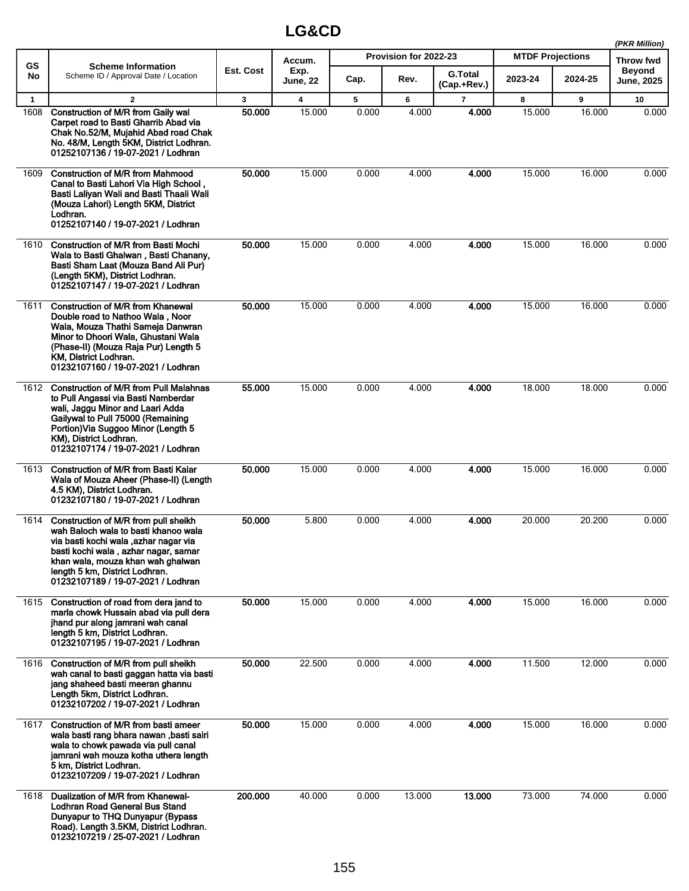|              |                                                                                                                                                                                                                                                                            |           |                         |       |                       |                               |                         |         | (PKR Million)               |
|--------------|----------------------------------------------------------------------------------------------------------------------------------------------------------------------------------------------------------------------------------------------------------------------------|-----------|-------------------------|-------|-----------------------|-------------------------------|-------------------------|---------|-----------------------------|
| <b>GS</b>    | <b>Scheme Information</b>                                                                                                                                                                                                                                                  |           | Accum.                  |       | Provision for 2022-23 |                               | <b>MTDF Projections</b> |         | <b>Throw fwd</b>            |
| No           | Scheme ID / Approval Date / Location                                                                                                                                                                                                                                       | Est. Cost | Exp.<br><b>June, 22</b> | Cap.  | Rev.                  | <b>G.Total</b><br>(Cap.+Rev.) | 2023-24                 | 2024-25 | <b>Beyond</b><br>June, 2025 |
| $\mathbf{1}$ | $\overline{\mathbf{2}}$                                                                                                                                                                                                                                                    | 3         | 4                       | 5     | 6                     | $\overline{7}$                | 8                       | 9       | 10                          |
| 1608         | Construction of M/R from Gaily wal<br>Carpet road to Basti Gharrib Abad via<br>Chak No.52/M, Mujahid Abad road Chak<br>No. 48/M, Length 5KM, District Lodhran.<br>01252107136 / 19-07-2021 / Lodhran                                                                       | 50,000    | 15.000                  | 0.000 | 4.000                 | 4.000                         | 15.000                  | 16.000  | 0.000                       |
| 1609         | <b>Construction of M/R from Mahmood</b><br>Canal to Basti Lahori Via High School,<br>Basti Laliyan Wali and Basti Thaali Wali<br>(Mouza Lahori) Length 5KM, District<br>Lodhran.<br>01252107140 / 19-07-2021 / Lodhran                                                     | 50.000    | 15.000                  | 0.000 | 4.000                 | 4.000                         | 15.000                  | 16.000  | 0.000                       |
| 1610         | <b>Construction of M/R from Basti Mochi</b><br>Wala to Basti Ghalwan, Basti Chanany,<br>Basti Sham Laat (Mouza Band Ali Pur)<br>(Length 5KM), District Lodhran.<br>01252107147 / 19-07-2021 / Lodhran                                                                      | 50,000    | 15.000                  | 0.000 | 4.000                 | 4.000                         | 15.000                  | 16.000  | 0.000                       |
| 1611         | <b>Construction of M/R from Khanewal</b><br>Double road to Nathoo Wala, Noor<br>Wala, Mouza Thathi Sameja Danwran<br>Minor to Dhoori Wala, Ghustani Wala<br>(Phase-II) (Mouza Raja Pur) Length 5<br>KM, District Lodhran.<br>01232107160 / 19-07-2021 / Lodhran            | 50.000    | 15.000                  | 0.000 | 4.000                 | 4.000                         | 15.000                  | 16.000  | 0.000                       |
| 1612         | <b>Construction of M/R from Pull Malahnas</b><br>to Pull Angassi via Basti Namberdar<br>wali, Jaggu Minor and Laari Adda<br>Gailywal to Pull 75000 (Remaining<br>Portion) Via Suggoo Minor (Length 5<br>KM), District Lodhran.<br>01232107174 / 19-07-2021 / Lodhran       | 55.000    | 15.000                  | 0.000 | 4.000                 | 4.000                         | 18.000                  | 18.000  | 0.000                       |
| 1613         | <b>Construction of M/R from Basti Kalar</b><br>Wala of Mouza Aheer (Phase-II) (Length<br>4.5 KM), District Lodhran.<br>01232107180 / 19-07-2021 / Lodhran                                                                                                                  | 50,000    | 15.000                  | 0.000 | 4.000                 | 4.000                         | 15.000                  | 16.000  | 0.000                       |
| 1614         | Construction of M/R from pull sheikh<br>wah Baloch wala to basti khanoo wala<br>via basti kochi wala ,azhar nagar via<br>basti kochi wala, azhar nagar, samar<br>khan wala, mouza khan wah ghalwan<br>length 5 km, District Lodhran.<br>01232107189 / 19-07-2021 / Lodhran | 50.000    | 5.800                   | 0.000 | 4.000                 | 4.000                         | 20.000                  | 20.200  | 0.000                       |
| 1615         | Construction of road from dera jand to<br>marla chowk Hussain abad via pull dera<br>jhand pur along jamrani wah canal<br>length 5 km, District Lodhran.<br>01232107195 / 19-07-2021 / Lodhran                                                                              | 50.000    | 15.000                  | 0.000 | 4.000                 | 4.000                         | 15.000                  | 16.000  | 0.000                       |
| 1616         | Construction of M/R from pull sheikh<br>wah canal to basti gaggan hatta via basti<br>iang shaheed basti meeran ghannu<br>Length 5km, District Lodhran.<br>01232107202 / 19-07-2021 / Lodhran                                                                               | 50.000    | 22.500                  | 0.000 | 4.000                 | 4.000                         | 11.500                  | 12.000  | 0.000                       |
| 1617         | Construction of M/R from basti ameer<br>wala basti rang bhara nawan ,basti sairi<br>wala to chowk pawada via pull canal<br>jamrani wah mouza kotha uthera length<br>5 km, District Lodhran.<br>01232107209 / 19-07-2021 / Lodhran                                          | 50.000    | 15.000                  | 0.000 | 4.000                 | 4.000                         | 15.000                  | 16.000  | 0.000                       |
| 1618         | Dualization of M/R from Khanewal-<br>Lodhran Road General Bus Stand<br>Dunyapur to THQ Dunyapur (Bypass<br>Road). Length 3.5KM, District Lodhran.<br>01232107219 / 25-07-2021 / Lodhran                                                                                    | 200.000   | 40.000                  | 0.000 | 13.000                | 13.000                        | 73.000                  | 74.000  | 0.000                       |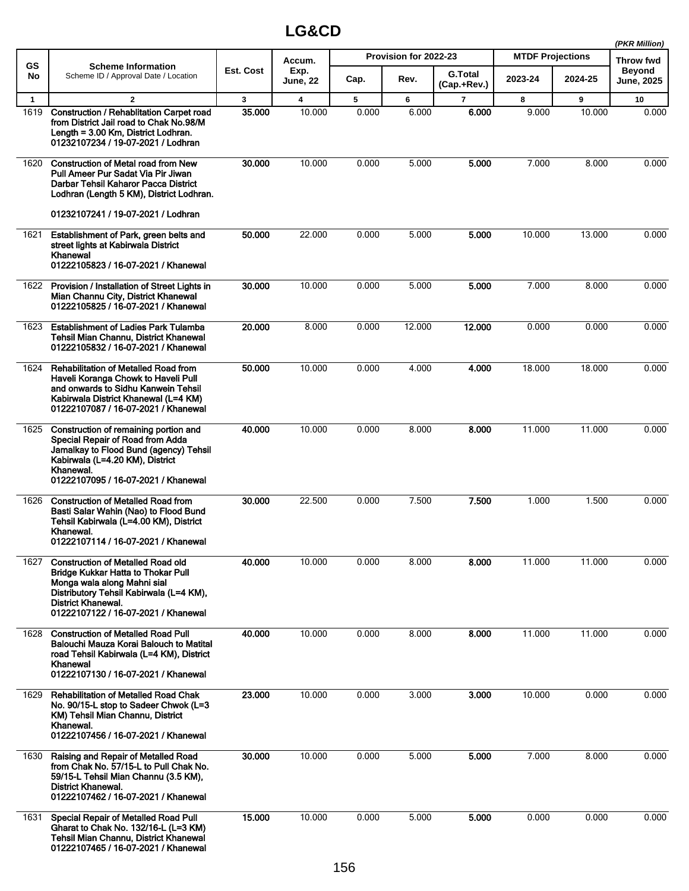|                      |                                                                                                                                                                                                                                     |                        |                                   |            |                       |                         |                         |             | (PKR Million)              |
|----------------------|-------------------------------------------------------------------------------------------------------------------------------------------------------------------------------------------------------------------------------------|------------------------|-----------------------------------|------------|-----------------------|-------------------------|-------------------------|-------------|----------------------------|
| <b>GS</b>            | <b>Scheme Information</b>                                                                                                                                                                                                           |                        | Accum.                            |            | Provision for 2022-23 |                         | <b>MTDF Projections</b> |             | <b>Throw fwd</b><br>Beyond |
| No                   | Scheme ID / Approval Date / Location                                                                                                                                                                                                | Est. Cost              | Exp.<br><b>June, 22</b>           | Cap.       | Rev.                  | G.Total<br>(Cap.+Rev.)  | 2023-24                 | 2024-25     | June, 2025                 |
| $\mathbf{1}$<br>1619 | $\mathbf{2}$<br>Construction / Rehablitation Carpet road<br>from District Jail road to Chak No.98/M<br>Length = 3.00 Km, District Lodhran.<br>01232107234 / 19-07-2021 / Lodhran                                                    | $\mathbf{3}$<br>35.000 | $\overline{\mathbf{4}}$<br>10.000 | 5<br>0.000 | 6<br>6.000            | $\overline{7}$<br>6.000 | 8<br>9.000              | 9<br>10.000 | 10<br>0.000                |
| 1620                 | <b>Construction of Metal road from New</b><br>Pull Ameer Pur Sadat Via Pir Jiwan<br>Darbar Tehsil Kaharor Pacca District<br>Lodhran (Length 5 KM), District Lodhran.<br>01232107241 / 19-07-2021 / Lodhran                          | 30.000                 | 10.000                            | 0.000      | 5.000                 | 5.000                   | 7.000                   | 8.000       | 0.000                      |
| 1621                 | Establishment of Park, green belts and<br>street lights at Kabirwala District<br>Khanewal<br>01222105823 / 16-07-2021 / Khanewal                                                                                                    | 50.000                 | 22.000                            | 0.000      | 5.000                 | 5.000                   | 10.000                  | 13.000      | 0.000                      |
| 1622                 | Provision / Installation of Street Lights in<br>Mian Channu City, District Khanewal<br>01222105825 / 16-07-2021 / Khanewal                                                                                                          | 30.000                 | 10.000                            | 0.000      | 5.000                 | 5.000                   | 7.000                   | 8.000       | 0.000                      |
| 1623                 | <b>Establishment of Ladies Park Tulamba</b><br>Tehsil Mian Channu, District Khanewal<br>01222105832 / 16-07-2021 / Khanewal                                                                                                         | 20.000                 | 8.000                             | 0.000      | 12.000                | 12.000                  | 0.000                   | 0.000       | 0.000                      |
| 1624                 | <b>Rehabilitation of Metalled Road from</b><br>Haveli Koranga Chowk to Haveli Pull<br>and onwards to Sidhu Kanwein Tehsil<br>Kabirwala District Khanewal (L=4 KM)<br>01222107087 / 16-07-2021 / Khanewal                            | 50.000                 | 10.000                            | 0.000      | 4.000                 | 4.000                   | 18.000                  | 18.000      | 0.000                      |
| 1625                 | Construction of remaining portion and<br>Special Repair of Road from Adda<br>Jamalkay to Flood Bund (agency) Tehsil<br>Kabirwala (L=4.20 KM), District<br>Khanewal.<br>01222107095 / 16-07-2021 / Khanewal                          | 40.000                 | 10.000                            | 0.000      | 8.000                 | 8.000                   | 11.000                  | 11.000      | 0.000                      |
| 1626                 | <b>Construction of Metalled Road from</b><br>Basti Salar Wahin (Nao) to Flood Bund<br>Tehsil Kabirwala (L=4.00 KM), District<br>Khanewal.<br>01222107114 / 16-07-2021 / Khanewal                                                    | 30.000                 | 22.500                            | 0.000      | 7.500                 | 7.500                   | 1.000                   | 1.500       | 0.000                      |
| 1627                 | <b>Construction of Metalled Road old</b><br><b>Bridge Kukkar Hatta to Thokar Pull</b><br>Monga wala along Mahni sial<br>Distributory Tehsil Kabirwala (L=4 KM),<br><b>District Khanewal.</b><br>01222107122 / 16-07-2021 / Khanewal | 40.000                 | 10.000                            | 0.000      | 8.000                 | 8.000                   | 11.000                  | 11.000      | 0.000                      |
| 1628                 | <b>Construction of Metalled Road Pull</b><br>Balouchi Mauza Korai Balouch to Matital<br>road Tehsil Kabirwala (L=4 KM), District<br>Khanewal<br>01222107130 / 16-07-2021 / Khanewal                                                 | 40.000                 | 10.000                            | 0.000      | 8.000                 | 8.000                   | 11.000                  | 11.000      | 0.000                      |
| 1629                 | <b>Rehabilitation of Metalled Road Chak</b><br>No. 90/15-L stop to Sadeer Chwok (L=3<br>KM) Tehsil Mian Channu, District<br>Khanewal.<br>01222107456 / 16-07-2021 / Khanewal                                                        | 23.000                 | 10.000                            | 0.000      | 3.000                 | 3.000                   | 10.000                  | 0.000       | 0.000                      |
| 1630                 | Raising and Repair of Metalled Road<br>from Chak No. 57/15-L to Pull Chak No.<br>59/15-L Tehsil Mian Channu (3.5 KM),<br><b>District Khanewal.</b><br>01222107462 / 16-07-2021 / Khanewal                                           | 30.000                 | 10.000                            | 0.000      | 5.000                 | 5.000                   | 7.000                   | 8.000       | 0.000                      |
| 1631                 | <b>Special Repair of Metalled Road Pull</b><br>Gharat to Chak No. 132/16-L (L=3 KM)<br>Tehsil Mian Channu, District Khanewal<br>01222107465 / 16-07-2021 / Khanewal                                                                 | 15.000                 | 10.000                            | 0.000      | 5.000                 | 5.000                   | 0.000                   | 0.000       | 0.000                      |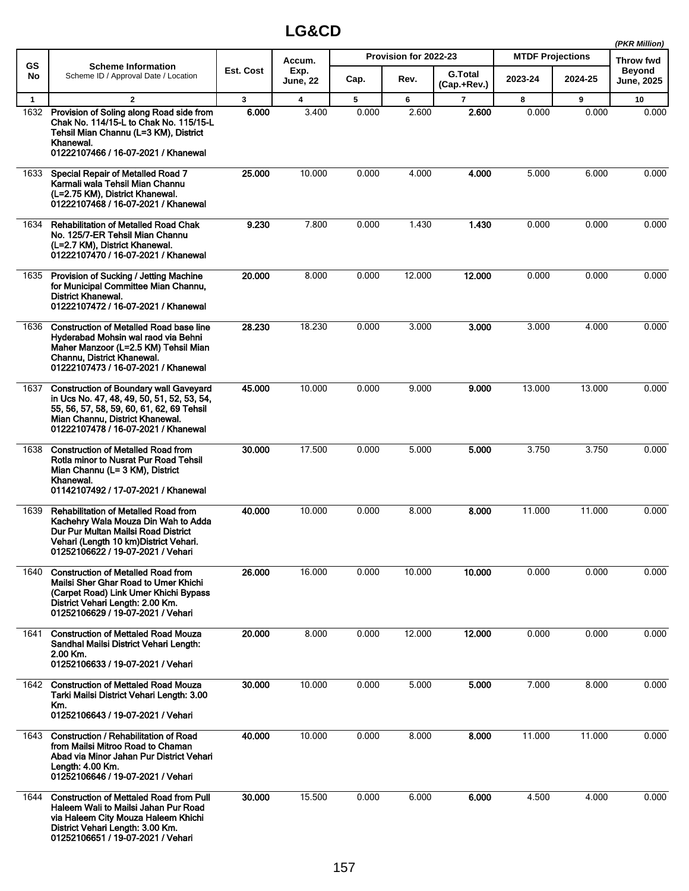|              |                                                                                                                                                                                                                    |           |                 |       |                       |                               |         |                         | (PKR Million)                      |
|--------------|--------------------------------------------------------------------------------------------------------------------------------------------------------------------------------------------------------------------|-----------|-----------------|-------|-----------------------|-------------------------------|---------|-------------------------|------------------------------------|
| <b>GS</b>    | <b>Scheme Information</b>                                                                                                                                                                                          | Est. Cost | Accum.<br>Exp.  |       | Provision for 2022-23 |                               |         | <b>MTDF Projections</b> |                                    |
| No           | Scheme ID / Approval Date / Location                                                                                                                                                                               |           | <b>June, 22</b> | Cap.  | Rev.                  | <b>G.Total</b><br>(Cap.+Rev.) | 2023-24 | 2024-25                 | <b>Beyond</b><br><b>June, 2025</b> |
| $\mathbf{1}$ | $\mathbf{2}$                                                                                                                                                                                                       | 3         | 4               | 5     | 6                     | $\overline{7}$                | 8       | 9                       | 10                                 |
| 1632         | Provision of Soling along Road side from<br>Chak No. 114/15-L to Chak No. 115/15-L<br>Tehsil Mian Channu (L=3 KM), District<br>Khanewal.<br>01222107466 / 16-07-2021 / Khanewal                                    | 6.000     | 3.400           | 0.000 | 2.600                 | 2.600                         | 0.000   | 0.000                   | 0.000                              |
| 1633         | Special Repair of Metalled Road 7<br>Karmali wala Tehsil Mian Channu<br>(L=2.75 KM), District Khanewal.<br>01222107468 / 16-07-2021 / Khanewal                                                                     | 25.000    | 10.000          | 0.000 | 4.000                 | 4.000                         | 5.000   | 6.000                   | 0.000                              |
| 1634         | <b>Rehabilitation of Metalled Road Chak</b><br>No. 125/7-ER Tehsil Mian Channu<br>(L=2.7 KM), District Khanewal.<br>01222107470 / 16-07-2021 / Khanewal                                                            | 9.230     | 7.800           | 0.000 | 1.430                 | 1.430                         | 0.000   | 0.000                   | 0.000                              |
| 1635         | Provision of Sucking / Jetting Machine<br>for Municipal Committee Mian Channu,<br>District Khanewal.<br>01222107472 / 16-07-2021 / Khanewal                                                                        | 20.000    | 8.000           | 0.000 | 12.000                | 12.000                        | 0.000   | 0.000                   | 0.000                              |
| 1636         | <b>Construction of Metalled Road base line</b><br>Hyderabad Mohsin wal raod via Behni<br>Maher Manzoor (L=2.5 KM) Tehsil Mian<br>Channu, District Khanewal.<br>01222107473 / 16-07-2021 / Khanewal                 | 28.230    | 18.230          | 0.000 | 3.000                 | 3.000                         | 3.000   | 4.000                   | 0.000                              |
| 1637         | <b>Construction of Boundary wall Gaveyard</b><br>in Ucs No. 47, 48, 49, 50, 51, 52, 53, 54,<br>55, 56, 57, 58, 59, 60, 61, 62, 69 Tehsil<br>Mian Channu, District Khanewal.<br>01222107478 / 16-07-2021 / Khanewal | 45.000    | 10.000          | 0.000 | 9.000                 | 9.000                         | 13.000  | 13.000                  | 0.000                              |
| 1638         | <b>Construction of Metalled Road from</b><br>Rotla minor to Nusrat Pur Road Tehsil<br>Mian Channu (L= 3 KM), District<br>Khanewal.<br>01142107492 / 17-07-2021 / Khanewal                                          | 30.000    | 17.500          | 0.000 | 5.000                 | 5.000                         | 3.750   | 3.750                   | 0.000                              |
| 1639         | <b>Rehabilitation of Metalled Road from</b><br>Kachehry Wala Mouza Din Wah to Adda<br>Dur Pur Multan Mailsi Road District<br>Vehari (Length 10 km) District Vehari.<br>01252106622 / 19-07-2021 / Vehari           | 40.000    | 10.000          | 0.000 | 8.000                 | 8.000                         | 11.000  | 11.000                  | 0.000                              |
| 1640         | <b>Construction of Metalled Road from</b><br>Mailsi Sher Ghar Road to Umer Khichi<br>(Carpet Road) Link Umer Khichi Bypass<br>District Vehari Length: 2.00 Km.<br>01252106629 / 19-07-2021 / Vehari                | 26.000    | 16.000          | 0.000 | 10.000                | 10.000                        | 0.000   | 0.000                   | 0.000                              |
| 1641         | <b>Construction of Mettaled Road Mouza</b><br>Sandhal Mailsi District Vehari Length:<br>2.00 Km.<br>01252106633 / 19-07-2021 / Vehari                                                                              | 20.000    | 8.000           | 0.000 | 12.000                | 12.000                        | 0.000   | 0.000                   | 0.000                              |
| 1642         | <b>Construction of Mettaled Road Mouza</b><br>Tarki Mailsi District Vehari Length: 3.00<br>Km.<br>01252106643 / 19-07-2021 / Vehari                                                                                | 30.000    | 10.000          | 0.000 | 5.000                 | 5.000                         | 7.000   | 8.000                   | 0.000                              |
| 1643         | <b>Construction / Rehabilitation of Road</b><br>from Mailsi Mitroo Road to Chaman<br>Abad via Minor Jahan Pur District Vehari<br>Length: 4.00 Km.<br>01252106646 / 19-07-2021 / Vehari                             | 40.000    | 10.000          | 0.000 | 8.000                 | 8.000                         | 11.000  | 11.000                  | 0.000                              |
| 1644         | <b>Construction of Mettaled Road from Pull</b><br>Haleem Wali to Mailsi Jahan Pur Road<br>via Haleem City Mouza Haleem Khichi<br>District Vehari Length: 3.00 Km.<br>01252106651 / 19-07-2021 / Vehari             | 30.000    | 15.500          | 0.000 | 6.000                 | 6.000                         | 4.500   | 4.000                   | 0.000                              |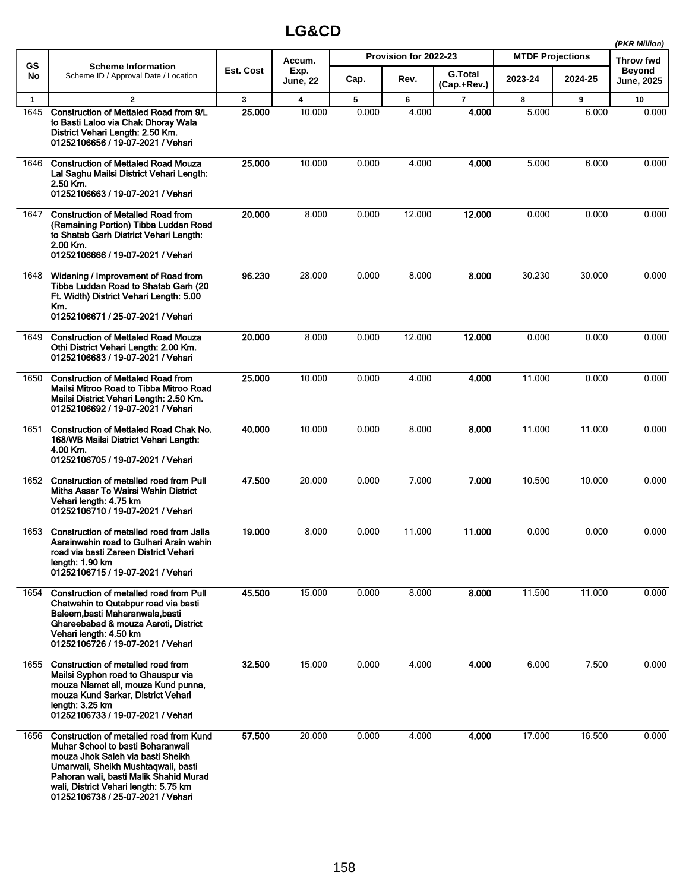|              |                                                                                                                                                                                                                                                                                  |              |                         |       |                       |                               |                         |         | (PKR Million)               |
|--------------|----------------------------------------------------------------------------------------------------------------------------------------------------------------------------------------------------------------------------------------------------------------------------------|--------------|-------------------------|-------|-----------------------|-------------------------------|-------------------------|---------|-----------------------------|
| <b>GS</b>    | <b>Scheme Information</b>                                                                                                                                                                                                                                                        |              | Accum.                  |       | Provision for 2022-23 |                               | <b>MTDF Projections</b> |         | <b>Throw fwd</b>            |
| No           | Scheme ID / Approval Date / Location                                                                                                                                                                                                                                             | Est. Cost    | Exp.<br><b>June, 22</b> | Cap.  | Rev.                  | <b>G.Total</b><br>(Cap.+Rev.) | 2023-24                 | 2024-25 | <b>Beyond</b><br>June, 2025 |
| $\mathbf{1}$ | $\mathbf{2}$                                                                                                                                                                                                                                                                     | $\mathbf{3}$ | 4                       | 5     | 6                     | $\overline{7}$                | 8                       | 9       | 10                          |
| 1645         | <b>Construction of Mettaled Road from 9/L</b><br>to Basti Laloo via Chak Dhoray Wala<br>District Vehari Length: 2.50 Km.<br>01252106656 / 19-07-2021 / Vehari                                                                                                                    | 25.000       | 10.000                  | 0.000 | 4.000                 | 4.000                         | 5.000                   | 6.000   | 0.000                       |
| 1646         | <b>Construction of Mettaled Road Mouza</b><br>Lal Saghu Mailsi District Vehari Length:<br>2.50 Km.<br>01252106663 / 19-07-2021 / Vehari                                                                                                                                          | 25,000       | 10.000                  | 0.000 | 4.000                 | 4.000                         | 5.000                   | 6.000   | 0.000                       |
| 1647         | <b>Construction of Metalled Road from</b><br>(Remaining Portion) Tibba Luddan Road<br>to Shatab Garh District Vehari Length:<br>2.00 Km.<br>01252106666 / 19-07-2021 / Vehari                                                                                                    | 20.000       | 8.000                   | 0.000 | 12.000                | 12.000                        | 0.000                   | 0.000   | 0.000                       |
| 1648         | Widening / Improvement of Road from<br>Tibba Luddan Road to Shatab Garh (20<br>Ft. Width) District Vehari Length: 5.00<br>Km.<br>01252106671 / 25-07-2021 / Vehari                                                                                                               | 96.230       | 28.000                  | 0.000 | 8.000                 | 8.000                         | 30.230                  | 30.000  | 0.000                       |
| 1649         | <b>Construction of Mettaled Road Mouza</b><br>Othi District Vehari Length: 2.00 Km.<br>01252106683 / 19-07-2021 / Vehari                                                                                                                                                         | 20.000       | 8.000                   | 0.000 | 12.000                | 12.000                        | 0.000                   | 0.000   | 0.000                       |
| 1650         | <b>Construction of Mettaled Road from</b><br>Mailsi Mitroo Road to Tibba Mitroo Road<br>Mailsi District Vehari Length: 2.50 Km.<br>01252106692 / 19-07-2021 / Vehari                                                                                                             | 25.000       | 10.000                  | 0.000 | 4.000                 | 4.000                         | 11.000                  | 0.000   | 0.000                       |
| 1651         | <b>Construction of Mettaled Road Chak No.</b><br>168/WB Mailsi District Vehari Length:<br>4.00 Km.<br>01252106705 / 19-07-2021 / Vehari                                                                                                                                          | 40.000       | 10.000                  | 0.000 | 8.000                 | 8.000                         | 11.000                  | 11.000  | 0.000                       |
| 1652         | Construction of metalled road from Pull<br>Mitha Assar To Wairsi Wahin District<br>Vehari length: 4.75 km<br>01252106710 / 19-07-2021 / Vehari                                                                                                                                   | 47.500       | 20.000                  | 0.000 | 7.000                 | 7.000                         | 10.500                  | 10.000  | 0.000                       |
| 1653         | Construction of metalled road from Jalla<br>Aarainwahin road to Gulhari Arain wahin<br>road via basti Zareen District Vehari<br>length: 1.90 km<br>01252106715 / 19-07-2021 / Vehari                                                                                             | 19.000       | 8.000                   | 0.000 | 11.000                | 11.000                        | 0.000                   | 0.000   | 0.000                       |
| 1654         | Construction of metalled road from Pull<br>Chatwahin to Qutabpur road via basti<br>Baleem, basti Maharanwala, basti<br>Ghareebabad & mouza Aaroti, District<br>Vehari length: 4.50 km<br>01252106726 / 19-07-2021 / Vehari                                                       | 45.500       | 15.000                  | 0.000 | 8.000                 | 8.000                         | 11.500                  | 11.000  | 0.000                       |
| 1655         | Construction of metalled road from<br>Mailsi Syphon road to Ghauspur via<br>mouza Niamat ali, mouza Kund punna,<br>mouza Kund Sarkar, District Vehari<br>length: 3.25 km<br>01252106733 / 19-07-2021 / Vehari                                                                    | 32.500       | 15.000                  | 0.000 | 4.000                 | 4.000                         | 6.000                   | 7.500   | 0.000                       |
| 1656         | Construction of metalled road from Kund<br>Muhar School to basti Boharanwali<br>mouza Jhok Saleh via basti Sheikh<br>Umarwali, Sheikh Mushtaqwali, basti<br>Pahoran wali, basti Malik Shahid Murad<br>wali, District Vehari length: 5.75 km<br>01252106738 / 25-07-2021 / Vehari | 57.500       | 20.000                  | 0.000 | 4.000                 | 4.000                         | 17.000                  | 16.500  | 0.000                       |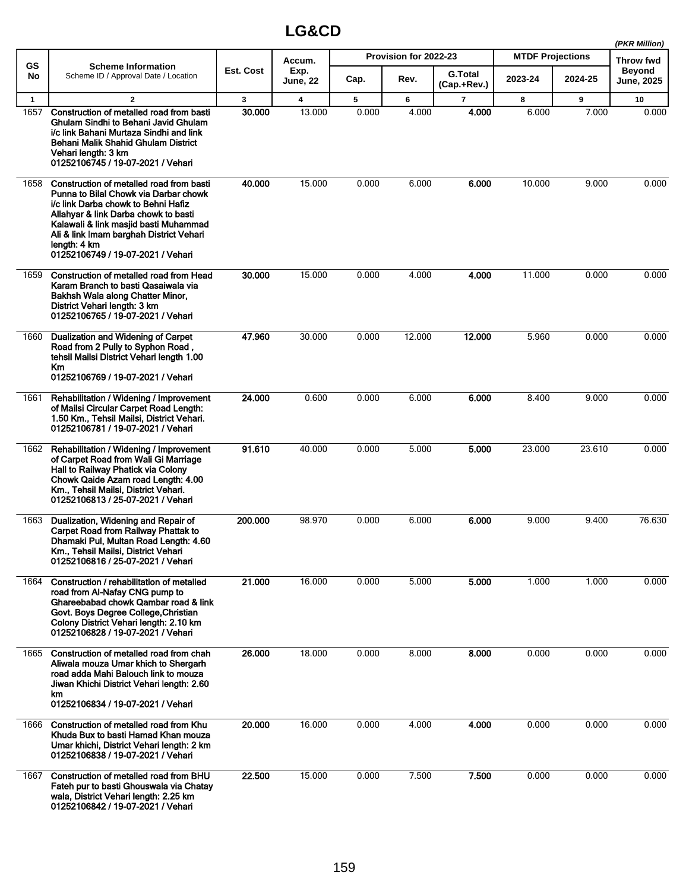|              |                                                                                                                                                                                                                                                                                                           |           |                  |       |                       |                               |                         |         | (PKR Million)                      |
|--------------|-----------------------------------------------------------------------------------------------------------------------------------------------------------------------------------------------------------------------------------------------------------------------------------------------------------|-----------|------------------|-------|-----------------------|-------------------------------|-------------------------|---------|------------------------------------|
| GS           | <b>Scheme Information</b>                                                                                                                                                                                                                                                                                 |           | Accum.           |       | Provision for 2022-23 |                               | <b>MTDF Projections</b> |         | <b>Throw fwd</b>                   |
| No           | Scheme ID / Approval Date / Location                                                                                                                                                                                                                                                                      | Est. Cost | Exp.<br>June, 22 | Cap.  | Rev.                  | <b>G.Total</b><br>(Cap.+Rev.) | 2023-24                 | 2024-25 | <b>Beyond</b><br><b>June, 2025</b> |
| $\mathbf{1}$ | $\mathbf{2}$                                                                                                                                                                                                                                                                                              | 3         | 4                | 5     | 6                     | 7                             | 8                       | 9       | 10                                 |
| 1657         | Construction of metalled road from basti<br>Ghulam Sindhi to Behani Javid Ghulam<br>i/c link Bahani Murtaza Sindhi and link<br>Behani Malik Shahid Ghulam District<br>Vehari length: 3 km<br>01252106745 / 19-07-2021 / Vehari                                                                            | 30.000    | 13.000           | 0.000 | 4.000                 | 4.000                         | 6.000                   | 7.000   | 0.000                              |
| 1658         | Construction of metalled road from basti<br>Punna to Bilal Chowk via Darbar chowk<br>i/c link Darba chowk to Behni Hafiz<br>Allahyar & link Darba chowk to basti<br>Kalawali & link masjid basti Muhammad<br>Ali & link Imam barghah District Vehari<br>length: 4 km<br>01252106749 / 19-07-2021 / Vehari | 40.000    | 15.000           | 0.000 | 6.000                 | 6.000                         | 10.000                  | 9.000   | 0.000                              |
| 1659         | Construction of metalled road from Head<br>Karam Branch to basti Qasaiwala via<br>Bakhsh Wala along Chatter Minor,<br>District Vehari length: 3 km<br>01252106765 / 19-07-2021 / Vehari                                                                                                                   | 30,000    | 15.000           | 0.000 | 4.000                 | 4.000                         | 11.000                  | 0.000   | 0.000                              |
| 1660         | Dualization and Widening of Carpet<br>Road from 2 Pully to Syphon Road,<br>tehsil Mailsi District Vehari length 1.00<br><b>Km</b><br>01252106769 / 19-07-2021 / Vehari                                                                                                                                    | 47.960    | 30.000           | 0.000 | 12.000                | 12.000                        | 5.960                   | 0.000   | 0.000                              |
| 1661         | Rehabilitation / Widening / Improvement<br>of Mailsi Circular Carpet Road Length:<br>1.50 Km., Tehsil Mailsi, District Vehari.<br>01252106781 / 19-07-2021 / Vehari                                                                                                                                       | 24.000    | 0.600            | 0.000 | 6.000                 | 6.000                         | 8.400                   | 9.000   | 0.000                              |
| 1662         | Rehabilitation / Widening / Improvement<br>of Carpet Road from Wali Gi Marriage<br>Hall to Railway Phatick via Colony<br>Chowk Qaide Azam road Length: 4.00<br>Km., Tehsil Mailsi, District Vehari.<br>01252106813 / 25-07-2021 / Vehari                                                                  | 91.610    | 40.000           | 0.000 | 5.000                 | 5.000                         | 23.000                  | 23.610  | 0.000                              |
| 1663         | Dualization, Widening and Repair of<br>Carpet Road from Railway Phattak to<br>Dhamaki Pul, Multan Road Length: 4.60<br>Km., Tehsil Mailsi, District Vehari<br>01252106816 / 25-07-2021 / Vehari                                                                                                           | 200.000   | 98.970           | 0.000 | 6.000                 | 6.000                         | 9.000                   | 9.400   | 76.630                             |
| 1664         | Construction / rehabilitation of metalled<br>road from Al-Nafay CNG pump to<br>Ghareebabad chowk Qambar road & link<br>Govt. Boys Degree College, Christian<br>Colony District Vehari length: 2.10 km<br>01252106828 / 19-07-2021 / Vehari                                                                | 21.000    | 16.000           | 0.000 | 5.000                 | 5.000                         | 1.000                   | 1.000   | 0.000                              |
| 1665         | Construction of metalled road from chah<br>Aliwala mouza Umar khich to Shergarh<br>road adda Mahi Balouch link to mouza<br>Jiwan Khichi District Vehari length: 2.60<br>km<br>01252106834 / 19-07-2021 / Vehari                                                                                           | 26.000    | 18.000           | 0.000 | 8.000                 | 8.000                         | 0.000                   | 0.000   | 0.000                              |
| 1666         | Construction of metalled road from Khu<br>Khuda Bux to basti Hamad Khan mouza<br>Umar khichi, District Vehari length: 2 km<br>01252106838 / 19-07-2021 / Vehari                                                                                                                                           | 20.000    | 16.000           | 0.000 | 4.000                 | 4.000                         | 0.000                   | 0.000   | 0.000                              |
| 1667         | Construction of metalled road from BHU<br>Fateh pur to basti Ghouswala via Chatay<br>wala, District Vehari length: 2.25 km<br>01252106842 / 19-07-2021 / Vehari                                                                                                                                           | 22.500    | 15.000           | 0.000 | 7.500                 | 7.500                         | 0.000                   | 0.000   | 0.000                              |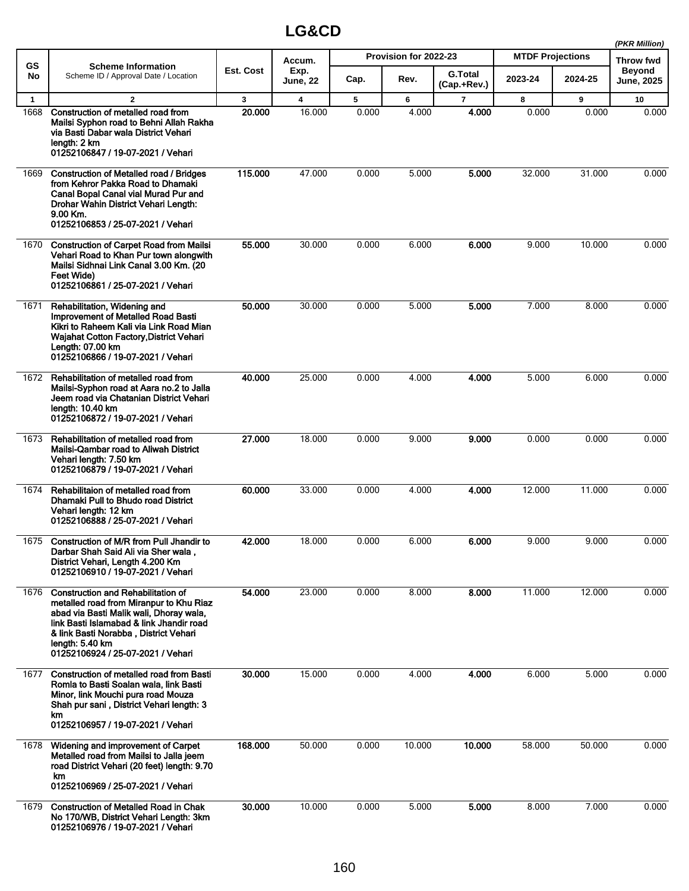|              |                                                                                                                                                                                                                                                                              |              |                  |       |                       |                               |                         |         | (PKR Million)               |
|--------------|------------------------------------------------------------------------------------------------------------------------------------------------------------------------------------------------------------------------------------------------------------------------------|--------------|------------------|-------|-----------------------|-------------------------------|-------------------------|---------|-----------------------------|
| <b>GS</b>    | <b>Scheme Information</b>                                                                                                                                                                                                                                                    |              | Accum.           |       | Provision for 2022-23 |                               | <b>MTDF Projections</b> |         | <b>Throw fwd</b>            |
| No           | Scheme ID / Approval Date / Location                                                                                                                                                                                                                                         | Est. Cost    | Exp.<br>June, 22 | Cap.  | Rev.                  | <b>G.Total</b><br>(Cap.+Rev.) | 2023-24                 | 2024-25 | <b>Beyond</b><br>June, 2025 |
| $\mathbf{1}$ | $\overline{2}$                                                                                                                                                                                                                                                               | $\mathbf{3}$ | 4                | 5     | 6                     | 7                             | 8                       | 9       | 10                          |
| 1668         | Construction of metalled road from<br>Mailsi Syphon road to Behni Allah Rakha<br>via Basti Dabar wala District Vehari<br>length: 2 km<br>01252106847 / 19-07-2021 / Vehari                                                                                                   | 20.000       | 16.000           | 0.000 | 4.000                 | 4.000                         | 0.000                   | 0.000   | 0.000                       |
| 1669         | <b>Construction of Metalled road / Bridges</b><br>from Kehror Pakka Road to Dhamaki<br>Canal Bopal Canal vial Murad Pur and<br>Drohar Wahin District Vehari Length:<br>9.00 Km.<br>01252106853 / 25-07-2021 / Vehari                                                         | 115.000      | 47.000           | 0.000 | 5.000                 | 5.000                         | 32.000                  | 31.000  | 0.000                       |
| 1670         | <b>Construction of Carpet Road from Mailsi</b><br>Vehari Road to Khan Pur town alongwith<br>Mailsi Sidhnai Link Canal 3.00 Km. (20<br>Feet Wide)<br>01252106861 / 25-07-2021 / Vehari                                                                                        | 55.000       | 30.000           | 0.000 | 6.000                 | 6.000                         | 9.000                   | 10.000  | 0.000                       |
| 1671         | Rehabilitation, Widening and<br><b>Improvement of Metalled Road Basti</b><br>Kikri to Raheem Kali via Link Road Mian<br>Wajahat Cotton Factory, District Vehari<br>Length: 07.00 km<br>01252106866 / 19-07-2021 / Vehari                                                     | 50.000       | 30.000           | 0.000 | 5.000                 | 5.000                         | 7.000                   | 8.000   | 0.000                       |
| 1672         | Rehabilitation of metalled road from<br>Mailsi-Syphon road at Aara no.2 to Jalla<br>Jeem road via Chatanian District Vehari<br>length: 10.40 km<br>01252106872 / 19-07-2021 / Vehari                                                                                         | 40.000       | 25.000           | 0.000 | 4.000                 | 4.000                         | 5.000                   | 6.000   | 0.000                       |
| 1673         | Rehabilitation of metalled road from<br>Mailsi-Qambar road to Aliwah District<br>Vehari length: 7.50 km<br>01252106879 / 19-07-2021 / Vehari                                                                                                                                 | 27.000       | 18.000           | 0.000 | 9.000                 | 9.000                         | 0.000                   | 0.000   | 0.000                       |
| 1674         | Rehabilitaion of metalled road from<br><b>Dhamaki Pull to Bhudo road District</b><br>Vehari length: 12 km<br>01252106888 / 25-07-2021 / Vehari                                                                                                                               | 60.000       | 33.000           | 0.000 | 4.000                 | 4.000                         | 12.000                  | 11.000  | 0.000                       |
| 1675         | Construction of M/R from Pull Jhandir to<br>Darbar Shah Said Ali via Sher wala,<br>District Vehari, Length 4.200 Km<br>01252106910 / 19-07-2021 / Vehari                                                                                                                     | 42.000       | 18 000           | 0.000 | 6.000                 | 6.000                         | 9.000                   | 9.000   | 0.000                       |
| 1676         | <b>Construction and Rehabilitation of</b><br>metalled road from Miranpur to Khu Riaz<br>abad via Basti Malik wali, Dhoray wala,<br>link Basti Islamabad & link Jhandir road<br>& link Basti Norabba, District Vehari<br>length: 5.40 km<br>01252106924 / 25-07-2021 / Vehari | 54.000       | 23.000           | 0.000 | 8.000                 | 8.000                         | 11.000                  | 12.000  | 0.000                       |
| 1677         | <b>Construction of metalled road from Basti</b><br>Romla to Basti Soalan wala, link Basti<br>Minor, link Mouchi pura road Mouza<br>Shah pur sani, District Vehari length: 3<br>km<br>01252106957 / 19-07-2021 / Vehari                                                       | 30.000       | 15.000           | 0.000 | 4.000                 | 4.000                         | 6.000                   | 5.000   | 0.000                       |
| 1678         | Widening and improvement of Carpet<br>Metalled road from Mailsi to Jalla jeem<br>road District Vehari (20 feet) length: 9.70<br>km<br>01252106969 / 25-07-2021 / Vehari                                                                                                      | 168.000      | 50.000           | 0.000 | 10.000                | 10.000                        | 58.000                  | 50.000  | 0.000                       |
| 1679         | <b>Construction of Metalled Road in Chak</b><br>No 170/WB, District Vehari Length: 3km<br>01252106976 / 19-07-2021 / Vehari                                                                                                                                                  | 30.000       | 10.000           | 0.000 | 5.000                 | 5.000                         | 8.000                   | 7.000   | 0.000                       |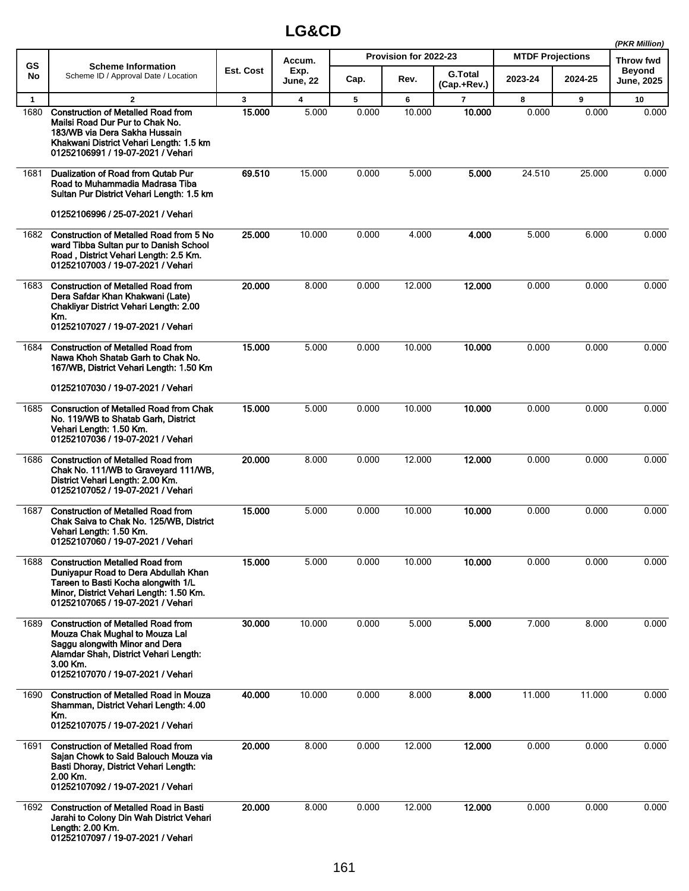|              |                                                                                                                                                                                                         |           |                         |       |                       |                               |                         |         | (PKR Million)               |
|--------------|---------------------------------------------------------------------------------------------------------------------------------------------------------------------------------------------------------|-----------|-------------------------|-------|-----------------------|-------------------------------|-------------------------|---------|-----------------------------|
| <b>GS</b>    | <b>Scheme Information</b>                                                                                                                                                                               |           | Accum.                  |       | Provision for 2022-23 |                               | <b>MTDF Projections</b> |         | <b>Throw fwd</b>            |
| No           | Scheme ID / Approval Date / Location                                                                                                                                                                    | Est. Cost | Exp.<br><b>June, 22</b> | Cap.  | Rev.                  | <b>G.Total</b><br>(Cap.+Rev.) | 2023-24                 | 2024-25 | <b>Beyond</b><br>June, 2025 |
| $\mathbf{1}$ | $\mathbf{2}$                                                                                                                                                                                            | 3         | $\overline{\mathbf{4}}$ | 5     | 6                     | $\overline{7}$                | 8                       | 9       | 10                          |
| 1680         | <b>Construction of Metalled Road from</b><br>Mailsi Road Dur Pur to Chak No.<br>183/WB via Dera Sakha Hussain<br>Khakwani District Vehari Length: 1.5 km<br>01252106991 / 19-07-2021 / Vehari           | 15.000    | 5.000                   | 0.000 | 10.000                | 10.000                        | 0.000                   | 0.000   | 0.000                       |
| 1681         | Dualization of Road from Qutab Pur<br>Road to Muhammadia Madrasa Tiba<br>Sultan Pur District Vehari Length: 1.5 km                                                                                      | 69.510    | 15.000                  | 0.000 | 5.000                 | 5.000                         | 24.510                  | 25.000  | 0.000                       |
|              | 01252106996 / 25-07-2021 / Vehari                                                                                                                                                                       |           |                         |       |                       |                               |                         |         |                             |
| 1682         | <b>Construction of Metalled Road from 5 No</b><br>ward Tibba Sultan pur to Danish School<br>Road, District Vehari Length: 2.5 Km.<br>01252107003 / 19-07-2021 / Vehari                                  | 25.000    | 10.000                  | 0.000 | 4.000                 | 4.000                         | 5.000                   | 6.000   | 0.000                       |
| 1683         | <b>Construction of Metalled Road from</b><br>Dera Safdar Khan Khakwani (Late)<br>Chakliyar District Vehari Length: 2.00<br>Km.<br>01252107027 / 19-07-2021 / Vehari                                     | 20.000    | 8.000                   | 0.000 | 12.000                | 12.000                        | 0.000                   | 0.000   | 0.000                       |
| 1684         | <b>Construction of Metalled Road from</b><br>Nawa Khoh Shatab Garh to Chak No.<br>167/WB, District Vehari Length: 1.50 Km                                                                               | 15.000    | 5.000                   | 0.000 | 10.000                | 10.000                        | 0.000                   | 0.000   | 0.000                       |
|              | 01252107030 / 19-07-2021 / Vehari                                                                                                                                                                       |           |                         |       |                       |                               |                         |         |                             |
| 1685         | <b>Consruction of Metalled Road from Chak</b><br>No. 119/WB to Shatab Garh, District<br>Vehari Length: 1.50 Km.<br>01252107036 / 19-07-2021 / Vehari                                                    | 15.000    | 5.000                   | 0.000 | 10.000                | 10.000                        | 0.000                   | 0.000   | 0.000                       |
| 1686         | <b>Construction of Metalled Road from</b><br>Chak No. 111/WB to Graveyard 111/WB,<br>District Vehari Length: 2.00 Km.<br>01252107052 / 19-07-2021 / Vehari                                              | 20.000    | 8.000                   | 0.000 | 12.000                | 12.000                        | 0.000                   | 0.000   | 0.000                       |
| 1687         | <b>Construction of Metalled Road from</b><br>Chak Saiva to Chak No. 125/WB, District<br>Vehari Length: 1.50 Km.<br>01252107060 / 19-07-2021 / Vehari                                                    | 15.000    | 5.000                   | 0.000 | 10.000                | 10.000                        | 0.000                   | 0.000   | 0.000                       |
| 1688         | <b>Construction Metalled Road from</b><br>Dunivapur Road to Dera Abdullah Khan<br>Tareen to Basti Kocha alongwith 1/L<br>Minor, District Vehari Length: 1.50 Km.<br>01252107065 / 19-07-2021 / Vehari   | 15.000    | 5.000                   | 0.000 | 10.000                | 10.000                        | 0.000                   | 0.000   | 0.000                       |
| 1689         | <b>Construction of Metalled Road from</b><br>Mouza Chak Mughal to Mouza Lal<br>Saggu alongwith Minor and Dera<br>Alamdar Shah, District Vehari Length:<br>3.00 Km.<br>01252107070 / 19-07-2021 / Vehari | 30.000    | 10.000                  | 0.000 | 5.000                 | 5.000                         | 7.000                   | 8.000   | 0.000                       |
| 1690         | <b>Construction of Metalled Road in Mouza</b><br>Shamman, District Vehari Length: 4.00<br>Km.<br>01252107075 / 19-07-2021 / Vehari                                                                      | 40.000    | 10.000                  | 0.000 | 8.000                 | 8.000                         | 11.000                  | 11.000  | 0.000                       |
| 1691         | <b>Construction of Metalled Road from</b><br>Sajan Chowk to Said Balouch Mouza via<br>Basti Dhoray, District Vehari Length:<br>2.00 Km.<br>01252107092 / 19-07-2021 / Vehari                            | 20.000    | 8.000                   | 0.000 | 12.000                | 12.000                        | 0.000                   | 0.000   | 0.000                       |
| 1692         | <b>Construction of Metalled Road in Basti</b><br>Jarahi to Colony Din Wah District Vehari<br>Length: 2.00 Km.<br>01252107097 / 19-07-2021 / Vehari                                                      | 20.000    | 8.000                   | 0.000 | 12.000                | 12.000                        | 0.000                   | 0.000   | 0.000                       |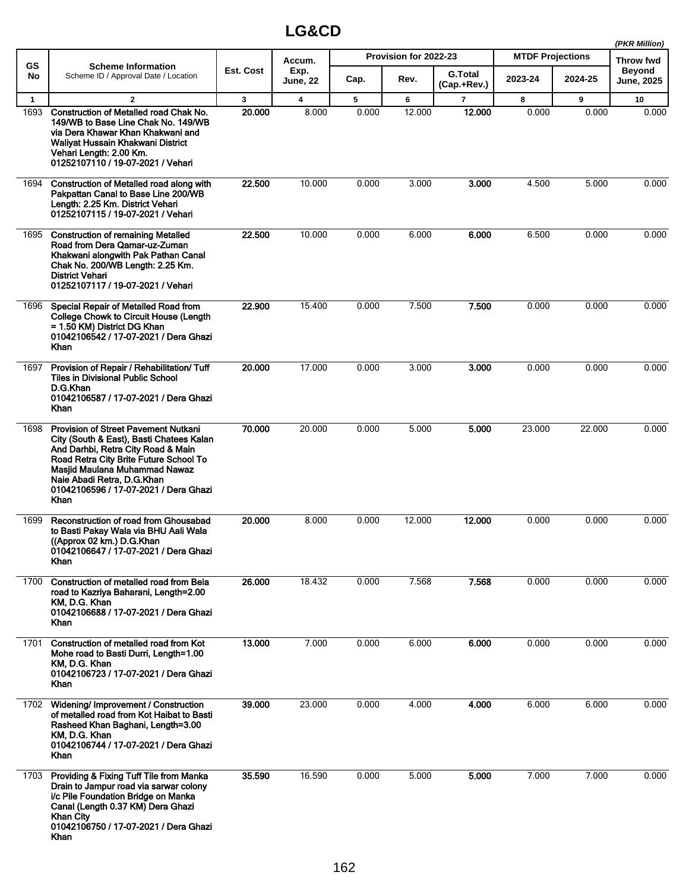|              |                                                                                                                                                                                                                                                                                         |              |                         |       |                       |                               |                         |         | (PKR Million)              |
|--------------|-----------------------------------------------------------------------------------------------------------------------------------------------------------------------------------------------------------------------------------------------------------------------------------------|--------------|-------------------------|-------|-----------------------|-------------------------------|-------------------------|---------|----------------------------|
| <b>GS</b>    | <b>Scheme Information</b>                                                                                                                                                                                                                                                               | Est. Cost    | Accum.<br>Exp.          |       | Provision for 2022-23 |                               | <b>MTDF Projections</b> |         | Throw fwd<br><b>Beyond</b> |
| No           | Scheme ID / Approval Date / Location                                                                                                                                                                                                                                                    |              | <b>June, 22</b>         | Cap.  | Rev.                  | <b>G.Total</b><br>(Cap.+Rev.) | 2023-24                 | 2024-25 | June, 2025                 |
| $\mathbf{1}$ | $\mathbf{2}$                                                                                                                                                                                                                                                                            | $\mathbf{3}$ | $\overline{\mathbf{4}}$ | 5     | 6                     | $\overline{7}$                | 8                       | 9       | 10                         |
| 1693         | Construction of Metalled road Chak No.<br>149/WB to Base Line Chak No. 149/WB<br>via Dera Khawar Khan Khakwani and<br>Waliyat Hussain Khakwani District<br>Vehari Length: 2.00 Km.<br>01252107110 / 19-07-2021 / Vehari                                                                 | 20.000       | 8.000                   | 0.000 | 12.000                | 12.000                        | 0.000                   | 0.000   | 0.000                      |
| 1694         | Construction of Metalled road along with<br>Pakpattan Canal to Base Line 200/WB<br>Length: 2.25 Km. District Vehari<br>01252107115 / 19-07-2021 / Vehari                                                                                                                                | 22.500       | 10.000                  | 0.000 | 3.000                 | 3.000                         | 4.500                   | 5.000   | 0.000                      |
| 1695         | <b>Construction of remaining Metalled</b><br>Road from Dera Qamar-uz-Zuman<br>Khakwani alongwith Pak Pathan Canal<br>Chak No. 200/WB Length: 2.25 Km.<br><b>District Vehari</b><br>01252107117 / 19-07-2021 / Vehari                                                                    | 22.500       | 10.000                  | 0.000 | 6.000                 | 6.000                         | 6.500                   | 0.000   | 0.000                      |
| 1696         | Special Repair of Metalled Road from<br>College Chowk to Circuit House (Length<br>= 1.50 KM) District DG Khan<br>01042106542 / 17-07-2021 / Dera Ghazi<br><b>Khan</b>                                                                                                                   | 22.900       | 15.400                  | 0.000 | 7.500                 | 7.500                         | 0.000                   | 0.000   | 0.000                      |
| 1697         | Provision of Repair / Rehabilitation/ Tuff<br><b>Tiles in Divisional Public School</b><br>D.G.Khan<br>01042106587 / 17-07-2021 / Dera Ghazi<br>Khan                                                                                                                                     | 20.000       | 17.000                  | 0.000 | 3.000                 | 3.000                         | 0.000                   | 0.000   | 0.000                      |
| 1698         | <b>Provision of Street Pavement Nutkani</b><br>City (South & East), Basti Chatees Kalan<br>And Darhbi, Retra City Road & Main<br>Road Retra City Brite Future School To<br>Masjid Maulana Muhammad Nawaz<br>Naie Abadi Retra, D.G.Khan<br>01042106596 / 17-07-2021 / Dera Ghazi<br>Khan | 70.000       | 20.000                  | 0.000 | 5.000                 | 5.000                         | 23.000                  | 22.000  | 0.000                      |
| 1699         | Reconstruction of road from Ghousabad<br>to Basti Pakay Wala via BHU Aali Wala<br>((Approx 02 km.) D.G.Khan<br>01042106647 / 17-07-2021 / Dera Ghazi<br>Khan                                                                                                                            | 20,000       | 8.000                   | 0.000 | 12.000                | 12.000                        | 0.000                   | 0.000   | 0.000                      |
| 1700         | Construction of metalled road from Bela<br>road to Kazriya Baharani, Length=2.00<br>KM, D.G. Khan<br>01042106688 / 17-07-2021 / Dera Ghazi<br>Khan                                                                                                                                      | 26.000       | 18.432                  | 0.000 | 7.568                 | 7.568                         | 0.000                   | 0.000   | 0.000                      |
| 1701         | Construction of metalled road from Kot<br>Mohe road to Basti Durri, Length=1.00<br>KM, D.G. Khan<br>01042106723 / 17-07-2021 / Dera Ghazi<br>Khan                                                                                                                                       | 13.000       | 7.000                   | 0.000 | 6.000                 | 6.000                         | 0.000                   | 0.000   | 0.000                      |
| 1702         | Widening/ Improvement / Construction<br>of metalled road from Kot Haibat to Basti<br>Rasheed Khan Baghani, Length=3.00<br>KM, D.G. Khan<br>01042106744 / 17-07-2021 / Dera Ghazi<br>Khan                                                                                                | 39.000       | 23.000                  | 0.000 | 4.000                 | 4.000                         | 6.000                   | 6.000   | 0.000                      |
| 1703         | Providing & Fixing Tuff Tile from Manka<br>Drain to Jampur road via sarwar colony<br>i/c Pile Foundation Bridge on Manka<br>Canal (Length 0.37 KM) Dera Ghazi<br><b>Khan City</b><br>01042106750 / 17-07-2021 / Dera Ghazi<br>Khan                                                      | 35.590       | 16.590                  | 0.000 | 5.000                 | 5.000                         | 7.000                   | 7.000   | 0.000                      |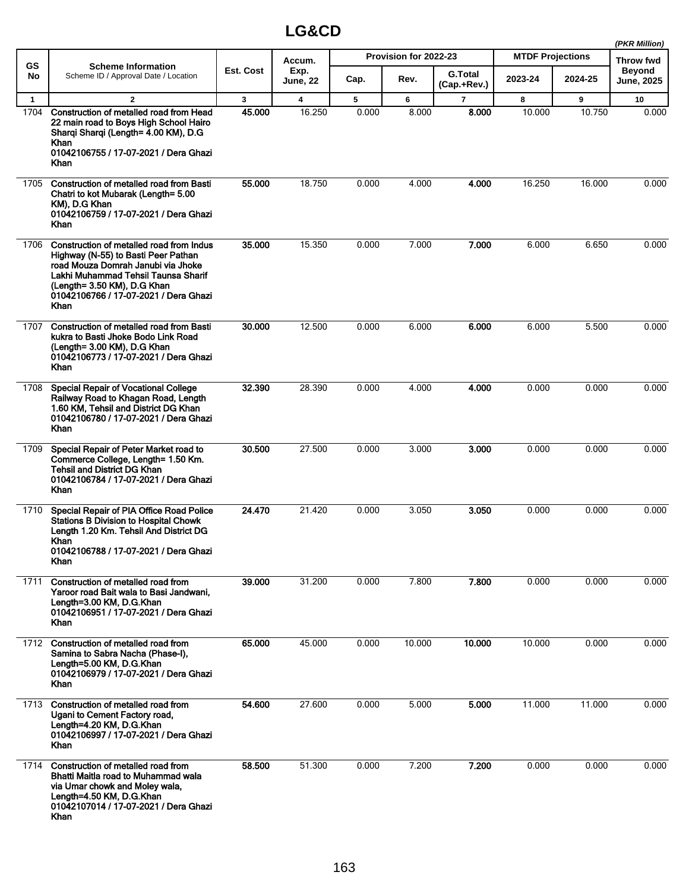|              |                                                                                                                                                                                                                                              |           |                         |       |                       |                               |                         |         | (PKR Million)               |
|--------------|----------------------------------------------------------------------------------------------------------------------------------------------------------------------------------------------------------------------------------------------|-----------|-------------------------|-------|-----------------------|-------------------------------|-------------------------|---------|-----------------------------|
| <b>GS</b>    | <b>Scheme Information</b>                                                                                                                                                                                                                    |           | Accum.                  |       | Provision for 2022-23 |                               | <b>MTDF Projections</b> |         | <b>Throw fwd</b>            |
| No           | Scheme ID / Approval Date / Location                                                                                                                                                                                                         | Est. Cost | Exp.<br><b>June, 22</b> | Cap.  | Rev.                  | <b>G.Total</b><br>(Cap.+Rev.) | 2023-24                 | 2024-25 | <b>Beyond</b><br>June, 2025 |
| $\mathbf{1}$ | $\mathbf{z}$                                                                                                                                                                                                                                 | 3         | 4                       | 5     | 6                     | $\overline{\mathbf{r}}$       | 8                       | 9       | 10                          |
| 1704         | Construction of metalled road from Head<br>22 main road to Boys High School Hairo<br>Sharqi Sharqi (Length= 4.00 KM), D.G<br>Khan<br>01042106755 / 17-07-2021 / Dera Ghazi<br>Khan                                                           | 45.000    | 16.250                  | 0.000 | 8.000                 | 8.000                         | 10.000                  | 10.750  | 0.000                       |
| 1705         | Construction of metalled road from Basti<br>Chatri to kot Mubarak (Length= 5.00<br>KM), D.G Khan<br>01042106759 / 17-07-2021 / Dera Ghazi<br>Khan                                                                                            | 55.000    | 18.750                  | 0.000 | 4.000                 | 4.000                         | 16.250                  | 16.000  | 0.000                       |
| 1706         | Construction of metalled road from Indus<br>Highway (N-55) to Basti Peer Pathan<br>road Mouza Domrah Janubi via Jhoke<br>Lakhi Muhammad Tehsil Taunsa Sharif<br>(Length= 3.50 KM), D.G Khan<br>01042106766 / 17-07-2021 / Dera Ghazi<br>Khan | 35.000    | 15.350                  | 0.000 | 7.000                 | 7.000                         | 6.000                   | 6.650   | 0.000                       |
| 1707         | <b>Construction of metalled road from Basti</b><br>kukra to Basti Jhoke Bodo Link Road<br>(Length= 3.00 KM), D.G Khan<br>01042106773 / 17-07-2021 / Dera Ghazi<br>Khan                                                                       | 30.000    | 12.500                  | 0.000 | 6.000                 | 6.000                         | 6.000                   | 5.500   | 0.000                       |
| 1708         | <b>Special Repair of Vocational College</b><br>Railway Road to Khagan Road, Length<br>1.60 KM, Tehsil and District DG Khan<br>01042106780 / 17-07-2021 / Dera Ghazi<br>Khan                                                                  | 32.390    | 28.390                  | 0.000 | 4.000                 | 4.000                         | 0.000                   | 0.000   | 0.000                       |
| 1709         | Special Repair of Peter Market road to<br>Commerce College, Length= 1.50 Km.<br><b>Tehsil and District DG Khan</b><br>01042106784 / 17-07-2021 / Dera Ghazi<br>Khan                                                                          | 30.500    | 27.500                  | 0.000 | 3.000                 | 3.000                         | 0.000                   | 0.000   | 0.000                       |
| 1710         | Special Repair of PIA Office Road Police<br><b>Stations B Division to Hospital Chowk</b><br>Length 1.20 Km. Tehsil And District DG<br>Khan<br>01042106788 / 17-07-2021 / Dera Ghazi<br>Khan                                                  | 24.470    | 21.420                  | 0.000 | 3.050                 | 3.050                         | 0.000                   | 0.000   | 0.000                       |
| 1711         | Construction of metalled road from<br>Yaroor road Bait wala to Basi Jandwani,<br>Length=3.00 KM, D.G.Khan<br>01042106951 / 17-07-2021 / Dera Ghazi<br>Khan                                                                                   | 39.000    | 31.200                  | 0.000 | 7.800                 | 7.800                         | 0.000                   | 0.000   | 0.000                       |
| 1712         | Construction of metalled road from<br>Samina to Sabra Nacha (Phase-I),<br>Length=5.00 KM, D.G.Khan<br>01042106979 / 17-07-2021 / Dera Ghazi<br>Khan                                                                                          | 65.000    | 45.000                  | 0.000 | 10.000                | 10.000                        | 10.000                  | 0.000   | 0.000                       |
| 1713         | Construction of metalled road from<br>Ugani to Cement Factory road,<br>Length=4.20 KM, D.G.Khan<br>01042106997 / 17-07-2021 / Dera Ghazi<br>Khan                                                                                             | 54.600    | 27.600                  | 0.000 | 5.000                 | 5.000                         | 11.000                  | 11.000  | 0.000                       |
| 1714         | Construction of metalled road from<br>Bhatti Maitla road to Muhammad wala<br>via Umar chowk and Moley wala,<br>Length=4.50 KM, D.G.Khan<br>01042107014 / 17-07-2021 / Dera Ghazi<br>Khan                                                     | 58.500    | 51.300                  | 0.000 | 7.200                 | 7.200                         | 0.000                   | 0.000   | 0.000                       |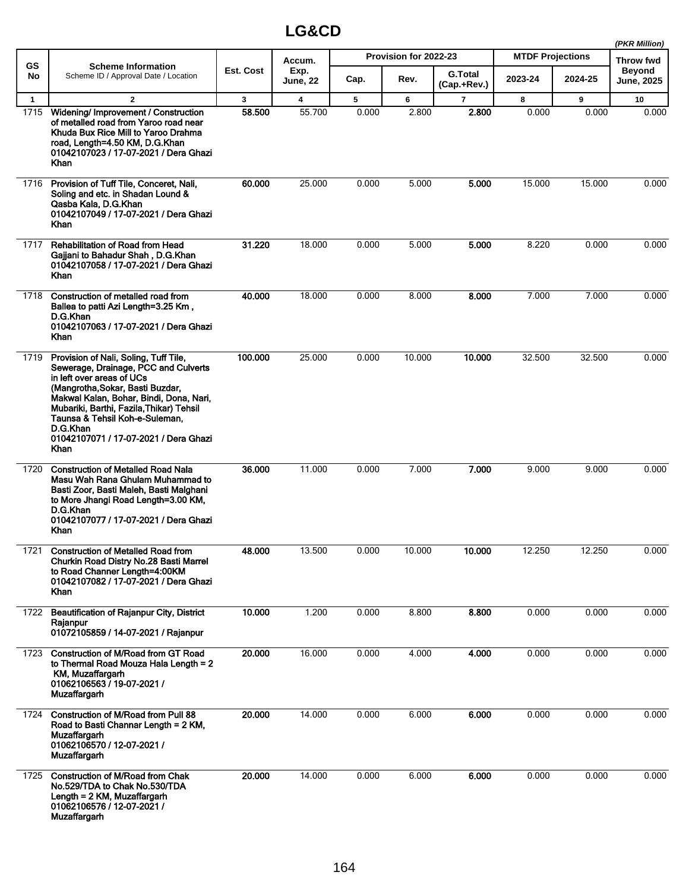|              |                                                                                                                                                                                                                                                                                                                                             |           |                         |       |                       |                               |                         |         | (PKR Million)               |
|--------------|---------------------------------------------------------------------------------------------------------------------------------------------------------------------------------------------------------------------------------------------------------------------------------------------------------------------------------------------|-----------|-------------------------|-------|-----------------------|-------------------------------|-------------------------|---------|-----------------------------|
| <b>GS</b>    | <b>Scheme Information</b>                                                                                                                                                                                                                                                                                                                   |           | Accum.                  |       | Provision for 2022-23 |                               | <b>MTDF Projections</b> |         | <b>Throw fwd</b>            |
| No           | Scheme ID / Approval Date / Location                                                                                                                                                                                                                                                                                                        | Est. Cost | Exp.<br><b>June, 22</b> | Cap.  | Rev.                  | <b>G.Total</b><br>(Cap.+Rev.) | 2023-24                 | 2024-25 | <b>Beyond</b><br>June, 2025 |
| $\mathbf{1}$ | $\overline{2}$                                                                                                                                                                                                                                                                                                                              | 3         | 4                       | 5     | 6                     | $\overline{7}$                | 8                       | 9       | 10                          |
| 1715         | Widening/ Improvement / Construction<br>of metalled road from Yaroo road near<br>Khuda Bux Rice Mill to Yaroo Drahma<br>road, Length=4.50 KM, D.G.Khan<br>01042107023 / 17-07-2021 / Dera Ghazi<br><b>Khan</b>                                                                                                                              | 58.500    | 55.700                  | 0.000 | 2.800                 | 2.800                         | 0.000                   | 0.000   | 0.000                       |
| 1716         | Provision of Tuff Tile, Conceret, Nali,<br>Soling and etc. in Shadan Lound &<br>Qasba Kala, D.G.Khan<br>01042107049 / 17-07-2021 / Dera Ghazi<br>Khan                                                                                                                                                                                       | 60.000    | 25.000                  | 0.000 | 5.000                 | 5.000                         | 15.000                  | 15.000  | 0.000                       |
| 1717         | <b>Rehabilitation of Road from Head</b><br>Gajjani to Bahadur Shah, D.G.Khan<br>01042107058 / 17-07-2021 / Dera Ghazi<br>Khan                                                                                                                                                                                                               | 31.220    | 18.000                  | 0.000 | 5.000                 | 5.000                         | 8.220                   | 0.000   | 0.000                       |
| 1718         | Construction of metalled road from<br>Ballea to patti Azi Length=3.25 Km,<br>D.G.Khan<br>01042107063 / 17-07-2021 / Dera Ghazi<br>Khan                                                                                                                                                                                                      | 40.000    | 18.000                  | 0.000 | 8.000                 | 8.000                         | 7.000                   | 7.000   | 0.000                       |
| 1719         | Provision of Nali, Soling, Tuff Tile,<br>Sewerage, Drainage, PCC and Culverts<br>in left over areas of UCs<br>(Mangrotha, Sokar, Basti Buzdar,<br>Makwal Kalan, Bohar, Bindi, Dona, Nari,<br>Mubariki, Barthi, Fazila, Thikar) Tehsil<br>Taunsa & Tehsil Koh-e-Suleman,<br>D.G.Khan<br>01042107071 / 17-07-2021 / Dera Ghazi<br><b>Khan</b> | 100.000   | 25.000                  | 0.000 | 10.000                | 10.000                        | 32.500                  | 32.500  | 0.000                       |
| 1720         | <b>Construction of Metalled Road Nala</b><br>Masu Wah Rana Ghulam Muhammad to<br>Basti Zoor, Basti Maleh, Basti Malghani<br>to More Jhangi Road Length=3.00 KM,<br>D.G.Khan<br>01042107077 / 17-07-2021 / Dera Ghazi<br>Khan                                                                                                                | 36.000    | 11.000                  | 0.000 | 7.000                 | 7.000                         | 9.000                   | 9.000   | 0.000                       |
| 1721         | <b>Construction of Metalled Road from</b><br>Churkin Road Distry No.28 Basti Marrel<br>to Road Channer Length=4:00KM<br>01042107082 / 17-07-2021 / Dera Ghazi<br>Khan                                                                                                                                                                       | 48.000    | 13.500                  | 0.000 | 10.000                | 10.000                        | 12.250                  | 12.250  | 0.000                       |
| 1722         | <b>Beautification of Rajanpur City, District</b><br>Raianpur<br>01072105859 / 14-07-2021 / Rajanpur                                                                                                                                                                                                                                         | 10.000    | 1.200                   | 0.000 | 8.800                 | 8.800                         | 0.000                   | 0.000   | 0.000                       |
| 1723         | <b>Construction of M/Road from GT Road</b><br>to Thermal Road Mouza Hala Length = 2<br>KM, Muzaffargarh<br>01062106563 / 19-07-2021 /<br><b>Muzaffargarh</b>                                                                                                                                                                                | 20.000    | 16.000                  | 0.000 | 4.000                 | 4.000                         | 0.000                   | 0.000   | 0.000                       |
| 1724         | Construction of M/Road from Pull 88<br>Road to Basti Channar Length = 2 KM,<br>Muzaffargarh<br>01062106570 / 12-07-2021 /<br>Muzaffargarh                                                                                                                                                                                                   | 20.000    | 14.000                  | 0.000 | 6.000                 | 6.000                         | 0.000                   | 0.000   | 0.000                       |
| 1725         | <b>Construction of M/Road from Chak</b><br>No.529/TDA to Chak No.530/TDA<br>Length = $2$ KM, Muzaffargarh<br>01062106576 / 12-07-2021 /<br><b>Muzaffargarh</b>                                                                                                                                                                              | 20.000    | 14.000                  | 0.000 | 6.000                 | 6.000                         | 0.000                   | 0.000   | 0.000                       |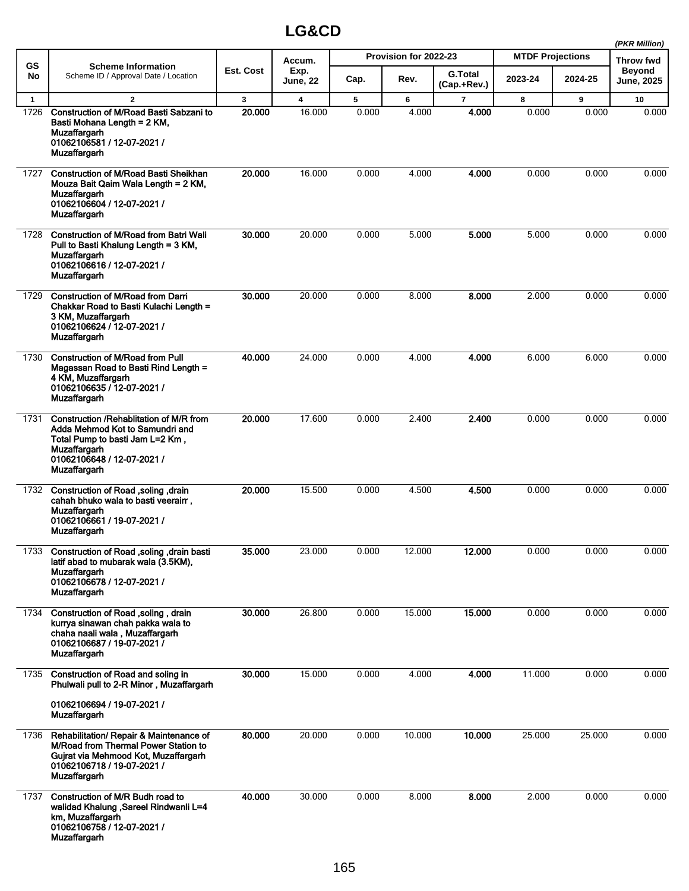|              |                                                                                                                                                                                     |           |                  |       |                       |                               |                         |         | (PKR Million)                      |
|--------------|-------------------------------------------------------------------------------------------------------------------------------------------------------------------------------------|-----------|------------------|-------|-----------------------|-------------------------------|-------------------------|---------|------------------------------------|
| <b>GS</b>    | <b>Scheme Information</b>                                                                                                                                                           |           | Accum.           |       | Provision for 2022-23 |                               | <b>MTDF Projections</b> |         | Throw fwd                          |
| No           | Scheme ID / Approval Date / Location                                                                                                                                                | Est. Cost | Exp.<br>June, 22 | Cap.  | Rev.                  | <b>G.Total</b><br>(Cap.+Rev.) | 2023-24                 | 2024-25 | <b>Beyond</b><br><b>June, 2025</b> |
| $\mathbf{1}$ | $\overline{2}$                                                                                                                                                                      | 3         | 4                | 5     | 6                     | $\overline{\phantom{a}}$      | 8                       | 9       | 10                                 |
| 1726         | Construction of M/Road Basti Sabzani to<br>Basti Mohana Length = 2 KM,<br>Muzaffargarh<br>01062106581 / 12-07-2021 /<br>Muzaffargarh                                                | 20,000    | 16.000           | 0.000 | 4.000                 | 4.000                         | 0.000                   | 0.000   | 0.000                              |
| 1727         | <b>Construction of M/Road Basti Sheikhan</b><br>Mouza Bait Qaim Wala Length = 2 KM,<br>Muzaffargarh<br>01062106604 / 12-07-2021 /<br><b>Muzaffargarh</b>                            | 20.000    | 16.000           | 0.000 | 4.000                 | 4.000                         | 0.000                   | 0.000   | 0.000                              |
| 1728         | <b>Construction of M/Road from Batri Wali</b><br>Pull to Basti Khalung Length = 3 KM,<br>Muzaffargarh<br>01062106616 / 12-07-2021 /<br>Muzaffargarh                                 | 30.000    | 20.000           | 0.000 | 5.000                 | 5.000                         | 5.000                   | 0.000   | 0.000                              |
| 1729         | <b>Construction of M/Road from Darri</b><br>Chakkar Road to Basti Kulachi Length =<br>3 KM, Muzaffargarh<br>01062106624 / 12-07-2021 /<br><b>Muzaffargarh</b>                       | 30,000    | 20.000           | 0.000 | 8.000                 | 8.000                         | 2.000                   | 0.000   | 0.000                              |
| 1730         | <b>Construction of M/Road from Pull</b><br>Magassan Road to Basti Rind Length =<br>4 KM, Muzaffargarh<br>01062106635 / 12-07-2021 /<br>Muzaffargarh                                 | 40.000    | 24.000           | 0.000 | 4.000                 | 4.000                         | 6.000                   | 6.000   | 0.000                              |
| 1731         | Construction / Rehablitation of M/R from<br>Adda Mehmod Kot to Samundri and<br>Total Pump to basti Jam L=2 Km,<br>Muzaffargarh<br>01062106648 / 12-07-2021 /<br>Muzaffargarh        | 20.000    | 17.600           | 0.000 | 2.400                 | 2.400                         | 0.000                   | 0.000   | 0.000                              |
| 1732         | Construction of Road , soling , drain<br>cahah bhuko wala to basti veerairr,<br>Muzaffargarh<br>01062106661 / 19-07-2021 /<br>Muzaffargarh                                          | 20.000    | 15.500           | 0.000 | 4.500                 | 4.500                         | 0.000                   | 0.000   | 0.000                              |
| 1733         | Construction of Road , soling , drain basti<br>latif abad to mubarak wala (3.5KM),<br><b>Muzaffargarh</b><br>01062106678 / 12-07-2021 /<br><b>Muzaffargarh</b>                      | 35.000    | 23.000           | 0.000 | 12.000                | 12.000                        | 0.000                   | 0.000   | 0.000                              |
| 1734         | Construction of Road , soling, drain<br>kurrya sinawan chah pakka wala to<br>chaha naali wala, Muzaffargarh<br>01062106687 / 19-07-2021 /<br><b>Muzaffargarh</b>                    | 30.000    | 26.800           | 0.000 | 15.000                | 15.000                        | 0.000                   | 0.000   | 0.000                              |
| 1735         | Construction of Road and soling in<br>Phulwali pull to 2-R Minor, Muzaffargarh                                                                                                      | 30.000    | 15.000           | 0.000 | 4.000                 | 4.000                         | 11.000                  | 0.000   | 0.000                              |
|              | 01062106694 / 19-07-2021 /<br><b>Muzaffargarh</b>                                                                                                                                   |           |                  |       |                       |                               |                         |         |                                    |
| 1736         | Rehabilitation/ Repair & Maintenance of<br><b>M/Road from Thermal Power Station to</b><br>Gujrat via Mehmood Kot, Muzaffargarh<br>01062106718 / 19-07-2021 /<br><b>Muzaffargarh</b> | 80.000    | 20.000           | 0.000 | 10.000                | 10.000                        | 25.000                  | 25.000  | 0.000                              |
| 1737         | Construction of M/R Budh road to<br>walidad Khalung , Sareel Rindwanli L=4<br>km, Muzaffargarh<br>01062106758 / 12-07-2021 /<br><b>Muzaffargarh</b>                                 | 40.000    | 30.000           | 0.000 | 8.000                 | 8.000                         | 2.000                   | 0.000   | 0.000                              |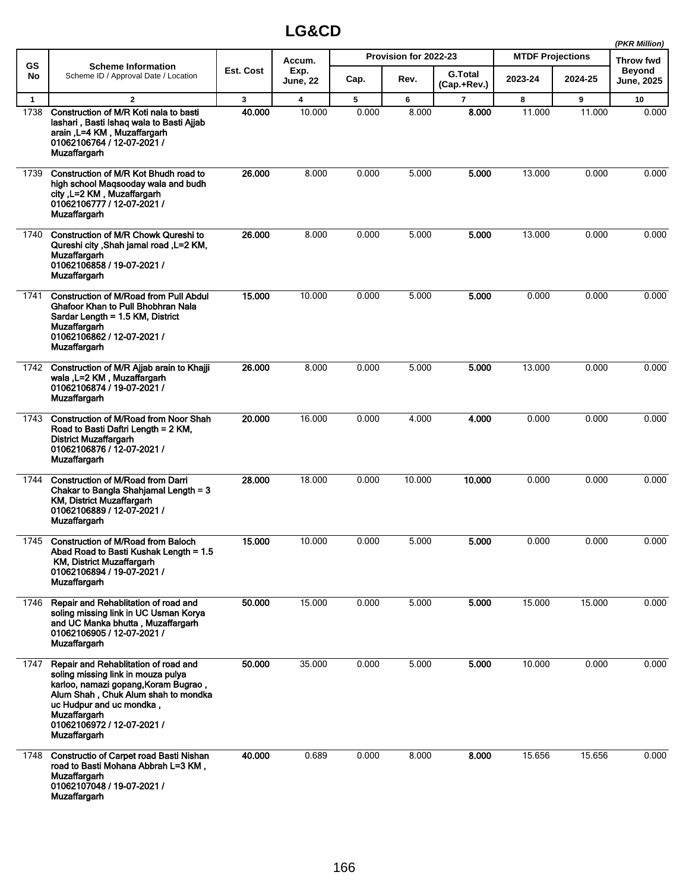|              |                                                                                                                                                                                                                                                                   |                  | (PKR Million)           |       |                       |                               |                         |         |                             |
|--------------|-------------------------------------------------------------------------------------------------------------------------------------------------------------------------------------------------------------------------------------------------------------------|------------------|-------------------------|-------|-----------------------|-------------------------------|-------------------------|---------|-----------------------------|
| <b>GS</b>    | <b>Scheme Information</b>                                                                                                                                                                                                                                         |                  | Accum.                  |       | Provision for 2022-23 |                               | <b>MTDF Projections</b> |         | Throw fwd                   |
| No           | Scheme ID / Approval Date / Location                                                                                                                                                                                                                              | <b>Est. Cost</b> | Exp.<br><b>June, 22</b> | Cap.  | Rev.                  | <b>G.Total</b><br>(Cap.+Rev.) | 2023-24                 | 2024-25 | Beyond<br><b>June, 2025</b> |
| $\mathbf{1}$ | $\mathbf{2}$                                                                                                                                                                                                                                                      | 3                | 4                       | 5     | 6                     | $\overline{7}$                | 8                       | 9       | 10                          |
| 1738         | Construction of M/R Koti nala to basti<br>lashari, Basti Ishaq wala to Basti Ajjab<br>arain, L=4 KM, Muzaffargarh<br>01062106764 / 12-07-2021 /<br>Muzaffargarh                                                                                                   | 40.000           | 10.000                  | 0.000 | 8.000                 | 8.000                         | 11.000                  | 11.000  | 0.000                       |
| 1739         | Construction of M/R Kot Bhudh road to<br>high school Magsooday wala and budh<br>city, L=2 KM, Muzaffargarh<br>01062106777 / 12-07-2021 /<br><b>Muzaffargarh</b>                                                                                                   | 26.000           | 8.000                   | 0.000 | 5.000                 | 5.000                         | 13.000                  | 0.000   | 0.000                       |
| 1740         | <b>Construction of M/R Chowk Qureshi to</b><br>Qureshi city , Shah jamal road , L=2 KM,<br>Muzaffargarh<br>01062106858 / 19-07-2021 /<br>Muzaffargarh                                                                                                             | 26.000           | 8.000                   | 0.000 | 5.000                 | 5.000                         | 13.000                  | 0.000   | 0.000                       |
| 1741         | <b>Construction of M/Road from Pull Abdul</b><br>Ghafoor Khan to Pull Bhobhran Nala<br>Sardar Length = 1.5 KM, District<br><b>Muzaffargarh</b><br>01062106862 / 12-07-2021 /<br><b>Muzaffargarh</b>                                                               | 15.000           | 10.000                  | 0.000 | 5.000                 | 5.000                         | 0.000                   | 0.000   | 0.000                       |
| 1742         | Construction of M/R Ajjab arain to Khajji<br>wala, L=2 KM, Muzaffargarh<br>01062106874 / 19-07-2021 /<br><b>Muzaffargarh</b>                                                                                                                                      | 26.000           | 8.000                   | 0.000 | 5.000                 | 5.000                         | 13.000                  | 0.000   | 0.000                       |
| 1743         | <b>Construction of M/Road from Noor Shah</b><br>Road to Basti Daftri Length = 2 KM,<br><b>District Muzaffargarh</b><br>01062106876 / 12-07-2021 /<br><b>Muzaffargarh</b>                                                                                          | 20.000           | 16.000                  | 0.000 | 4.000                 | 4.000                         | 0.000                   | 0.000   | 0.000                       |
| 1744         | <b>Construction of M/Road from Darri</b><br>Chakar to Bangla Shahjamal Length = 3<br>KM, District Muzaffargarh<br>01062106889 / 12-07-2021 /<br>Muzaffargarh                                                                                                      | 28.000           | 18.000                  | 0.000 | 10.000                | 10.000                        | 0.000                   | 0.000   | 0.000                       |
| 1745         | <b>Construction of M/Road from Baloch</b><br>Abad Road to Basti Kushak Length = 1.5<br><b>KM, District Muzaffargarh</b><br>01062106894 / 19-07-2021 /<br>Muzaffargarh                                                                                             | 15.000           | 10.000                  | 0.000 | 5.000                 | 5.000                         | 0.000                   | 0.000   | 0.000                       |
| 1746         | Repair and Rehablitation of road and<br>soling missing link in UC Usman Korya<br>and UC Manka bhutta, Muzaffargarh<br>01062106905 / 12-07-2021 /<br><b>Muzaffargarh</b>                                                                                           | 50.000           | 15.000                  | 0.000 | 5.000                 | 5.000                         | 15.000                  | 15.000  | 0.000                       |
| 1747         | Repair and Rehablitation of road and<br>soling missing link in mouza pulya<br>karloo, namazi gopang, Koram Bugrao,<br>Alum Shah, Chuk Alum shah to mondka<br>uc Hudpur and uc mondka,<br><b>Muzaffargarh</b><br>01062106972 / 12-07-2021 /<br><b>Muzaffargarh</b> | 50.000           | 35.000                  | 0.000 | 5.000                 | 5.000                         | 10.000                  | 0.000   | 0.000                       |
| 1748         | <b>Constructio of Carpet road Basti Nishan</b><br>road to Basti Mohana Abbrah L=3 KM,<br><b>Muzaffargarh</b><br>01062107048 / 19-07-2021 /<br><b>Muzaffargarh</b>                                                                                                 | 40.000           | 0.689                   | 0.000 | 8.000                 | 8.000                         | 15.656                  | 15.656  | 0.000                       |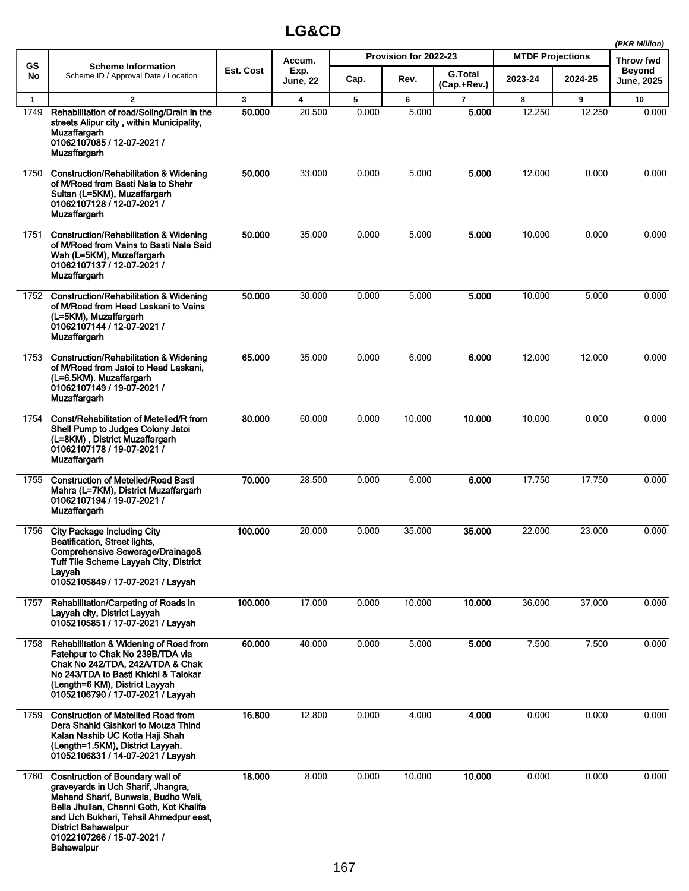|              |                                                                                                                                                                                                                                                                                            |           |                         |       |                       |                               |                         |         | (PKR Million)                      |
|--------------|--------------------------------------------------------------------------------------------------------------------------------------------------------------------------------------------------------------------------------------------------------------------------------------------|-----------|-------------------------|-------|-----------------------|-------------------------------|-------------------------|---------|------------------------------------|
| GS           | <b>Scheme Information</b>                                                                                                                                                                                                                                                                  |           | Accum.                  |       | Provision for 2022-23 |                               | <b>MTDF Projections</b> |         | Throw fwd                          |
| No           | Scheme ID / Approval Date / Location                                                                                                                                                                                                                                                       | Est. Cost | Exp.<br><b>June, 22</b> | Cap.  | Rev.                  | <b>G.Total</b><br>(Cap.+Rev.) | 2023-24                 | 2024-25 | <b>Beyond</b><br><b>June, 2025</b> |
| $\mathbf{1}$ | $\overline{2}$                                                                                                                                                                                                                                                                             | 3         | 4                       | 5     | 6                     | 7                             | 8                       | 9       | 10                                 |
| 1749         | Rehabilitation of road/Soling/Drain in the<br>streets Alipur city, within Municipality,<br>Muzaffargarh<br>01062107085 / 12-07-2021 /<br>Muzaffargarh                                                                                                                                      | 50.000    | 20.500                  | 0.000 | 5.000                 | 5.000                         | 12.250                  | 12.250  | 0.000                              |
| 1750         | <b>Construction/Rehabilitation &amp; Widening</b><br>of M/Road from Basti Nala to Shehr<br>Sultan (L=5KM), Muzaffargarh<br>01062107128 / 12-07-2021 /<br>Muzaffargarh                                                                                                                      | 50.000    | 33.000                  | 0.000 | 5.000                 | 5.000                         | 12.000                  | 0.000   | 0.000                              |
| 1751         | <b>Construction/Rehabilitation &amp; Widening</b><br>of M/Road from Vains to Basti Nala Said<br>Wah (L=5KM), Muzaffargarh<br>01062107137 / 12-07-2021 /<br><b>Muzaffargarh</b>                                                                                                             | 50.000    | 35.000                  | 0.000 | 5.000                 | 5.000                         | 10.000                  | 0.000   | 0.000                              |
| 1752         | <b>Construction/Rehabilitation &amp; Widening</b><br>of M/Road from Head Laskani to Vains<br>(L=5KM), Muzaffargarh<br>01062107144 / 12-07-2021 /<br>Muzaffargarh                                                                                                                           | 50.000    | 30.000                  | 0.000 | 5.000                 | 5.000                         | 10.000                  | 5.000   | 0.000                              |
| 1753         | <b>Construction/Rehabilitation &amp; Widening</b><br>of M/Road from Jatoi to Head Laskani.<br>(L=6.5KM). Muzaffargarh<br>01062107149 / 19-07-2021 /<br>Muzaffargarh                                                                                                                        | 65.000    | 35.000                  | 0.000 | 6.000                 | 6.000                         | 12.000                  | 12.000  | 0.000                              |
| 1754         | Const/Rehabilitation of Metelled/R from<br>Shell Pump to Judges Colony Jatoi<br>(L=8KM), District Muzaffargarh<br>01062107178 / 19-07-2021 /<br>Muzaffargarh                                                                                                                               | 80,000    | 60.000                  | 0.000 | 10.000                | 10.000                        | 10.000                  | 0.000   | 0.000                              |
| 1755         | <b>Construction of Metelled/Road Basti</b><br>Mahra (L=7KM), District Muzaffargarh<br>01062107194 / 19-07-2021 /<br>Muzaffargarh                                                                                                                                                           | 70.000    | 28.500                  | 0.000 | 6.000                 | 6.000                         | 17.750                  | 17.750  | 0.000                              |
| 1756         | <b>City Package Including City</b><br>Beatification, Street lights,<br>Comprehensive Sewerage/Drainage&<br>Tuff Tile Scheme Layvah City, District<br>Layyah<br>01052105849 / 17-07-2021 / Layyah                                                                                           | 100.000   | 20.000                  | 0.000 | 35.000                | 35,000                        | 22.000                  | 23.000  | 0.000                              |
| 1757         | Rehabilitation/Carpeting of Roads in<br>Layyah city, District Layyah<br>01052105851 / 17-07-2021 / Layyah                                                                                                                                                                                  | 100.000   | 17.000                  | 0.000 | 10.000                | 10.000                        | 36.000                  | 37.000  | 0.000                              |
| 1758         | Rehabilitation & Widening of Road from<br>Fatehpur to Chak No 239B/TDA via<br>Chak No 242/TDA, 242A/TDA & Chak<br>No 243/TDA to Basti Khichi & Talokar<br>(Length=6 KM), District Layyah<br>01052106790 / 17-07-2021 / Layyah                                                              | 60.000    | 40.000                  | 0.000 | 5.000                 | 5.000                         | 7.500                   | 7.500   | 0.000                              |
| 1759         | <b>Construction of Matellted Road from</b><br>Dera Shahid Gishkori to Mouza Thind<br>Kalan Nashib UC Kotla Haji Shah<br>(Length=1.5KM), District Layyah.<br>01052106831 / 14-07-2021 / Layyah                                                                                              | 16.800    | 12.800                  | 0.000 | 4.000                 | 4.000                         | 0.000                   | 0.000   | 0.000                              |
| 1760         | <b>Cosntruction of Boundary wall of</b><br>graveyards in Uch Sharif, Jhangra,<br>Mahand Sharif, Bunwala, Budho Wali,<br>Bella Jhullan, Channi Goth, Kot Khalifa<br>and Uch Bukhari, Tehsil Ahmedpur east,<br><b>District Bahawalpur</b><br>01022107266 / 15-07-2021 /<br><b>Bahawalpur</b> | 18.000    | 8.000                   | 0.000 | 10.000                | 10.000                        | 0.000                   | 0.000   | 0.000                              |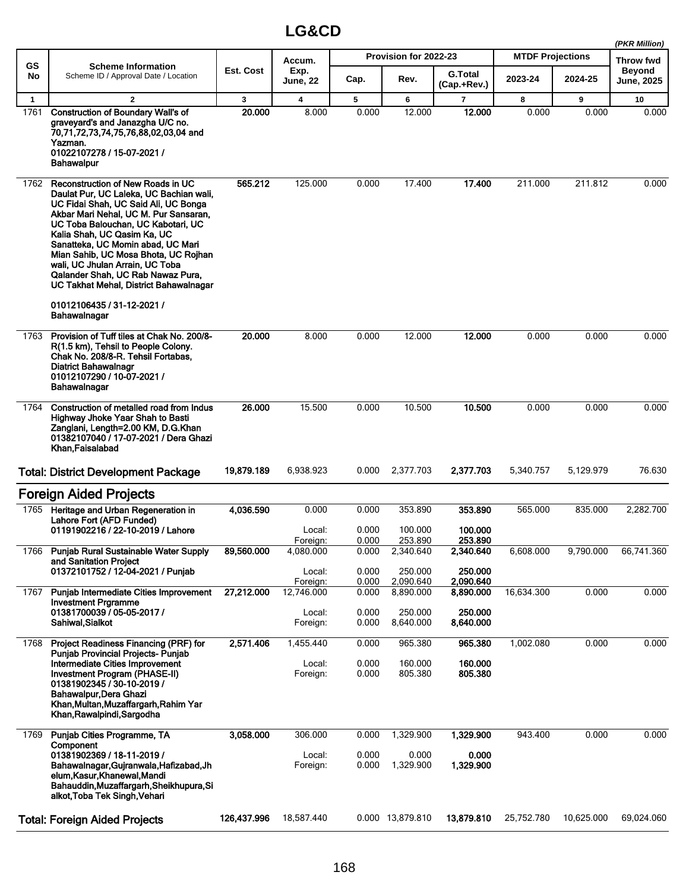|              |                                                                                                                                                                                                                                                                                                                                                                                                                                                                 |             |                         |                |                       |                               |                         |            | (PKR Million)               |
|--------------|-----------------------------------------------------------------------------------------------------------------------------------------------------------------------------------------------------------------------------------------------------------------------------------------------------------------------------------------------------------------------------------------------------------------------------------------------------------------|-------------|-------------------------|----------------|-----------------------|-------------------------------|-------------------------|------------|-----------------------------|
| <b>GS</b>    | <b>Scheme Information</b>                                                                                                                                                                                                                                                                                                                                                                                                                                       |             | Accum.                  |                | Provision for 2022-23 |                               | <b>MTDF Projections</b> |            | Throw fwd                   |
| No           | Scheme ID / Approval Date / Location                                                                                                                                                                                                                                                                                                                                                                                                                            | Est. Cost   | Exp.<br><b>June, 22</b> | Cap.           | Rev.                  | <b>G.Total</b><br>(Cap.+Rev.) | 2023-24                 | 2024-25    | Beyond<br><b>June, 2025</b> |
| $\mathbf{1}$ | $\mathbf{2}$                                                                                                                                                                                                                                                                                                                                                                                                                                                    | 3           | 4                       | 5              | 6                     | $\overline{ }$                | 8                       | 9          | 10                          |
| 1761         | <b>Construction of Boundary Wall's of</b><br>graveyard's and Janazgha U/C no.<br>70,71,72,73,74,75,76,88,02,03,04 and<br>Yazman.<br>01022107278 / 15-07-2021 /<br><b>Bahawalpur</b>                                                                                                                                                                                                                                                                             | 20.000      | 8.000                   | 0.000          | 12.000                | 12.000                        | 0.000                   | 0.000      | 0.000                       |
| 1762         | Reconstruction of New Roads in UC<br>Daulat Pur, UC Laleka, UC Bachian wali,<br>UC Fidai Shah, UC Said Ali, UC Bonga<br>Akbar Mari Nehal, UC M. Pur Sansaran,<br>UC Toba Balouchan, UC Kabotari, UC<br>Kalia Shah, UC Qasim Ka, UC<br>Sanatteka, UC Momin abad, UC Mari<br>Mian Sahib, UC Mosa Bhota, UC Rojhan<br>wali, UC Jhulan Arrain, UC Toba<br>Qalander Shah, UC Rab Nawaz Pura,<br>UC Takhat Mehal, District Bahawalnagar<br>01012106435 / 31-12-2021 / | 565.212     | 125.000                 | 0.000          | 17.400                | 17.400                        | 211.000                 | 211.812    | 0.000                       |
|              | Bahawalnagar                                                                                                                                                                                                                                                                                                                                                                                                                                                    |             |                         |                |                       |                               |                         |            |                             |
| 1763         | Provision of Tuff tiles at Chak No. 200/8-<br>R(1.5 km), Tehsil to People Colony.<br>Chak No. 208/8-R. Tehsil Fortabas,<br><b>Diatrict Bahawalnagr</b><br>01012107290 / 10-07-2021 /<br>Bahawalnagar                                                                                                                                                                                                                                                            | 20.000      | 8.000                   | 0.000          | 12.000                | 12.000                        | 0.000                   | 0.000      | 0.000                       |
| 1764         | Construction of metalled road from Indus<br>Highway Jhoke Yaar Shah to Basti<br>Zanglani, Length=2.00 KM, D.G.Khan<br>01382107040 / 17-07-2021 / Dera Ghazi<br>Khan Faisalabad                                                                                                                                                                                                                                                                                  | 26.000      | 15.500                  | 0.000          | 10.500                | 10.500                        | 0.000                   | 0.000      | 0.000                       |
|              | <b>Total: District Development Package</b>                                                                                                                                                                                                                                                                                                                                                                                                                      | 19,879.189  | 6,938.923               | 0.000          | 2,377.703             | 2,377.703                     | 5,340.757               | 5,129.979  | 76.630                      |
|              | <b>Foreign Aided Projects</b>                                                                                                                                                                                                                                                                                                                                                                                                                                   |             |                         |                |                       |                               |                         |            |                             |
|              | 1765 Heritage and Urban Regeneration in                                                                                                                                                                                                                                                                                                                                                                                                                         | 4,036.590   | 0.000                   | 0.000          | 353.890               | 353.890                       | 565.000                 | 835.000    | 2.282.700                   |
|              | Lahore Fort (AFD Funded)<br>01191902216 / 22-10-2019 / Lahore                                                                                                                                                                                                                                                                                                                                                                                                   |             | Local:                  | 0.000          | 100.000               | 100.000                       |                         |            |                             |
|              |                                                                                                                                                                                                                                                                                                                                                                                                                                                                 |             | Foreign:                | 0.000          | 253.890               | 253.890                       |                         |            |                             |
| 1766         | <b>Punjab Rural Sustainable Water Supply</b>                                                                                                                                                                                                                                                                                                                                                                                                                    | 89,560.000  | 4,080.000               | 0.000          | 2,340.640             | 2,340.640                     | 6,608.000               | 9,790.000  | 66,741.360                  |
|              | and Sanitation Project<br>01372101752 / 12-04-2021 / Punjab                                                                                                                                                                                                                                                                                                                                                                                                     |             | Local:                  | 0.000          | 250.000               | 250.000                       |                         |            |                             |
|              |                                                                                                                                                                                                                                                                                                                                                                                                                                                                 |             | Foreign:                | 0.000          | 2,090.640             | 2,090.640                     |                         |            |                             |
| 1767         | Punjab Intermediate Cities Improvement<br><b>Investment Prgramme</b>                                                                                                                                                                                                                                                                                                                                                                                            | 27,212.000  | 12,746.000              | 0.000          | 8,890.000             | 8,890.000                     | 16,634.300              | 0.000      | 0.000                       |
|              | 01381700039 / 05-05-2017 /                                                                                                                                                                                                                                                                                                                                                                                                                                      |             | Local:                  | 0.000          | 250.000               | 250.000                       |                         |            |                             |
|              | Sahiwal, Sialkot                                                                                                                                                                                                                                                                                                                                                                                                                                                |             | Foreign:                | 0.000          | 8,640.000             | 8,640.000                     |                         |            |                             |
| 1768         | Project Readiness Financing (PRF) for<br>Punjab Provincial Projects- Punjab                                                                                                                                                                                                                                                                                                                                                                                     | 2,571.406   | 1,455.440               | 0.000          | 965.380               | 965.380                       | 1,002.080               | 0.000      | 0.000                       |
|              | Intermediate Cities Improvement<br>Investment Program (PHASE-II)<br>01381902345 / 30-10-2019 /<br>Bahawalpur, Dera Ghazi<br>Khan, Multan, Muzaffargarh, Rahim Yar<br>Khan, Rawalpindi, Sargodha                                                                                                                                                                                                                                                                 |             | Local:<br>Foreign:      | 0.000<br>0.000 | 160.000<br>805.380    | 160.000<br>805.380            |                         |            |                             |
| 1769         | Punjab Cities Programme, TA                                                                                                                                                                                                                                                                                                                                                                                                                                     | 3,058.000   | 306.000                 | 0.000          | 1,329.900             | 1,329.900                     | 943.400                 | 0.000      | 0.000                       |
|              | Component<br>01381902369 / 18-11-2019 /<br>Bahawalnagar, Gujranwala, Hafizabad, Jh<br>elum, Kasur, Khanewal, Mandi<br>Bahauddin, Muzaffargarh, Sheikhupura, Si<br>alkot, Toba Tek Singh, Vehari                                                                                                                                                                                                                                                                 |             | Local:<br>Foreign:      | 0.000<br>0.000 | 0.000<br>1,329.900    | 0.000<br>1,329.900            |                         |            |                             |
|              | <b>Total: Foreign Aided Projects</b>                                                                                                                                                                                                                                                                                                                                                                                                                            | 126,437.996 | 18,587.440              |                | 0.000 13,879.810      | 13,879.810                    | 25,752.780              | 10,625.000 | 69,024.060                  |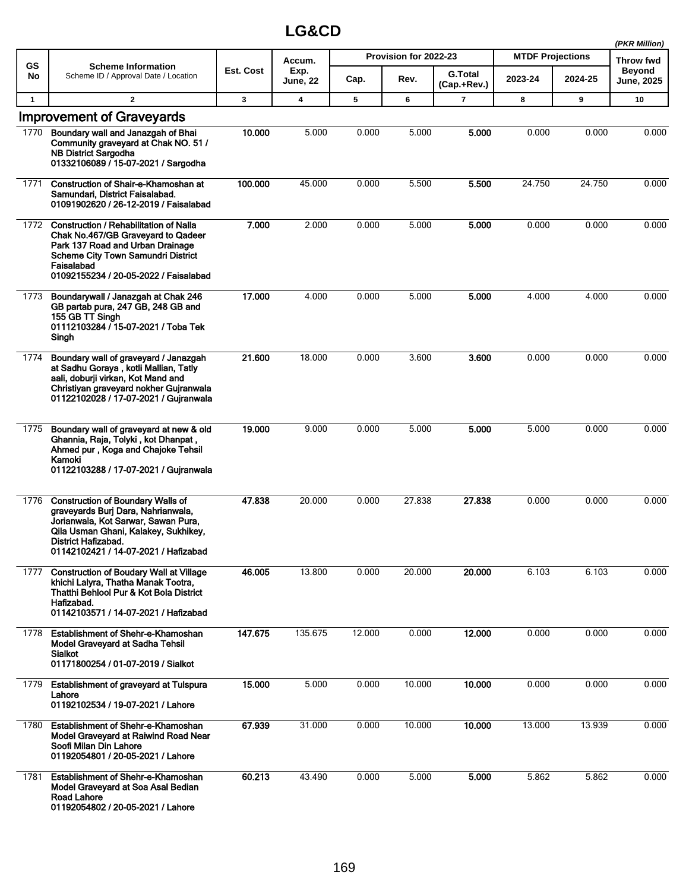|              |                                                                                                                                                                                                                              |              |                         |        |                       |                               |                         |         | (PKR Million)                      |
|--------------|------------------------------------------------------------------------------------------------------------------------------------------------------------------------------------------------------------------------------|--------------|-------------------------|--------|-----------------------|-------------------------------|-------------------------|---------|------------------------------------|
| <b>GS</b>    | <b>Scheme Information</b>                                                                                                                                                                                                    |              | Accum.                  |        | Provision for 2022-23 |                               | <b>MTDF Projections</b> |         | Throw fwd                          |
| No           | Scheme ID / Approval Date / Location                                                                                                                                                                                         | Est. Cost    | Exp.<br><b>June, 22</b> | Cap.   | Rev.                  | <b>G.Total</b><br>(Cap.+Rev.) | 2023-24                 | 2024-25 | <b>Beyond</b><br><b>June, 2025</b> |
| $\mathbf{1}$ | $\mathbf{2}$                                                                                                                                                                                                                 | $\mathbf{3}$ | 4                       | 5      | 6                     | $\overline{7}$                | 8                       | 9       | 10                                 |
| 1770         | <b>Improvement of Graveyards</b><br>Boundary wall and Janazgah of Bhai<br>Community graveyard at Chak NO. 51 /<br><b>NB District Sargodha</b><br>01332106089 / 15-07-2021 / Sargodha                                         | 10.000       | 5.000                   | 0.000  | 5.000                 | 5.000                         | 0.000                   | 0.000   | 0.000                              |
| 1771         | Construction of Shair-e-Khamoshan at<br>Samundari, District Faisalabad.<br>01091902620 / 26-12-2019 / Faisalabad                                                                                                             | 100.000      | 45.000                  | 0.000  | 5.500                 | 5.500                         | 24.750                  | 24.750  | 0.000                              |
| 1772         | <b>Construction / Rehabilitation of Nalla</b><br>Chak No.467/GB Graveyard to Qadeer<br>Park 137 Road and Urban Drainage<br><b>Scheme City Town Samundri District</b><br>Faisalabad<br>01092155234 / 20-05-2022 / Faisalabad  | 7.000        | 2.000                   | 0.000  | 5.000                 | 5.000                         | 0.000                   | 0.000   | 0.000                              |
| 1773         | Boundarywall / Janazgah at Chak 246<br>GB partab pura, 247 GB, 248 GB and<br>155 GB TT Singh<br>01112103284 / 15-07-2021 / Toba Tek<br>Singh                                                                                 | 17.000       | 4.000                   | 0.000  | 5.000                 | 5.000                         | 4.000                   | 4.000   | 0.000                              |
| 1774         | Boundary wall of graveyard / Janazgah<br>at Sadhu Goraya, kotli Mallian, Tatly<br>aali, doburji virkan, Kot Mand and<br>Christiyan graveyard nokher Gujranwala<br>01122102028 / 17-07-2021 / Gujranwala                      | 21.600       | 18.000                  | 0.000  | 3.600                 | 3.600                         | 0.000                   | 0.000   | 0.000                              |
| 1775         | Boundary wall of graveyard at new & old<br>Ghannia, Raja, Tolyki, kot Dhanpat,<br>Ahmed pur, Koga and Chajoke Tehsil<br>Kamoki<br>01122103288 / 17-07-2021 / Gujranwala                                                      | 19.000       | 9.000                   | 0.000  | 5.000                 | 5.000                         | 5.000                   | 0.000   | 0.000                              |
| 1776         | <b>Construction of Boundary Walls of</b><br>graveyards Burj Dara, Nahrianwala,<br>Jorianwala, Kot Sarwar, Sawan Pura,<br>Qila Usman Ghani, Kalakey, Sukhikey,<br>District Hafizabad.<br>01142102421 / 14-07-2021 / Hafizabad | 47.838       | 20.000                  | 0.000  | 27.838                | 27.838                        | 0.000                   | 0.000   | 0.000                              |
| 1777         | <b>Construction of Boudary Wall at Village</b><br>khichi Lalyra, Thatha Manak Tootra,<br>Thatthi Behlool Pur & Kot Bola District<br>Hafizabad.<br>01142103571 / 14-07-2021 / Hafizabad                                       | 46.005       | 13.800                  | 0.000  | 20.000                | 20.000                        | 6.103                   | 6.103   | 0.000                              |
| 1778         | Establishment of Shehr-e-Khamoshan<br><b>Model Gravevard at Sadha Tehsil</b><br><b>Sialkot</b><br>01171800254 / 01-07-2019 / Sialkot                                                                                         | 147.675      | 135.675                 | 12.000 | 0.000                 | 12.000                        | 0.000                   | 0.000   | 0.000                              |
| 1779         | <b>Establishment of graveyard at Tulspura</b><br>Lahore<br>01192102534 / 19-07-2021 / Lahore                                                                                                                                 | 15.000       | 5.000                   | 0.000  | 10.000                | 10.000                        | 0.000                   | 0.000   | 0.000                              |
| 1780         | Establishment of Shehr-e-Khamoshan<br>Model Graveyard at Raiwind Road Near<br>Soofi Milan Din Lahore<br>01192054801 / 20-05-2021 / Lahore                                                                                    | 67.939       | 31.000                  | 0.000  | 10.000                | 10.000                        | 13.000                  | 13.939  | 0.000                              |
| 1781         | <b>Establishment of Shehr-e-Khamoshan</b><br>Model Graveyard at Soa Asal Bedian<br><b>Road Lahore</b><br>01192054802 / 20-05-2021 / Lahore                                                                                   | 60.213       | 43.490                  | 0.000  | 5.000                 | 5.000                         | 5.862                   | 5.862   | 0.000                              |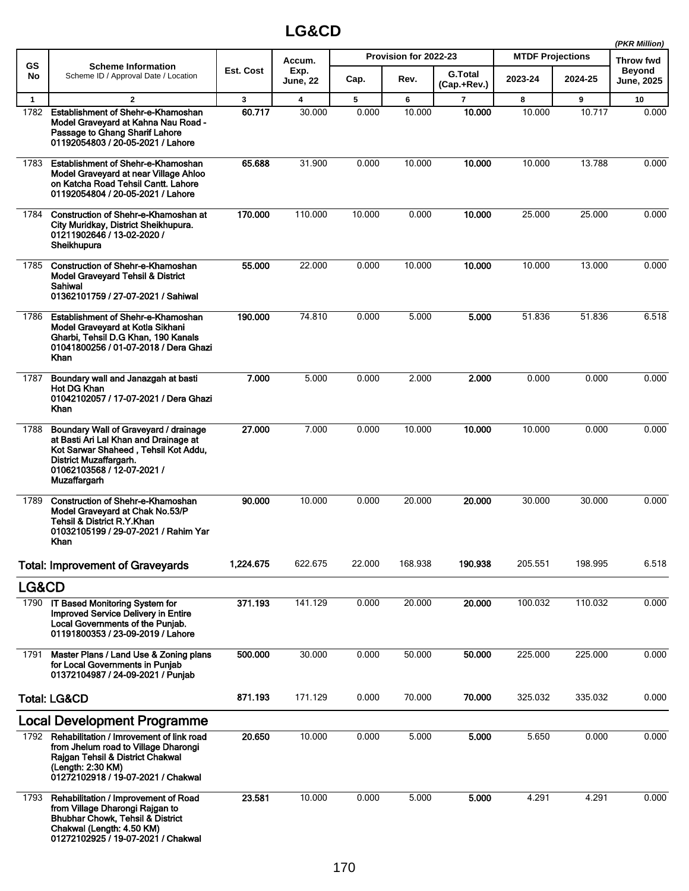|              |                                                                                                                                                                                                |              |                         |        |                       |                               |                         |         | (PKR Million)                      |
|--------------|------------------------------------------------------------------------------------------------------------------------------------------------------------------------------------------------|--------------|-------------------------|--------|-----------------------|-------------------------------|-------------------------|---------|------------------------------------|
| GS           | <b>Scheme Information</b>                                                                                                                                                                      |              | Accum.                  |        | Provision for 2022-23 |                               | <b>MTDF Projections</b> |         | <b>Throw fwd</b>                   |
| No           | Scheme ID / Approval Date / Location                                                                                                                                                           | Est. Cost    | Exp.<br><b>June, 22</b> | Cap.   | Rev.                  | <b>G.Total</b><br>(Cap.+Rev.) | 2023-24                 | 2024-25 | <b>Beyond</b><br><b>June, 2025</b> |
| $\mathbf{1}$ | $\mathbf{2}$                                                                                                                                                                                   | $\mathbf{3}$ | 4                       | 5      | 6                     | $\overline{7}$                | 8                       | 9       | 10                                 |
| 1782         | Establishment of Shehr-e-Khamoshan<br>Model Graveyard at Kahna Nau Road -<br>Passage to Ghang Sharif Lahore<br>01192054803 / 20-05-2021 / Lahore                                               | 60.717       | 30.000                  | 0.000  | 10.000                | 10.000                        | 10.000                  | 10.717  | 0.000                              |
| 1783         | Establishment of Shehr-e-Khamoshan<br>Model Graveyard at near Village Ahloo<br>on Katcha Road Tehsil Cantt. Lahore<br>01192054804 / 20-05-2021 / Lahore                                        | 65.688       | 31.900                  | 0.000  | 10.000                | 10.000                        | 10.000                  | 13.788  | 0.000                              |
| 1784         | Construction of Shehr-e-Khamoshan at<br>City Muridkay, District Sheikhupura.<br>01211902646 / 13-02-2020 /<br>Sheikhupura                                                                      | 170.000      | 110.000                 | 10.000 | 0.000                 | 10.000                        | 25.000                  | 25.000  | 0.000                              |
| 1785         | <b>Construction of Shehr-e-Khamoshan</b><br><b>Model Graveyard Tehsil &amp; District</b><br>Sahiwal<br>01362101759 / 27-07-2021 / Sahiwal                                                      | 55.000       | 22.000                  | 0.000  | 10.000                | 10.000                        | 10.000                  | 13.000  | 0.000                              |
| 1786         | Establishment of Shehr-e-Khamoshan<br>Model Graveyard at Kotla Sikhani<br>Gharbi, Tehsil D.G Khan, 190 Kanals<br>01041800256 / 01-07-2018 / Dera Ghazi<br>Khan                                 | 190.000      | 74.810                  | 0.000  | 5.000                 | 5.000                         | 51.836                  | 51.836  | 6.518                              |
| 1787         | Boundary wall and Janazgah at basti<br>Hot DG Khan<br>01042102057 / 17-07-2021 / Dera Ghazi<br>Khan                                                                                            | 7.000        | 5.000                   | 0.000  | 2.000                 | 2.000                         | 0.000                   | 0.000   | 0.000                              |
| 1788         | Boundary Wall of Graveyard / drainage<br>at Basti Ari Lal Khan and Drainage at<br>Kot Sarwar Shaheed, Tehsil Kot Addu,<br>District Muzaffargarh.<br>01062103568 / 12-07-2021 /<br>Muzaffargarh | 27,000       | 7.000                   | 0.000  | 10.000                | 10.000                        | 10.000                  | 0.000   | 0.000                              |
| 1789         | <b>Construction of Shehr-e-Khamoshan</b><br>Model Graveyard at Chak No.53/P<br>Tehsil & District R.Y.Khan<br>01032105199 / 29-07-2021 / Rahim Yar<br>Khan                                      | 90.000       | 10.000                  | 0.000  | 20.000                | 20.000                        | 30.000                  | 30.000  | 0.000                              |
|              | <b>Total: Improvement of Graveyards</b>                                                                                                                                                        | 1,224.675    | 622.675                 | 22.000 | 168.938               | 190.938                       | 205.551                 | 198.995 | 6.518                              |
| LG&CD        |                                                                                                                                                                                                |              |                         |        |                       |                               |                         |         |                                    |
| 1790         | IT Based Monitoring System for<br><b>Improved Service Delivery in Entire</b><br>Local Governments of the Punjab.<br>01191800353 / 23-09-2019 / Lahore                                          | 371.193      | 141.129                 | 0.000  | 20.000                | 20.000                        | 100.032                 | 110.032 | 0.000                              |
| 1791         | Master Plans / Land Use & Zoning plans<br>for Local Governments in Punjab<br>01372104987 / 24-09-2021 / Punjab                                                                                 | 500.000      | 30.000                  | 0.000  | 50.000                | 50.000                        | 225.000                 | 225.000 | 0.000                              |
|              | <b>Total: LG&amp;CD</b>                                                                                                                                                                        | 871.193      | 171.129                 | 0.000  | 70.000                | 70.000                        | 325.032                 | 335.032 | 0.000                              |
|              | <b>Local Development Programme</b>                                                                                                                                                             |              |                         |        |                       |                               |                         |         |                                    |
|              | 1792 Rehabilitation / Imrovement of link road<br>from Jhelum road to Village Dharongi<br>Rajgan Tehsil & District Chakwal<br>(Length: 2:30 KM)<br>01272102918 / 19-07-2021 / Chakwal           | 20.650       | 10.000                  | 0.000  | 5.000                 | 5.000                         | 5.650                   | 0.000   | 0.000                              |
| 1793         | Rehabilitation / Improvement of Road<br>from Village Dharongi Rajgan to<br><b>Bhubhar Chowk, Tehsil &amp; District</b><br>Chakwal (Length: 4.50 KM)<br>01272102925 / 19-07-2021 / Chakwal      | 23.581       | 10.000                  | 0.000  | 5.000                 | 5.000                         | 4.291                   | 4.291   | 0.000                              |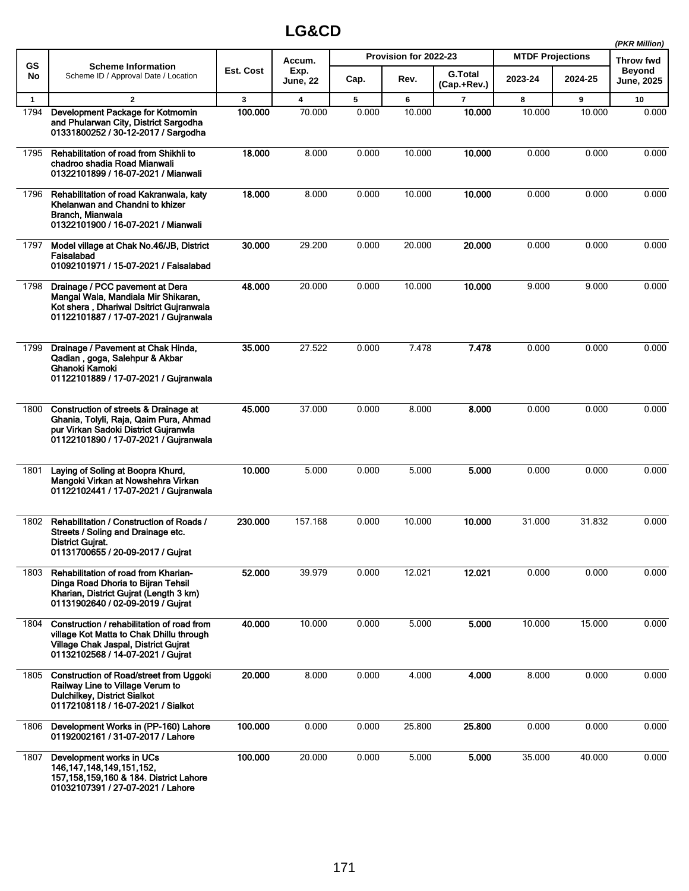|              |                                                                                                                                                                     |           |                         |       |                       |                               |                         |         | (PKR Million)               |
|--------------|---------------------------------------------------------------------------------------------------------------------------------------------------------------------|-----------|-------------------------|-------|-----------------------|-------------------------------|-------------------------|---------|-----------------------------|
| GS           | <b>Scheme Information</b>                                                                                                                                           |           | Accum.                  |       | Provision for 2022-23 |                               | <b>MTDF Projections</b> |         | <b>Throw fwd</b>            |
| No           | Scheme ID / Approval Date / Location                                                                                                                                | Est. Cost | Exp.<br><b>June, 22</b> | Cap.  | Rev.                  | <b>G.Total</b><br>(Cap.+Rev.) | 2023-24                 | 2024-25 | <b>Beyond</b><br>June, 2025 |
| $\mathbf{1}$ | $\overline{2}$                                                                                                                                                      | 3         | 4                       | 5     | 6                     | $\overline{7}$                | 8                       | 9       | 10                          |
| 1794         | Development Package for Kotmomin<br>and Phularwan City, District Sargodha<br>01331800252 / 30-12-2017 / Sargodha                                                    | 100.000   | 70.000                  | 0.000 | 10.000                | 10.000                        | 10.000                  | 10.000  | 0.000                       |
| 1795         | Rehabilitation of road from Shikhli to<br>chadroo shadia Road Mianwali<br>01322101899 / 16-07-2021 / Mianwali                                                       | 18.000    | 8.000                   | 0.000 | 10.000                | 10.000                        | 0.000                   | 0.000   | 0.000                       |
| 1796         | Rehabilitation of road Kakranwala, katy<br>Khelanwan and Chandni to khizer<br>Branch, Mianwala<br>01322101900 / 16-07-2021 / Mianwali                               | 18.000    | 8.000                   | 0.000 | 10.000                | 10.000                        | 0.000                   | 0.000   | 0.000                       |
| 1797         | Model village at Chak No.46/JB, District<br>Faisalabad<br>01092101971 / 15-07-2021 / Faisalabad                                                                     | 30,000    | 29.200                  | 0.000 | 20.000                | 20,000                        | 0.000                   | 0.000   | 0.000                       |
| 1798         | Drainage / PCC pavement at Dera<br>Mangal Wala, Mandiala Mir Shikaran,<br>Kot shera, Dhariwal Dsitrict Gujranwala<br>01122101887 / 17-07-2021 / Gujranwala          | 48.000    | 20.000                  | 0.000 | 10.000                | 10.000                        | 9.000                   | 9.000   | 0.000                       |
| 1799         | Drainage / Pavement at Chak Hinda,<br>Qadian, goga, Salehpur & Akbar<br>Ghanoki Kamoki<br>01122101889 / 17-07-2021 / Gujranwala                                     | 35.000    | 27.522                  | 0.000 | 7.478                 | 7.478                         | 0.000                   | 0.000   | 0.000                       |
| 1800         | Construction of streets & Drainage at<br>Ghania, Tolyli, Raja, Qaim Pura, Ahmad<br>pur Virkan Sadoki District Guiranwla<br>01122101890 / 17-07-2021 / Gujranwala    | 45.000    | 37.000                  | 0.000 | 8.000                 | 8.000                         | 0.000                   | 0.000   | 0.000                       |
| 1801         | Laying of Soling at Boopra Khurd,<br>Mangoki Virkan at Nowshehra Virkan<br>01122102441 / 17-07-2021 / Guiranwala                                                    | 10.000    | 5.000                   | 0.000 | 5.000                 | 5.000                         | 0.000                   | 0.000   | 0.000                       |
| 1802         | Rehabilitation / Construction of Roads /<br>Streets / Soling and Drainage etc.<br><b>District Gujrat.</b><br>01131700655 / 20-09-2017 / Gujrat                      | 230.000   | 157.168                 | 0.000 | 10.000                | 10.000                        | 31.000                  | 31.832  | 0.000                       |
| 1803         | Rehabilitation of road from Kharian-<br>Dinga Road Dhoria to Bijran Tehsil<br>Kharian, District Gujrat (Length 3 km)<br>01131902640 / 02-09-2019 / Gujrat           | 52.000    | 39.979                  | 0.000 | 12.021                | 12.021                        | 0.000                   | 0.000   | 0.000                       |
| 1804         | Construction / rehabilitation of road from<br>village Kot Matta to Chak Dhillu through<br>Village Chak Jaspal, District Gujrat<br>01132102568 / 14-07-2021 / Guirat | 40.000    | 10.000                  | 0.000 | 5.000                 | 5.000                         | 10.000                  | 15.000  | 0.000                       |
| 1805         | <b>Construction of Road/street from Uggoki</b><br>Railway Line to Village Verum to<br><b>Dulchilkey, District Sialkot</b><br>01172108118 / 16-07-2021 / Sialkot     | 20.000    | 8.000                   | 0.000 | 4.000                 | 4.000                         | 8.000                   | 0.000   | 0.000                       |
| 1806         | Development Works in (PP-160) Lahore<br>01192002161 / 31-07-2017 / Lahore                                                                                           | 100.000   | 0.000                   | 0.000 | 25.800                | 25.800                        | 0.000                   | 0.000   | 0.000                       |
| 1807         | Development works in UCs<br>146, 147, 148, 149, 151, 152,<br>157, 158, 159, 160 & 184. District Lahore<br>01032107391 / 27-07-2021 / Lahore                         | 100.000   | 20.000                  | 0.000 | 5.000                 | 5.000                         | 35.000                  | 40.000  | 0.000                       |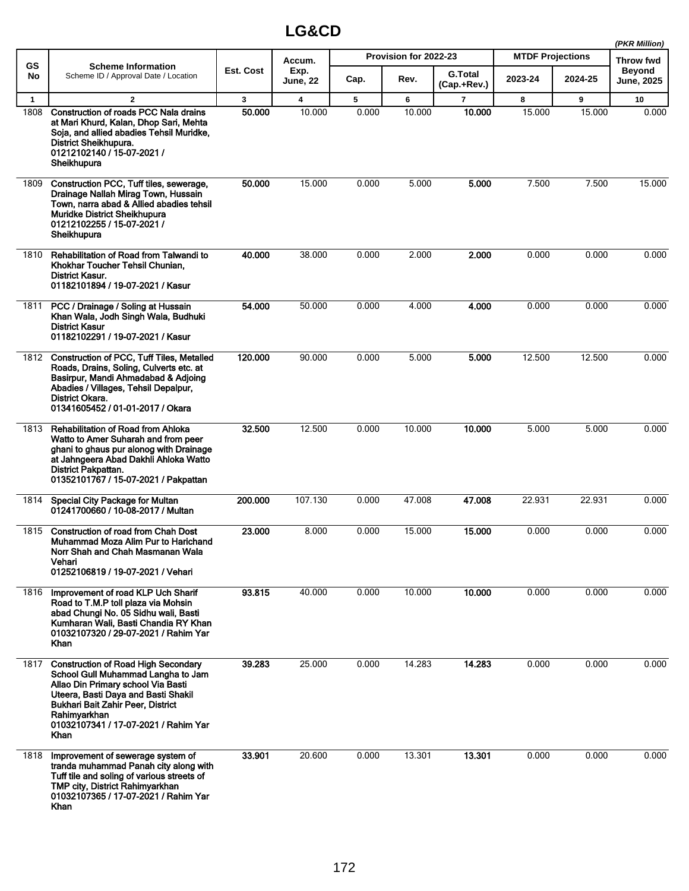|              |                                                                                                                                                                                                                                                                    |           |                         |       |                       |                               |                         |         | (PKR Million)                      |
|--------------|--------------------------------------------------------------------------------------------------------------------------------------------------------------------------------------------------------------------------------------------------------------------|-----------|-------------------------|-------|-----------------------|-------------------------------|-------------------------|---------|------------------------------------|
| <b>GS</b>    | <b>Scheme Information</b>                                                                                                                                                                                                                                          |           | Accum.                  |       | Provision for 2022-23 |                               | <b>MTDF Projections</b> |         | Throw fwd                          |
| No           | Scheme ID / Approval Date / Location                                                                                                                                                                                                                               | Est. Cost | Exp.<br>June, 22        | Cap.  | Rev.                  | <b>G.Total</b><br>(Cap.+Rev.) | 2023-24                 | 2024-25 | <b>Beyond</b><br><b>June, 2025</b> |
| $\mathbf{1}$ | $\overline{2}$                                                                                                                                                                                                                                                     | 3         | $\overline{\mathbf{4}}$ | 5     | 6                     | $\overline{\mathbf{r}}$       | 8                       | 9       | 10                                 |
| 1808         | Construction of roads PCC Nala drains<br>at Mari Khurd, Kalan, Dhop Sari, Mehta<br>Soja, and allied abadies Tehsil Muridke,<br>District Sheikhupura.<br>01212102140 / 15-07-2021 /<br>Sheikhupura                                                                  | 50,000    | 10.000                  | 0.000 | 10.000                | 10.000                        | 15.000                  | 15.000  | 0.000                              |
| 1809         | Construction PCC, Tuff tiles, sewerage,<br>Drainage Nallah Mirag Town, Hussain<br>Town, narra abad & Allied abadies tehsil<br><b>Muridke District Sheikhupura</b><br>01212102255 / 15-07-2021 /<br>Sheikhupura                                                     | 50.000    | 15.000                  | 0.000 | 5.000                 | 5.000                         | 7.500                   | 7.500   | 15.000                             |
| 1810         | Rehabilitation of Road from Talwandi to<br>Khokhar Toucher Tehsil Chunian,<br><b>District Kasur.</b><br>01182101894 / 19-07-2021 / Kasur                                                                                                                           | 40.000    | 38.000                  | 0.000 | 2.000                 | 2.000                         | 0.000                   | 0.000   | 0.000                              |
| 1811         | PCC / Drainage / Soling at Hussain<br>Khan Wala, Jodh Singh Wala, Budhuki<br><b>District Kasur</b><br>01182102291 / 19-07-2021 / Kasur                                                                                                                             | 54.000    | 50.000                  | 0.000 | 4.000                 | 4.000                         | 0.000                   | 0.000   | 0.000                              |
| 1812         | <b>Construction of PCC, Tuff Tiles, Metalled</b><br>Roads, Drains, Soling, Culverts etc. at<br>Basirpur, Mandi Ahmadabad & Adjoing<br>Abadies / Villages, Tehsil Depalpur,<br>District Okara.<br>01341605452 / 01-01-2017 / Okara                                  | 120.000   | 90.000                  | 0.000 | 5.000                 | 5.000                         | 12.500                  | 12.500  | 0.000                              |
| 1813         | <b>Rehabilitation of Road from Ahloka</b><br>Watto to Amer Suharah and from peer<br>ghani to ghaus pur alonog with Drainage<br>at Jahngeera Abad Dakhli Ahloka Watto<br>District Pakpattan.<br>01352101767 / 15-07-2021 / Pakpattan                                | 32.500    | 12.500                  | 0.000 | 10.000                | 10.000                        | 5.000                   | 5.000   | 0.000                              |
| 1814         | Special City Package for Multan<br>01241700660 / 10-08-2017 / Multan                                                                                                                                                                                               | 200.000   | 107.130                 | 0.000 | 47.008                | 47.008                        | 22.931                  | 22.931  | 0.000                              |
| 1815         | <b>Construction of road from Chah Dost</b><br>Muhammad Moza Alim Pur to Harichand<br>Norr Shah and Chah Masmanan Wala<br>Vehari<br>01252106819 / 19-07-2021 / Vehari                                                                                               | 23.000    | 8.000                   | 0.000 | 15.000                | 15.000                        | 0.000                   | 0.000   | 0.000                              |
| 1816         | Improvement of road KLP Uch Sharif<br>Road to T.M.P toll plaza via Mohsin<br>abad Chungi No. 05 Sidhu wali, Basti<br>Kumharan Wali, Basti Chandia RY Khan<br>01032107320 / 29-07-2021 / Rahim Yar<br>Khan                                                          | 93.815    | 40.000                  | 0.000 | 10.000                | 10.000                        | 0.000                   | 0.000   | 0.000                              |
| 1817         | <b>Construction of Road High Secondary</b><br>School Gull Muhammad Langha to Jam<br>Allao Din Primary school Via Basti<br>Uteera, Basti Daya and Basti Shakil<br>Bukhari Bait Zahir Peer, District<br>Rahimyarkhan<br>01032107341 / 17-07-2021 / Rahim Yar<br>Khan | 39.283    | 25.000                  | 0.000 | 14.283                | 14.283                        | 0.000                   | 0.000   | 0.000                              |
| 1818         | Improvement of sewerage system of<br>tranda muhammad Panah city along with<br>Tuff tile and soling of various streets of<br>TMP city, District Rahimyarkhan<br>01032107365 / 17-07-2021 / Rahim Yar<br>Khan                                                        | 33.901    | 20.600                  | 0.000 | 13.301                | 13.301                        | 0.000                   | 0.000   | 0.000                              |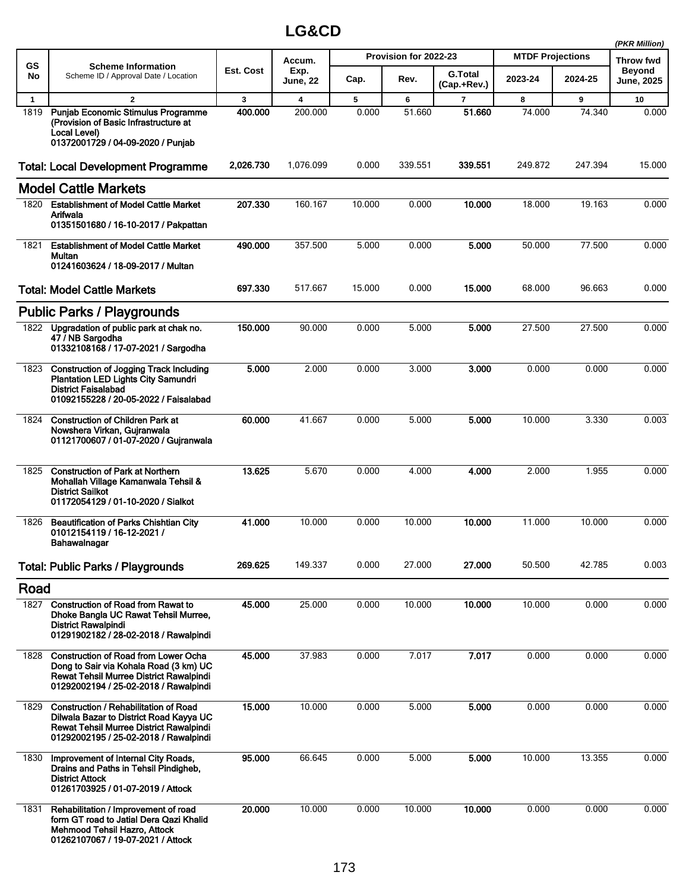|              |                                                                                                                                                                         |           |                         |        |                       |                               |                         |         | (PKR Million)               |
|--------------|-------------------------------------------------------------------------------------------------------------------------------------------------------------------------|-----------|-------------------------|--------|-----------------------|-------------------------------|-------------------------|---------|-----------------------------|
| GS           | <b>Scheme Information</b>                                                                                                                                               |           | Accum.                  |        | Provision for 2022-23 |                               | <b>MTDF Projections</b> |         | Throw fwd                   |
| No           | Scheme ID / Approval Date / Location                                                                                                                                    | Est. Cost | Exp.<br><b>June, 22</b> | Cap.   | Rev.                  | <b>G.Total</b><br>(Cap.+Rev.) | 2023-24                 | 2024-25 | Beyond<br><b>June, 2025</b> |
| $\mathbf{1}$ | $\overline{2}$                                                                                                                                                          | 3         | 4                       | 5      | 6                     | 7                             | 8                       | 9       | 10                          |
| 1819         | Punjab Economic Stimulus Programme<br>(Provision of Basic Infrastructure at<br>Local Level)<br>01372001729 / 04-09-2020 / Punjab                                        | 400.000   | 200.000                 | 0.000  | 51.660                | 51.660                        | 74.000                  | 74.340  | 0.000                       |
|              | <b>Total: Local Development Programme</b>                                                                                                                               | 2,026.730 | 1,076.099               | 0.000  | 339.551               | 339.551                       | 249.872                 | 247.394 | 15.000                      |
|              | <b>Model Cattle Markets</b>                                                                                                                                             |           |                         |        |                       |                               |                         |         |                             |
| 1820         | <b>Establishment of Model Cattle Market</b><br>Arifwala<br>01351501680 / 16-10-2017 / Pakpattan                                                                         | 207.330   | 160.167                 | 10.000 | 0.000                 | 10.000                        | 18.000                  | 19.163  | 0.000                       |
| 1821         | <b>Establishment of Model Cattle Market</b><br>Multan<br>01241603624 / 18-09-2017 / Multan                                                                              | 490.000   | 357.500                 | 5.000  | 0.000                 | 5.000                         | 50.000                  | 77.500  | 0.000                       |
|              | <b>Total: Model Cattle Markets</b>                                                                                                                                      | 697.330   | 517.667                 | 15.000 | 0.000                 | 15.000                        | 68.000                  | 96.663  | 0.000                       |
|              | <b>Public Parks / Playgrounds</b>                                                                                                                                       |           |                         |        |                       |                               |                         |         |                             |
| 1822         | Upgradation of public park at chak no.<br>47 / NB Sargodha<br>01332108168 / 17-07-2021 / Sargodha                                                                       | 150.000   | 90.000                  | 0.000  | 5.000                 | 5.000                         | 27.500                  | 27.500  | 0.000                       |
|              | 1823 Construction of Jogging Track Including<br><b>Plantation LED Lights City Samundri</b><br><b>District Faisalabad</b><br>01092155228 / 20-05-2022 / Faisalabad       | 5.000     | 2.000                   | 0.000  | 3.000                 | 3.000                         | 0.000                   | 0.000   | 0.000                       |
| 1824         | <b>Construction of Children Park at</b><br>Nowshera Virkan, Gujranwala<br>01121700607 / 01-07-2020 / Gujranwala                                                         | 60.000    | 41.667                  | 0.000  | 5.000                 | 5.000                         | 10.000                  | 3.330   | 0.003                       |
| 1825         | <b>Construction of Park at Northern</b><br>Mohallah Village Kamanwala Tehsil &<br><b>District Sailkot</b><br>01172054129 / 01-10-2020 / Sialkot                         | 13.625    | 5.670                   | 0.000  | 4.000                 | 4.000                         | 2.000                   | 1.955   | 0.000                       |
| 1826         | <b>Beautification of Parks Chishtian City</b><br>01012154119 / 16-12-2021 /<br>Bahawalnagar                                                                             | 41.000    | 10.000                  | 0.000  | 10.000                | 10.000                        | 11.000                  | 10.000  | 0.000                       |
|              | <b>Total: Public Parks / Playgrounds</b>                                                                                                                                | 269.625   | 149.337                 | 0.000  | 27.000                | 27.000                        | 50.500                  | 42.785  | 0.003                       |
| Road         |                                                                                                                                                                         |           |                         |        |                       |                               |                         |         |                             |
| 1827         | <b>Construction of Road from Rawat to</b><br>Dhoke Bangla UC Rawat Tehsil Murree,<br><b>District Rawalpindi</b><br>01291902182 / 28-02-2018 / Rawalpindi                | 45.000    | 25.000                  | 0.000  | 10.000                | 10.000                        | 10.000                  | 0.000   | 0.000                       |
|              | 1828 Construction of Road from Lower Ocha<br>Dong to Sair via Kohala Road (3 km) UC<br>Rewat Tehsil Murree District Rawalpindi<br>01292002194 / 25-02-2018 / Rawalpindi | 45.000    | 37.983                  | 0.000  | 7.017                 | 7.017                         | 0.000                   | 0.000   | 0.000                       |
| 1829         | Construction / Rehabilitation of Road<br>Dilwala Bazar to District Road Kayya UC<br>Rewat Tehsil Murree District Rawalpindi<br>01292002195 / 25-02-2018 / Rawalpindi    | 15.000    | 10.000                  | 0.000  | 5.000                 | 5.000                         | 0.000                   | 0.000   | 0.000                       |
| 1830         | Improvement of Internal City Roads,<br>Drains and Paths in Tehsil Pindigheb,<br><b>District Attock</b><br>01261703925 / 01-07-2019 / Attock                             | 95.000    | 66.645                  | 0.000  | 5.000                 | 5.000                         | 10.000                  | 13.355  | 0.000                       |
| 1831         | Rehabilitation / Improvement of road<br>form GT road to Jatial Dera Qazi Khalid<br>Mehmood Tehsil Hazro, Attock<br>01262107067 / 19-07-2021 / Attock                    | 20.000    | 10.000                  | 0.000  | 10.000                | 10.000                        | 0.000                   | 0.000   | 0.000                       |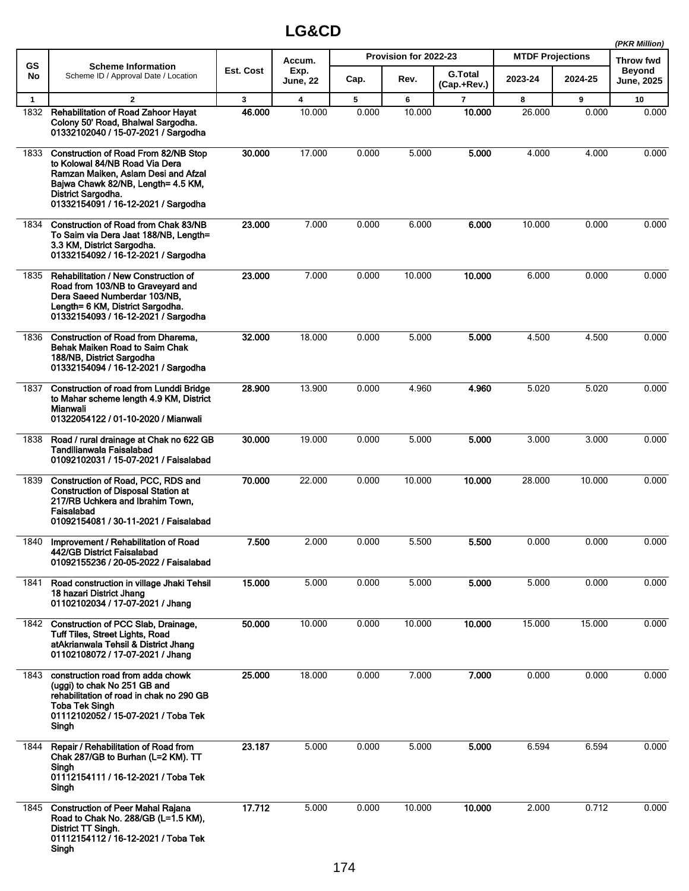|              |                                                                                                                                                                                                                         |              |                         |       |                       |                               |                         |         | (PKR Million)        |
|--------------|-------------------------------------------------------------------------------------------------------------------------------------------------------------------------------------------------------------------------|--------------|-------------------------|-------|-----------------------|-------------------------------|-------------------------|---------|----------------------|
| <b>GS</b>    | <b>Scheme Information</b>                                                                                                                                                                                               |              | Accum.                  |       | Provision for 2022-23 |                               | <b>MTDF Projections</b> |         | <b>Throw fwd</b>     |
| No           | Scheme ID / Approval Date / Location                                                                                                                                                                                    | Est. Cost    | Exp.<br><b>June, 22</b> | Cap.  | Rev.                  | <b>G.Total</b><br>(Cap.+Rev.) | 2023-24                 | 2024-25 | Beyond<br>June, 2025 |
| $\mathbf{1}$ | $\mathbf{2}$                                                                                                                                                                                                            | $\mathbf{3}$ | 4                       | 5     | 6                     | $\overline{7}$                | 8                       | 9       | 10                   |
| 1832         | <b>Rehabilitation of Road Zahoor Hayat</b><br>Colony 50' Road, Bhalwal Sargodha.<br>01332102040 / 15-07-2021 / Sargodha                                                                                                 | 46.000       | 10.000                  | 0.000 | 10.000                | 10.000                        | 26.000                  | 0.000   | 0.000                |
| 1833         | <b>Construction of Road From 82/NB Stop</b><br>to Kolowal 84/NB Road Via Dera<br>Ramzan Maiken, Aslam Desi and Afzal<br>Bajwa Chawk 82/NB, Length= 4.5 KM,<br>District Sargodha.<br>01332154091 / 16-12-2021 / Sargodha | 30.000       | 17.000                  | 0.000 | 5.000                 | 5.000                         | 4.000                   | 4.000   | 0.000                |
| 1834         | Construction of Road from Chak 83/NB<br>To Saim via Dera Jaat 188/NB, Length=<br>3.3 KM, District Sargodha.<br>01332154092 / 16-12-2021 / Sargodha                                                                      | 23.000       | 7.000                   | 0.000 | 6.000                 | 6.000                         | 10.000                  | 0.000   | 0.000                |
| 1835         | Rehabilitation / New Construction of<br>Road from 103/NB to Graveyard and<br>Dera Saeed Numberdar 103/NB,<br>Length= 6 KM, District Sargodha.<br>01332154093 / 16-12-2021 / Sargodha                                    | 23.000       | 7.000                   | 0.000 | 10.000                | 10.000                        | 6.000                   | 0.000   | 0.000                |
| 1836         | <b>Construction of Road from Dharema.</b><br>Behak Maiken Road to Saim Chak<br>188/NB, District Sargodha<br>01332154094 / 16-12-2021 / Sargodha                                                                         | 32.000       | 18.000                  | 0.000 | 5.000                 | 5.000                         | 4.500                   | 4.500   | 0.000                |
| 1837         | <b>Construction of road from Lunddi Bridge</b><br>to Mahar scheme length 4.9 KM, District<br>Mianwali<br>01322054122 / 01-10-2020 / Mianwali                                                                            | 28.900       | 13.900                  | 0.000 | 4.960                 | 4.960                         | 5.020                   | 5.020   | 0.000                |
| 1838         | Road / rural drainage at Chak no 622 GB<br>Tandilianwala Faisalabad<br>01092102031 / 15-07-2021 / Faisalabad                                                                                                            | 30.000       | 19.000                  | 0.000 | 5.000                 | 5.000                         | 3.000                   | 3.000   | 0.000                |
| 1839         | Construction of Road, PCC, RDS and<br><b>Construction of Disposal Station at</b><br>217/RB Uchkera and Ibrahim Town,<br>Faisalabad<br>01092154081 / 30-11-2021 / Faisalabad                                             | 70.000       | 22.000                  | 0.000 | 10.000                | 10.000                        | 28.000                  | 10.000  | 0.000                |
| 1840         | Improvement / Rehabilitation of Road<br>442/GB District Faisalabad<br>01092155236 / 20-05-2022 / Faisalabad                                                                                                             | 7.500        | 2.000                   | 0.000 | 5.500                 | 5.500                         | 0.000                   | 0.000   | 0.000                |
| 1841         | Road construction in village Jhaki Tehsil<br>18 hazari District Jhang<br>01102102034 / 17-07-2021 / Jhang                                                                                                               | 15.000       | 5.000                   | 0.000 | 5.000                 | 5.000                         | 5.000                   | 0.000   | 0.000                |
| 1842         | Construction of PCC Slab, Drainage,<br><b>Tuff Tiles, Street Lights, Road</b><br>atAkrianwala Tehsil & District Jhang<br>01102108072 / 17-07-2021 / Jhang                                                               | 50.000       | 10.000                  | 0.000 | 10.000                | 10.000                        | 15.000                  | 15.000  | 0.000                |
| 1843         | construction road from adda chowk<br>(uggi) to chak No 251 GB and<br>rehabilitation of road in chak no 290 GB<br><b>Toba Tek Singh</b><br>01112102052 / 15-07-2021 / Toba Tek<br>Singh                                  | 25.000       | 18.000                  | 0.000 | 7.000                 | 7.000                         | 0.000                   | 0.000   | 0.000                |
| 1844         | Repair / Rehabilitation of Road from<br>Chak 287/GB to Burhan (L=2 KM). TT<br>Singh<br>01112154111 / 16-12-2021 / Toba Tek<br>Singh                                                                                     | 23.187       | 5.000                   | 0.000 | 5.000                 | 5.000                         | 6.594                   | 6.594   | 0.000                |
| 1845         | <b>Construction of Peer Mahal Rajana</b><br>Road to Chak No. 288/GB (L=1.5 KM),<br>District TT Singh.<br>01112154112 / 16-12-2021 / Toba Tek<br>Singh                                                                   | 17.712       | 5.000                   | 0.000 | 10.000                | 10.000                        | 2.000                   | 0.712   | 0.000                |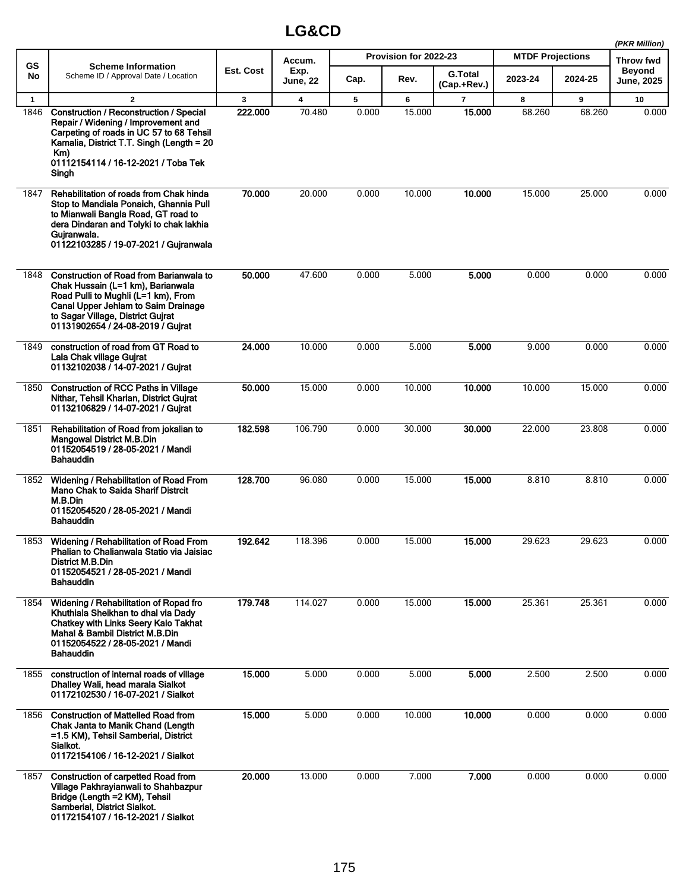|              |                                                                                                                                                                                                                                             |           |                         |       |                       |                               |                         |         | (PKR Million)               |
|--------------|---------------------------------------------------------------------------------------------------------------------------------------------------------------------------------------------------------------------------------------------|-----------|-------------------------|-------|-----------------------|-------------------------------|-------------------------|---------|-----------------------------|
| <b>GS</b>    | <b>Scheme Information</b>                                                                                                                                                                                                                   |           | Accum.                  |       | Provision for 2022-23 |                               | <b>MTDF Projections</b> |         | <b>Throw fwd</b>            |
| No           | Scheme ID / Approval Date / Location                                                                                                                                                                                                        | Est. Cost | Exp.<br><b>June, 22</b> | Cap.  | Rev.                  | <b>G.Total</b><br>(Cap.+Rev.) | 2023-24                 | 2024-25 | <b>Beyond</b><br>June, 2025 |
| $\mathbf{1}$ | $\overline{2}$                                                                                                                                                                                                                              | 3         | 4                       | 5     | 6                     | $\overline{\mathbf{r}}$       | 8                       | 9       | 10                          |
| 1846         | Construction / Reconstruction / Special<br>Repair / Widening / Improvement and<br>Carpeting of roads in UC 57 to 68 Tehsil<br>Kamalia, District T.T. Singh (Length = 20<br>$Km$ )<br>01112154114 / 16-12-2021 / Toba Tek<br>Singh           | 222.000   | 70.480                  | 0.000 | 15.000                | 15.000                        | 68.260                  | 68.260  | 0.000                       |
| 1847         | Rehabilitation of roads from Chak hinda<br>Stop to Mandiala Ponaich, Ghannia Pull<br>to Mianwali Bangla Road, GT road to<br>dera Dindaran and Tolyki to chak lakhia<br>Gujranwala.<br>01122103285 / 19-07-2021 / Gujranwala                 | 70.000    | 20.000                  | 0.000 | 10.000                | 10.000                        | 15.000                  | 25.000  | 0.000                       |
| 1848         | <b>Construction of Road from Barianwala to</b><br>Chak Hussain (L=1 km), Barianwala<br>Road Pulli to Mughli (L=1 km), From<br>Canal Upper Jehlam to Saim Drainage<br>to Sagar Village, District Gujrat<br>01131902654 / 24-08-2019 / Gujrat | 50.000    | 47.600                  | 0.000 | 5.000                 | 5.000                         | 0.000                   | 0.000   | 0.000                       |
| 1849         | construction of road from GT Road to<br>Lala Chak village Gujrat<br>01132102038 / 14-07-2021 / Gujrat                                                                                                                                       | 24.000    | 10.000                  | 0.000 | 5.000                 | 5.000                         | 9.000                   | 0.000   | 0.000                       |
| 1850         | <b>Construction of RCC Paths in Village</b><br>Nithar, Tehsil Kharian, District Guirat<br>01132106829 / 14-07-2021 / Gujrat                                                                                                                 | 50.000    | 15.000                  | 0.000 | 10.000                | 10.000                        | 10.000                  | 15.000  | 0.000                       |
| 1851         | Rehabilitation of Road from jokalian to<br><b>Mangowal District M.B.Din</b><br>01152054519 / 28-05-2021 / Mandi<br><b>Bahauddin</b>                                                                                                         | 182.598   | 106.790                 | 0.000 | 30.000                | 30.000                        | 22.000                  | 23.808  | 0.000                       |
| 1852         | Widening / Rehabilitation of Road From<br><b>Mano Chak to Saida Sharif Distrcit</b><br>M.B.Din<br>01152054520 / 28-05-2021 / Mandi<br>Bahauddin                                                                                             | 128.700   | 96.080                  | 0.000 | 15.000                | 15.000                        | 8.810                   | 8.810   | 0.000                       |
| 1853         | Widening / Rehabilitation of Road From<br>Phalian to Chalianwala Statio via Jaisiac<br>District M.B.Din<br>01152054521 / 28-05-2021 / Mandi<br><b>Bahauddin</b>                                                                             | 192.642   | 118.396                 | 0.000 | 15.000                | 15.000                        | 29.623                  | 29.623  | 0.000                       |
| 1854         | Widening / Rehabilitation of Ropad fro<br>Khuthiala Sheikhan to dhal via Dady<br>Chatkey with Links Seery Kalo Takhat<br>Mahal & Bambil District M.B.Din<br>01152054522 / 28-05-2021 / Mandi<br>Bahauddin                                   | 179.748   | 114.027                 | 0.000 | 15.000                | 15.000                        | 25.361                  | 25.361  | 0.000                       |
| 1855         | construction of internal roads of village<br>Dhalley Wali, head marala Sialkot<br>01172102530 / 16-07-2021 / Sialkot                                                                                                                        | 15.000    | 5.000                   | 0.000 | 5.000                 | 5.000                         | 2.500                   | 2.500   | 0.000                       |
| 1856         | <b>Construction of Mattelled Road from</b><br>Chak Janta to Manik Chand (Length<br>=1.5 KM), Tehsil Samberial, District<br>Sialkot.<br>01172154106 / 16-12-2021 / Sialkot                                                                   | 15.000    | 5.000                   | 0.000 | 10.000                | 10.000                        | 0.000                   | 0.000   | 0.000                       |
| 1857         | <b>Construction of carpetted Road from</b><br>Village Pakhrayianwali to Shahbazpur<br>Bridge (Length = 2 KM), Tehsil<br>Samberial, District Sialkot.<br>01172154107 / 16-12-2021 / Sialkot                                                  | 20.000    | 13.000                  | 0.000 | 7.000                 | 7.000                         | 0.000                   | 0.000   | 0.000                       |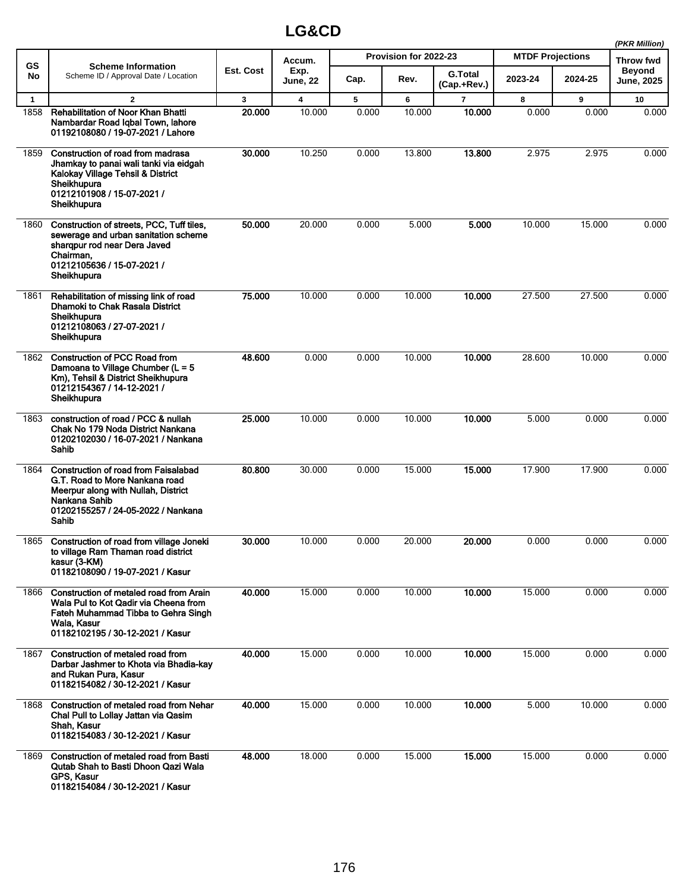|              |                                                                                                                                                                                      |              |                  |       |                       |                               |                         |         | (PKR Million)               |
|--------------|--------------------------------------------------------------------------------------------------------------------------------------------------------------------------------------|--------------|------------------|-------|-----------------------|-------------------------------|-------------------------|---------|-----------------------------|
| <b>GS</b>    | <b>Scheme Information</b>                                                                                                                                                            |              | Accum.           |       | Provision for 2022-23 |                               | <b>MTDF Projections</b> |         | Throw fwd                   |
| No           | Scheme ID / Approval Date / Location                                                                                                                                                 | Est. Cost    | Exp.<br>June, 22 | Cap.  | Rev.                  | <b>G.Total</b><br>(Cap.+Rev.) | 2023-24                 | 2024-25 | <b>Beyond</b><br>June, 2025 |
| $\mathbf{1}$ | $\mathbf{2}$                                                                                                                                                                         | $\mathbf{3}$ | 4                | 5     | 6                     | 7                             | 8                       | 9       | 10                          |
| 1858         | Rehabilitation of Noor Khan Bhatti<br>Nambardar Road Igbal Town, lahore<br>01192108080 / 19-07-2021 / Lahore                                                                         | 20.000       | 10.000           | 0.000 | 10.000                | 10.000                        | 0.000                   | 0.000   | 0.000                       |
| 1859         | Construction of road from madrasa<br>Jhamkay to panai wali tanki via eidgah<br>Kalokay Village Tehsil & District<br>Sheikhupura<br>01212101908 / 15-07-2021 /<br>Sheikhupura         | 30.000       | 10.250           | 0.000 | 13.800                | 13.800                        | 2.975                   | 2.975   | 0.000                       |
| 1860         | Construction of streets, PCC, Tuff tiles,<br>sewerage and urban sanitation scheme<br>sharqpur rod near Dera Javed<br>Chairman.<br>01212105636 / 15-07-2021 /<br>Sheikhupura          | 50.000       | 20.000           | 0.000 | 5.000                 | 5.000                         | 10.000                  | 15.000  | 0.000                       |
| 1861         | Rehabilitation of missing link of road<br>Dhamoki to Chak Rasala District<br>Sheikhupura<br>01212108063 / 27-07-2021 /<br>Sheikhupura                                                | 75.000       | 10.000           | 0.000 | 10.000                | 10.000                        | 27.500                  | 27.500  | 0.000                       |
| 1862         | <b>Construction of PCC Road from</b><br>Damoana to Village Chumber ( $L = 5$<br>Km), Tehsil & District Sheikhupura<br>01212154367 / 14-12-2021 /<br>Sheikhupura                      | 48.600       | 0.000            | 0.000 | 10.000                | 10.000                        | 28.600                  | 10.000  | 0.000                       |
| 1863         | construction of road / PCC & nullah<br>Chak No 179 Noda District Nankana<br>01202102030 / 16-07-2021 / Nankana<br>Sahib                                                              | 25.000       | 10.000           | 0.000 | 10.000                | 10.000                        | 5.000                   | 0.000   | 0.000                       |
| 1864         | <b>Construction of road from Faisalabad</b><br>G.T. Road to More Nankana road<br>Meerpur along with Nullah, District<br>Nankana Sahib<br>01202155257 / 24-05-2022 / Nankana<br>Sahib | 80.800       | 30.000           | 0.000 | 15.000                | 15,000                        | 17.900                  | 17.900  | 0.000                       |
| 1865         | Construction of road from village Joneki<br>to village Ram Thaman road district<br>kasur (3-KM)<br>01182108090 / 19-07-2021 / Kasur                                                  | 30.000       | 10.000           | 0.000 | 20.000                | 20.000                        | 0.000                   | 0.000   | 0.000                       |
| 1866         | Construction of metaled road from Arain<br>Wala Pul to Kot Qadir via Cheena from<br>Fateh Muhammad Tibba to Gehra Singh<br>Wala, Kasur<br>01182102195 / 30-12-2021 / Kasur           | 40.000       | 15.000           | 0.000 | 10.000                | 10.000                        | 15.000                  | 0.000   | 0.000                       |
| 1867         | Construction of metaled road from<br>Darbar Jashmer to Khota via Bhadia-kay<br>and Rukan Pura, Kasur<br>01182154082 / 30-12-2021 / Kasur                                             | 40.000       | 15.000           | 0.000 | 10.000                | 10.000                        | 15.000                  | 0.000   | 0.000                       |
| 1868         | Construction of metaled road from Nehar<br>Chal Pull to Lollay Jattan via Qasim<br>Shah, Kasur<br>01182154083 / 30-12-2021 / Kasur                                                   | 40.000       | 15.000           | 0.000 | 10.000                | 10.000                        | 5.000                   | 10.000  | 0.000                       |
| 1869         | <b>Construction of metaled road from Basti</b><br>Qutab Shah to Basti Dhoon Qazi Wala<br>GPS, Kasur<br>01182154084 / 30-12-2021 / Kasur                                              | 48.000       | 18.000           | 0.000 | 15.000                | 15.000                        | 15.000                  | 0.000   | 0.000                       |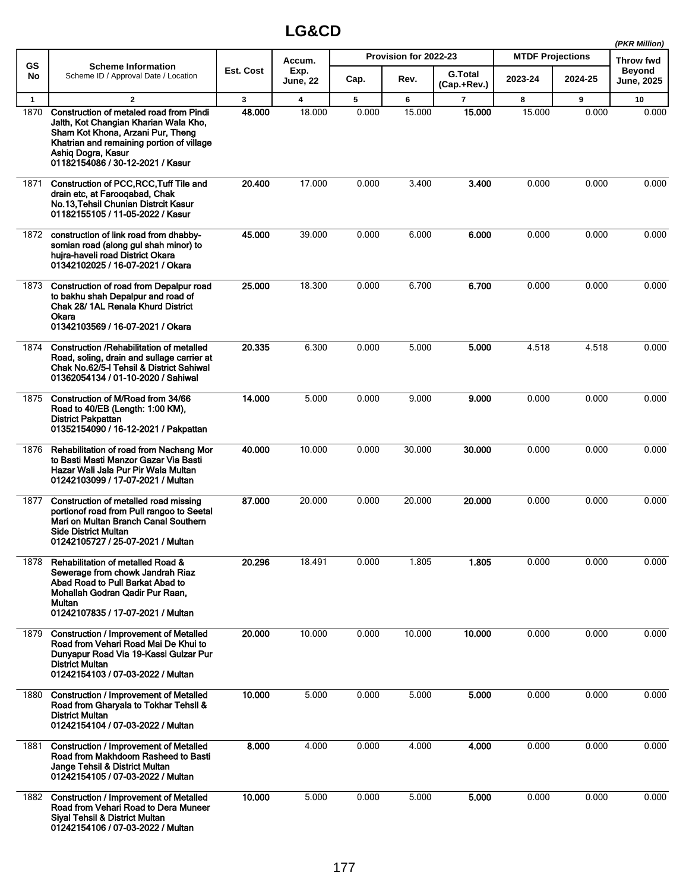|              |                                                                                                                                                                                                                              |              |                         |       |                       |                        |                         |         | (PKR Million)        |
|--------------|------------------------------------------------------------------------------------------------------------------------------------------------------------------------------------------------------------------------------|--------------|-------------------------|-------|-----------------------|------------------------|-------------------------|---------|----------------------|
| <b>GS</b>    | <b>Scheme Information</b>                                                                                                                                                                                                    |              | Accum.                  |       | Provision for 2022-23 |                        | <b>MTDF Projections</b> |         | Throw fwd            |
| No           | Scheme ID / Approval Date / Location                                                                                                                                                                                         | Est. Cost    | Exp.<br><b>June, 22</b> | Cap.  | Rev.                  | G.Total<br>(Cap.+Rev.) | 2023-24                 | 2024-25 | Beyond<br>June, 2025 |
| $\mathbf{1}$ | $\mathbf{2}$                                                                                                                                                                                                                 | $\mathbf{3}$ | $\overline{\mathbf{4}}$ | 5     | 6                     | $\overline{7}$         | 8                       | 9       | 10                   |
| 1870         | Construction of metaled road from Pindi<br>Jalth, Kot Changian Kharian Wala Kho,<br>Sham Kot Khona, Arzani Pur, Theng<br>Khatrian and remaining portion of village<br>Ashiq Dogra, Kasur<br>01182154086 / 30-12-2021 / Kasur | 48.000       | 18.000                  | 0.000 | 15.000                | 15.000                 | 15.000                  | 0.000   | 0.000                |
| 1871         | Construction of PCC, RCC, Tuff Tile and<br>drain etc, at Faroogabad, Chak<br>No.13, Tehsil Chunian Distrcit Kasur<br>01182155105 / 11-05-2022 / Kasur                                                                        | 20.400       | 17.000                  | 0.000 | 3.400                 | 3.400                  | 0.000                   | 0.000   | 0.000                |
| 1872         | construction of link road from dhabby-<br>somian road (along gul shah minor) to<br>hujra-haveli road District Okara<br>01342102025 / 16-07-2021 / Okara                                                                      | 45.000       | 39.000                  | 0.000 | 6.000                 | 6.000                  | 0.000                   | 0.000   | 0.000                |
| 1873         | Construction of road from Depalpur road<br>to bakhu shah Depalpur and road of<br>Chak 28/ 1AL Renala Khurd District<br>Okara<br>01342103569 / 16-07-2021 / Okara                                                             | 25.000       | 18.300                  | 0.000 | 6.700                 | 6.700                  | 0.000                   | 0.000   | 0.000                |
| 1874         | Construction / Rehabilitation of metalled<br>Road, soling, drain and sullage carrier at<br>Chak No.62/5-I Tehsil & District Sahiwal<br>01362054134 / 01-10-2020 / Sahiwal                                                    | 20.335       | 6.300                   | 0.000 | 5.000                 | 5.000                  | 4.518                   | 4.518   | 0.000                |
| 1875         | Construction of M/Road from 34/66<br>Road to 40/EB (Length: 1:00 KM),<br><b>District Pakpattan</b><br>01352154090 / 16-12-2021 / Pakpattan                                                                                   | 14.000       | 5.000                   | 0.000 | 9.000                 | 9.000                  | 0.000                   | 0.000   | 0.000                |
| 1876         | Rehabilitation of road from Nachang Mor<br>to Basti Masti Manzor Gazar Via Basti<br>Hazar Wali Jala Pur Pir Wala Multan<br>01242103099 / 17-07-2021 / Multan                                                                 | 40.000       | 10.000                  | 0.000 | 30.000                | 30.000                 | 0.000                   | 0.000   | 0.000                |
| 1877         | Construction of metalled road missing<br>portionof road from Pull rangoo to Seetal<br>Mari on Multan Branch Canal Southern<br>Side District Multan<br>01242105727 / 25-07-2021 / Multan                                      | 87.000       | 20.000                  | 0.000 | 20.000                | 20.000                 | 0.000                   | 0.000   | 0.000                |
| 1878         | <b>Rehabilitation of metalled Road &amp;</b><br>Sewerage from chowk Jandrah Riaz<br>Abad Road to Pull Barkat Abad to<br>Mohallah Godran Qadir Pur Raan.<br>Multan<br>01242107835 / 17-07-2021 / Multan                       | 20.296       | 18.491                  | 0.000 | 1.805                 | 1.805                  | 0.000                   | 0.000   | 0.000                |
| 1879         | <b>Construction / Improvement of Metalled</b><br>Road from Vehari Road Mai De Khui to<br>Dunyapur Road Via 19-Kassi Gulzar Pur<br>District Multan<br>01242154103 / 07-03-2022 / Multan                                       | 20.000       | 10.000                  | 0.000 | 10.000                | 10.000                 | 0.000                   | 0.000   | 0.000                |
| 1880         | <b>Construction / Improvement of Metalled</b><br>Road from Gharyala to Tokhar Tehsil &<br>District Multan<br>01242154104 / 07-03-2022 / Multan                                                                               | 10.000       | 5.000                   | 0.000 | 5.000                 | 5.000                  | 0.000                   | 0.000   | 0.000                |
| 1881         | <b>Construction / Improvement of Metalled</b><br>Road from Makhdoom Rasheed to Basti<br>Jange Tehsil & District Multan<br>01242154105 / 07-03-2022 / Multan                                                                  | 8.000        | 4.000                   | 0.000 | 4.000                 | 4.000                  | 0.000                   | 0.000   | 0.000                |
|              | 1882 Construction / Improvement of Metalled<br>Road from Vehari Road to Dera Muneer<br><b>Siyal Tehsil &amp; District Multan</b><br>01242154106 / 07-03-2022 / Multan                                                        | 10.000       | 5.000                   | 0.000 | 5.000                 | 5.000                  | 0.000                   | 0.000   | 0.000                |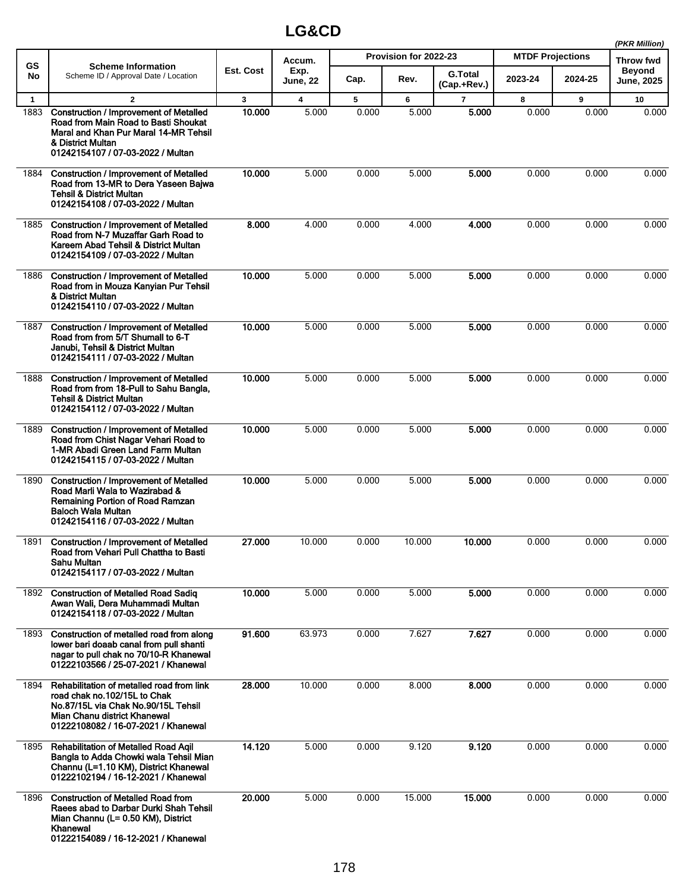|              |                                                                                                                                                                                          |           |                         |       |                       |                               |                         |         | (PKR Million)               |
|--------------|------------------------------------------------------------------------------------------------------------------------------------------------------------------------------------------|-----------|-------------------------|-------|-----------------------|-------------------------------|-------------------------|---------|-----------------------------|
| <b>GS</b>    | <b>Scheme Information</b>                                                                                                                                                                |           | Accum.                  |       | Provision for 2022-23 |                               | <b>MTDF Projections</b> |         | <b>Throw fwd</b>            |
| No           | Scheme ID / Approval Date / Location                                                                                                                                                     | Est. Cost | Exp.<br><b>June, 22</b> | Cap.  | Rev.                  | <b>G.Total</b><br>(Cap.+Rev.) | 2023-24                 | 2024-25 | <b>Beyond</b><br>June, 2025 |
| $\mathbf{1}$ | $\overline{2}$                                                                                                                                                                           | 3         | $\overline{\mathbf{4}}$ | 5     | 6                     | $\overline{7}$                | 8                       | 9       | 10                          |
| 1883         | <b>Construction / Improvement of Metalled</b><br>Road from Main Road to Basti Shoukat<br>Maral and Khan Pur Maral 14-MR Tehsil<br>& District Multan<br>01242154107 / 07-03-2022 / Multan | 10.000    | 5.000                   | 0.000 | 5.000                 | 5.000                         | 0.000                   | 0.000   | 0.000                       |
| 1884         | <b>Construction / Improvement of Metalled</b><br>Road from 13-MR to Dera Yaseen Bajwa<br><b>Tehsil &amp; District Multan</b><br>01242154108 / 07-03-2022 / Multan                        | 10.000    | 5.000                   | 0.000 | 5.000                 | 5.000                         | 0.000                   | 0.000   | 0.000                       |
| 1885         | <b>Construction / Improvement of Metalled</b><br>Road from N-7 Muzaffar Garh Road to<br>Kareem Abad Tehsil & District Multan<br>01242154109 / 07-03-2022 / Multan                        | 8.000     | 4.000                   | 0.000 | 4.000                 | 4.000                         | 0.000                   | 0.000   | 0.000                       |
| 1886         | <b>Construction / Improvement of Metalled</b><br>Road from in Mouza Kanyian Pur Tehsil<br>& District Multan<br>01242154110 / 07-03-2022 / Multan                                         | 10.000    | 5.000                   | 0.000 | 5.000                 | 5.000                         | 0.000                   | 0.000   | 0.000                       |
| 1887         | <b>Construction / Improvement of Metalled</b><br>Road from from 5/T Shumall to 6-T<br>Janubi, Tehsil & District Multan<br>01242154111 / 07-03-2022 / Multan                              | 10.000    | 5.000                   | 0.000 | 5.000                 | 5.000                         | 0.000                   | 0.000   | 0.000                       |
| 1888         | <b>Construction / Improvement of Metalled</b><br>Road from from 18-Pull to Sahu Bangla,<br><b>Tehsil &amp; District Multan</b><br>01242154112 / 07-03-2022 / Multan                      | 10.000    | 5.000                   | 0.000 | 5.000                 | 5.000                         | 0.000                   | 0.000   | 0.000                       |
| 1889         | <b>Construction / Improvement of Metalled</b><br>Road from Chist Nagar Vehari Road to<br>1-MR Abadi Green Land Farm Multan<br>01242154115 / 07-03-2022 / Multan                          | 10.000    | 5.000                   | 0.000 | 5.000                 | 5.000                         | 0.000                   | 0.000   | 0.000                       |
| 1890         | <b>Construction / Improvement of Metalled</b><br>Road Marli Wala to Wazirabad &<br>Remaining Portion of Road Ramzan<br><b>Baloch Wala Multan</b><br>01242154116 / 07-03-2022 / Multan    | 10.000    | 5.000                   | 0.000 | 5.000                 | 5.000                         | 0.000                   | 0.000   | 0.000                       |
| 1891         | <b>Construction / Improvement of Metalled</b><br>Road from Vehari Pull Chattha to Basti<br>Sahu Multan<br>01242154117 / 07-03-2022 / Multan                                              | 27.000    | 10.000                  | 0.000 | 10.000                | 10.000                        | 0.000                   | 0.000   | 0.000                       |
| 1892         | <b>Construction of Metalled Road Sadiq</b><br>Awan Wali, Dera Muhammadi Multan<br>01242154118 / 07-03-2022 / Multan                                                                      | 10.000    | 5.000                   | 0.000 | 5.000                 | 5.000                         | 0.000                   | 0.000   | 0.000                       |
| 1893         | Construction of metalled road from along<br>lower bari doaab canal from pull shanti<br>nagar to pull chak no 70/10-R Khanewal<br>01222103566 / 25-07-2021 / Khanewal                     | 91.600    | 63.973                  | 0.000 | 7.627                 | 7.627                         | 0.000                   | 0.000   | 0.000                       |
| 1894         | Rehabilitation of metalled road from link<br>road chak no.102/15L to Chak<br>No.87/15L via Chak No.90/15L Tehsil<br>Mian Chanu district Khanewal<br>01222108082 / 16-07-2021 / Khanewal  | 28.000    | 10.000                  | 0.000 | 8.000                 | 8.000                         | 0.000                   | 0.000   | 0.000                       |
| 1895         | <b>Rehabilitation of Metalled Road Agil</b><br>Bangla to Adda Chowki wala Tehsil Mian<br>Channu (L=1.10 KM), District Khanewal<br>01222102194 / 16-12-2021 / Khanewal                    | 14.120    | 5.000                   | 0.000 | 9.120                 | 9.120                         | 0.000                   | 0.000   | 0.000                       |
| 1896         | <b>Construction of Metalled Road from</b><br>Raees abad to Darbar Durki Shah Tehsil<br>Mian Channu (L= 0.50 KM), District<br>Khanewal<br>01222154089 / 16-12-2021 / Khanewal             | 20.000    | 5.000                   | 0.000 | 15.000                | 15.000                        | 0.000                   | 0.000   | 0.000                       |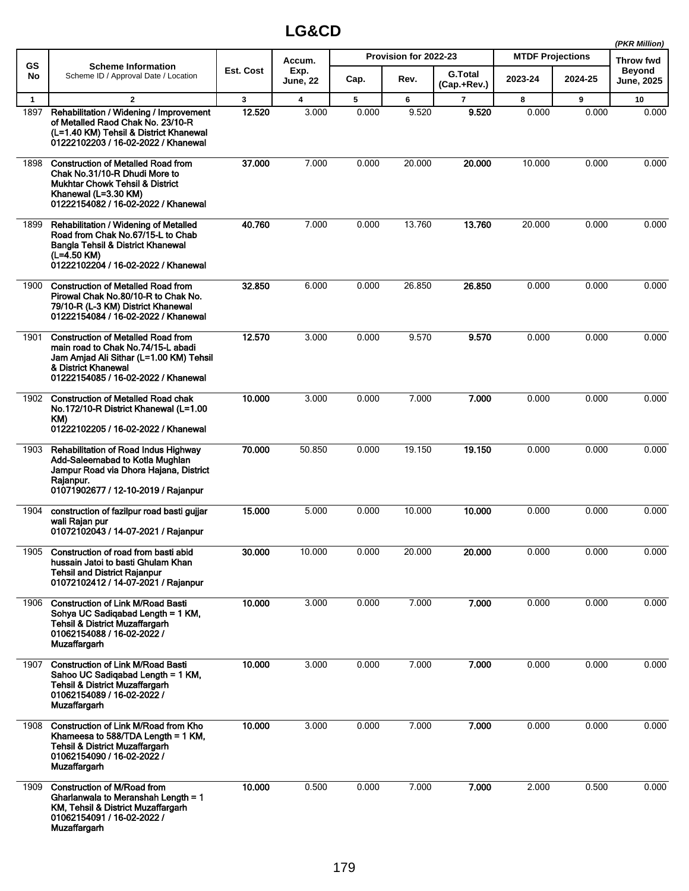|              |                                                                                                                                                                                          |              |                         |       |                       |                               |                         |         | (PKR Million)               |
|--------------|------------------------------------------------------------------------------------------------------------------------------------------------------------------------------------------|--------------|-------------------------|-------|-----------------------|-------------------------------|-------------------------|---------|-----------------------------|
| GS           | <b>Scheme Information</b>                                                                                                                                                                |              | Accum.                  |       | Provision for 2022-23 |                               | <b>MTDF Projections</b> |         | Throw fwd                   |
| No           | Scheme ID / Approval Date / Location                                                                                                                                                     | Est. Cost    | Exp.<br><b>June, 22</b> | Cap.  | Rev.                  | <b>G.Total</b><br>(Cap.+Rev.) | 2023-24                 | 2024-25 | <b>Beyond</b><br>June, 2025 |
| $\mathbf{1}$ | $\mathbf{2}$                                                                                                                                                                             | $\mathbf{3}$ | 4                       | 5     | 6                     | $\overline{7}$                | 8                       | 9       | 10                          |
| 1897         | Rehabilitation / Widening / Improvement<br>of Metalled Raod Chak No. 23/10-R<br>(L=1.40 KM) Tehsil & District Khanewal<br>01222102203 / 16-02-2022 / Khanewal                            | 12.520       | 3.000                   | 0.000 | 9.520                 | 9.520                         | 0.000                   | 0.000   | 0.000                       |
| 1898         | <b>Construction of Metalled Road from</b><br>Chak No.31/10-R Dhudi More to<br><b>Mukhtar Chowk Tehsil &amp; District</b><br>Khanewal (L=3.30 KM)<br>01222154082 / 16-02-2022 / Khanewal  | 37.000       | 7.000                   | 0.000 | 20.000                | 20.000                        | 10.000                  | 0.000   | 0.000                       |
| 1899         | <b>Rehabilitation / Widening of Metalled</b><br>Road from Chak No.67/15-L to Chab<br>Bangla Tehsil & District Khanewal<br>(L=4.50 KM)<br>01222102204 / 16-02-2022 / Khanewal             | 40.760       | 7.000                   | 0.000 | 13.760                | 13.760                        | 20.000                  | 0.000   | 0.000                       |
| 1900         | <b>Construction of Metalled Road from</b><br>Pirowal Chak No.80/10-R to Chak No.<br>79/10-R (L-3 KM) District Khanewal<br>01222154084 / 16-02-2022 / Khanewal                            | 32.850       | 6.000                   | 0.000 | 26.850                | 26.850                        | 0.000                   | 0.000   | 0.000                       |
| 1901         | <b>Construction of Metalled Road from</b><br>main road to Chak No.74/15-L abadi<br>Jam Amjad Ali Sithar (L=1.00 KM) Tehsil<br>& District Khanewal<br>01222154085 / 16-02-2022 / Khanewal | 12.570       | 3.000                   | 0.000 | 9.570                 | 9.570                         | 0.000                   | 0.000   | 0.000                       |
| 1902         | <b>Construction of Metalled Road chak</b><br>No.172/10-R District Khanewal (L=1.00<br>KM)<br>01222102205 / 16-02-2022 / Khanewal                                                         | 10.000       | 3.000                   | 0.000 | 7.000                 | 7.000                         | 0.000                   | 0.000   | 0.000                       |
| 1903         | Rehabilitation of Road Indus Highway<br>Add-Saleemabad to Kotla Mughlan<br>Jampur Road via Dhora Hajana, District<br>Rajanpur.<br>01071902677 / 12-10-2019 / Rajanpur                    | 70.000       | 50.850                  | 0.000 | 19.150                | 19.150                        | 0.000                   | 0.000   | 0.000                       |
| 1904         | construction of fazilpur road basti gujjar<br>wali Raian pur<br>01072102043 / 14-07-2021 / Rajanpur                                                                                      | 15.000       | 5.000                   | 0.000 | 10.000                | 10.000                        | 0.000                   | 0.000   | 0.000                       |
| 1905         | Construction of road from basti abid<br>hussain Jatoi to basti Ghulam Khan<br><b>Tehsil and District Raianpur</b><br>01072102412 / 14-07-2021 / Rajanpur                                 | 30.000       | 10.000                  | 0.000 | 20.000                | 20.000                        | 0.000                   | 0.000   | 0.000                       |
| 1906         | <b>Construction of Link M/Road Basti</b><br>Sohya UC Sadiqabad Length = 1 KM,<br><b>Tehsil &amp; District Muzaffargarh</b><br>01062154088 / 16-02-2022 /<br>Muzaffargarh                 | 10.000       | 3.000                   | 0.000 | 7.000                 | 7.000                         | 0.000                   | 0.000   | 0.000                       |
| 1907         | <b>Construction of Link M/Road Basti</b><br>Sahoo UC Sadigabad Length = 1 KM,<br><b>Tehsil &amp; District Muzaffargarh</b><br>01062154089 / 16-02-2022 /<br>Muzaffargarh                 | 10.000       | 3.000                   | 0.000 | 7.000                 | 7.000                         | 0.000                   | 0.000   | 0.000                       |
| 1908         | Construction of Link M/Road from Kho<br>Khameesa to $588/TDA$ Length = 1 KM,<br><b>Tehsil &amp; District Muzaffargarh</b><br>01062154090 / 16-02-2022 /<br><b>Muzaffargarh</b>           | 10.000       | 3.000                   | 0.000 | 7.000                 | 7.000                         | 0.000                   | 0.000   | 0.000                       |
| 1909         | Construction of M/Road from<br>Gharlanwala to Meranshah Length = 1<br>KM, Tehsil & District Muzaffargarh<br>01062154091 / 16-02-2022 /<br><b>Muzaffargarh</b>                            | 10.000       | 0.500                   | 0.000 | 7.000                 | 7.000                         | 2.000                   | 0.500   | 0.000                       |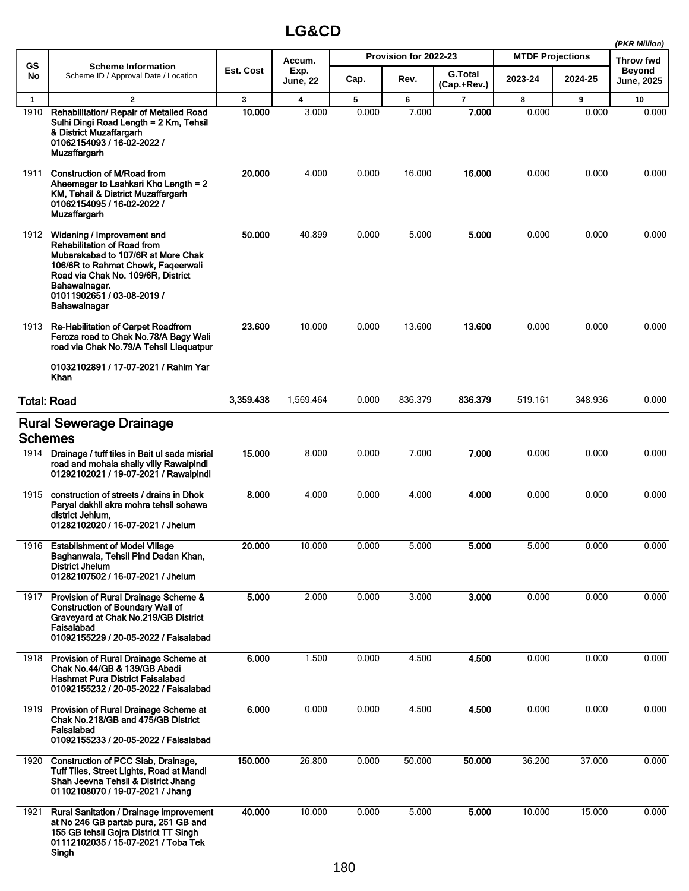|              |                                                                                                                                                                                                                                                   | (PKR Million) |                         |       |                       |                               |                         |         |                                    |
|--------------|---------------------------------------------------------------------------------------------------------------------------------------------------------------------------------------------------------------------------------------------------|---------------|-------------------------|-------|-----------------------|-------------------------------|-------------------------|---------|------------------------------------|
| <b>GS</b>    | <b>Scheme Information</b>                                                                                                                                                                                                                         | Est. Cost     | Accum.                  |       | Provision for 2022-23 |                               | <b>MTDF Projections</b> |         | <b>Throw fwd</b>                   |
| No           | Scheme ID / Approval Date / Location                                                                                                                                                                                                              |               | Exp.<br><b>June, 22</b> | Cap.  | Rev.                  | <b>G.Total</b><br>(Cap.+Rev.) | 2023-24                 | 2024-25 | <b>Beyond</b><br><b>June, 2025</b> |
| $\mathbf{1}$ | $\mathbf{2}$                                                                                                                                                                                                                                      | $\mathbf{3}$  | 4                       | 5     | 6                     | $\overline{7}$                | 8                       | 9       | 10                                 |
| 1910         | Rehabilitation/ Repair of Metalled Road<br>Sulhi Dingi Road Length = 2 Km, Tehsil<br>& District Muzaffargarh<br>01062154093 / 16-02-2022 /<br><b>Muzaffargarh</b>                                                                                 | 10.000        | 3.000                   | 0.000 | 7.000                 | 7.000                         | 0.000                   | 0.000   | 0.000                              |
| 1911         | <b>Construction of M/Road from</b><br>Aheemagar to Lashkari Kho Length = 2<br>KM, Tehsil & District Muzaffargarh<br>01062154095 / 16-02-2022 /<br><b>Muzaffargarh</b>                                                                             | 20,000        | 4.000                   | 0.000 | 16.000                | 16.000                        | 0.000                   | 0.000   | 0.000                              |
| 1912         | Widening / Improvement and<br><b>Rehabilitation of Road from</b><br>Mubarakabad to 107/6R at More Chak<br>106/6R to Rahmat Chowk, Fageerwali<br>Road via Chak No. 109/6R, District<br>Bahawalnagar.<br>01011902651 / 03-08-2019 /<br>Bahawalnagar | 50.000        | 40.899                  | 0.000 | 5.000                 | 5.000                         | 0.000                   | 0.000   | 0.000                              |
| 1913         | Re-Habilitation of Carpet Roadfrom<br>Feroza road to Chak No.78/A Bagy Wali<br>road via Chak No.79/A Tehsil Liaguatpur<br>01032102891 / 17-07-2021 / Rahim Yar<br>Khan                                                                            | 23.600        | 10.000                  | 0.000 | 13.600                | 13.600                        | 0.000                   | 0.000   | 0.000                              |
|              | <b>Total: Road</b>                                                                                                                                                                                                                                | 3,359.438     | 1,569.464               | 0.000 | 836.379               | 836.379                       | 519.161                 | 348.936 | 0.000                              |
|              | <b>Rural Sewerage Drainage</b><br><b>Schemes</b>                                                                                                                                                                                                  |               |                         |       |                       |                               |                         |         |                                    |
| 1914         | Drainage / tuff tiles in Bait ul sada misrial<br>road and mohala shally villy Rawalpindi<br>01292102021 / 19-07-2021 / Rawalpindi                                                                                                                 | 15.000        | 8.000                   | 0.000 | 7.000                 | 7.000                         | 0.000                   | 0.000   | 0.000                              |
| 1915         | construction of streets / drains in Dhok<br>Paryal dakhli akra mohra tehsil sohawa<br>district Jehlum,<br>01282102020 / 16-07-2021 / Jhelum                                                                                                       | 8.000         | 4.000                   | 0.000 | 4.000                 | 4.000                         | 0.000                   | 0.000   | 0.000                              |
|              | 1916 Establishment of Model Village<br>Baghanwala, Tehsil Pind Dadan Khan,<br>District Jhelum<br>01282107502 / 16-07-2021 / Jhelum                                                                                                                | 20.000        | 10.000                  | 0.000 | 5.000                 | 5.000                         | 5.000                   | 0.000   | 0.000                              |
| 1917         | Provision of Rural Drainage Scheme &<br><b>Construction of Boundary Wall of</b><br>Graveyard at Chak No.219/GB District<br>Faisalabad<br>01092155229 / 20-05-2022 / Faisalabad                                                                    | 5.000         | 2.000                   | 0.000 | 3.000                 | 3.000                         | 0.000                   | 0.000   | 0.000                              |
| 1918         | Provision of Rural Drainage Scheme at<br>Chak No.44/GB & 139/GB Abadi<br>Hashmat Pura District Faisalabad<br>01092155232 / 20-05-2022 / Faisalabad                                                                                                | 6.000         | 1.500                   | 0.000 | 4.500                 | 4.500                         | 0.000                   | 0.000   | 0.000                              |
| 1919         | Provision of Rural Drainage Scheme at<br>Chak No.218/GB and 475/GB District<br>Faisalabad<br>01092155233 / 20-05-2022 / Faisalabad                                                                                                                | 6.000         | 0.000                   | 0.000 | 4.500                 | 4.500                         | 0.000                   | 0.000   | 0.000                              |
| 1920         | Construction of PCC Slab, Drainage,<br>Tuff Tiles, Street Lights, Road at Mandi<br>Shah Jeevna Tehsil & District Jhang<br>01102108070 / 19-07-2021 / Jhang                                                                                        | 150.000       | 26.800                  | 0.000 | 50.000                | 50.000                        | 36.200                  | 37.000  | 0.000                              |
| 1921         | <b>Rural Sanitation / Drainage improvement</b><br>at No 246 GB partab pura, 251 GB and<br>155 GB tehsil Gojra District TT Singh<br>01112102035 / 15-07-2021 / Toba Tek<br>Singh                                                                   | 40.000        | 10.000                  | 0.000 | 5.000                 | 5.000                         | 10.000                  | 15.000  | 0.000                              |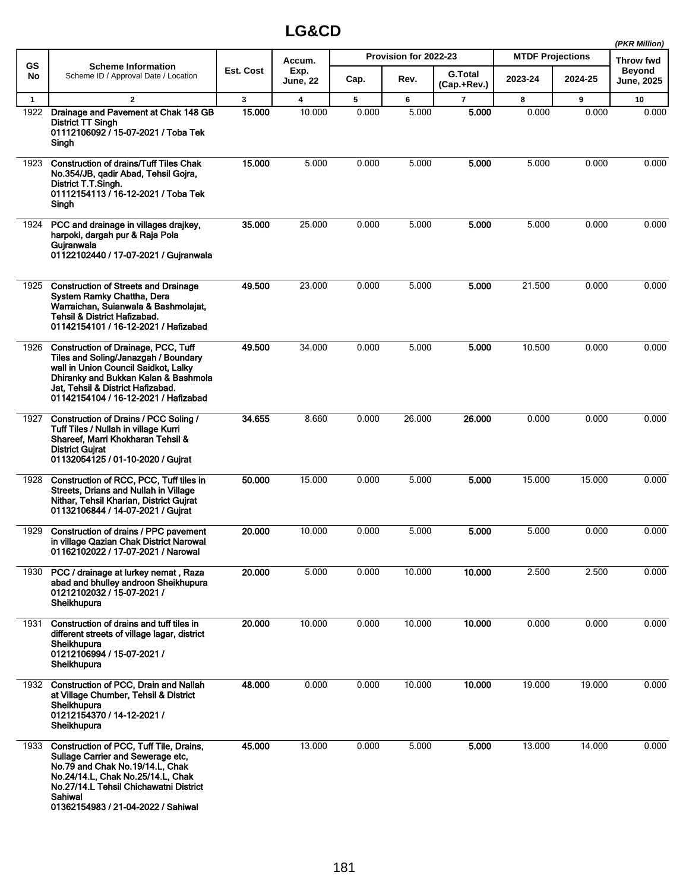|              |                                                                                                                                                                                                                                                 |              |                         |       |                       |                               |                         |         | (PKR Million)               |
|--------------|-------------------------------------------------------------------------------------------------------------------------------------------------------------------------------------------------------------------------------------------------|--------------|-------------------------|-------|-----------------------|-------------------------------|-------------------------|---------|-----------------------------|
| <b>GS</b>    | <b>Scheme Information</b>                                                                                                                                                                                                                       |              | Accum.                  |       | Provision for 2022-23 |                               | <b>MTDF Projections</b> |         | Throw fwd                   |
| No           | Scheme ID / Approval Date / Location                                                                                                                                                                                                            | Est. Cost    | Exp.<br><b>June, 22</b> | Cap.  | Rev.                  | <b>G.Total</b><br>(Cap.+Rev.) | 2023-24                 | 2024-25 | <b>Beyond</b><br>June, 2025 |
| $\mathbf{1}$ | $\overline{2}$                                                                                                                                                                                                                                  | $\mathbf{3}$ | 4                       | 5     | 6                     | $\overline{\phantom{a}}$      | 8                       | 9       | 10                          |
| 1922         | Drainage and Pavement at Chak 148 GB<br>District TT Singh<br>01112106092 / 15-07-2021 / Toba Tek<br>Singh                                                                                                                                       | 15.000       | 10.000                  | 0.000 | 5.000                 | 5.000                         | 0.000                   | 0.000   | 0.000                       |
| 1923         | <b>Construction of drains/Tuff Tiles Chak</b><br>No.354/JB, gadir Abad, Tehsil Gojra,<br>District T.T.Singh.<br>01112154113 / 16-12-2021 / Toba Tek<br>Singh                                                                                    | 15.000       | 5.000                   | 0.000 | 5.000                 | 5.000                         | 5.000                   | 0.000   | 0.000                       |
| 1924         | PCC and drainage in villages drajkey,<br>harpoki, dargah pur & Raja Pola<br>Guiranwala<br>01122102440 / 17-07-2021 / Gujranwala                                                                                                                 | 35.000       | 25.000                  | 0.000 | 5.000                 | 5.000                         | 5.000                   | 0.000   | 0.000                       |
| 1925         | <b>Construction of Streets and Drainage</b><br>System Ramky Chattha, Dera<br>Warraichan, Suianwala & Bashmolajat,<br>Tehsil & District Hafizabad.<br>01142154101 / 16-12-2021 / Hafizabad                                                       | 49.500       | 23.000                  | 0.000 | 5.000                 | 5.000                         | 21.500                  | 0.000   | 0.000                       |
| 1926         | Construction of Drainage, PCC, Tuff<br>Tiles and Soling/Janazgah / Boundary<br>wall in Union Council Saidkot, Lalky<br>Dhiranky and Bukkan Kalan & Bashmola<br>Jat, Tehsil & District Hafizabad.<br>01142154104 / 16-12-2021 / Hafizabad        | 49.500       | 34.000                  | 0.000 | 5.000                 | 5.000                         | 10.500                  | 0.000   | 0.000                       |
| 1927         | Construction of Drains / PCC Soling /<br>Tuff Tiles / Nullah in village Kurri<br>Shareef, Marri Khokharan Tehsil &<br><b>District Gujrat</b><br>01132054125 / 01-10-2020 / Gujrat                                                               | 34.655       | 8.660                   | 0.000 | 26.000                | 26.000                        | 0.000                   | 0.000   | 0.000                       |
| 1928         | Construction of RCC, PCC, Tuff tiles in<br>Streets, Drians and Nullah in Village<br>Nithar, Tehsil Kharian, District Gujrat<br>01132106844 / 14-07-2021 / Gujrat                                                                                | 50.000       | 15.000                  | 0.000 | 5.000                 | 5.000                         | 15.000                  | 15.000  | 0.000                       |
| 1929         | Construction of drains / PPC pavement<br>in village Qazian Chak District Narowal<br>01162102022 / 17-07-2021 / Narowal                                                                                                                          | 20.000       | 10.000                  | 0.000 | 5.000                 | 5.000                         | 5.000                   | 0.000   | 0.000                       |
| 1930         | PCC / drainage at lurkey nemat, Raza<br>abad and bhullev androon Sheikhupura<br>01212102032 / 15-07-2021 /<br>Sheikhupura                                                                                                                       | 20.000       | 5.000                   | 0.000 | 10.000                | 10.000                        | 2.500                   | 2.500   | 0.000                       |
| 1931         | Construction of drains and tuff tiles in<br>different streets of village lagar, district<br>Sheikhupura<br>01212106994 / 15-07-2021 /<br>Sheikhupura                                                                                            | 20.000       | 10.000                  | 0.000 | 10.000                | 10.000                        | 0.000                   | 0.000   | 0.000                       |
|              | 1932 Construction of PCC, Drain and Nallah<br>at Village Chumber, Tehsil & District<br>Sheikhupura<br>01212154370 / 14-12-2021 /<br>Sheikhupura                                                                                                 | 48.000       | 0.000                   | 0.000 | 10.000                | 10.000                        | 19.000                  | 19.000  | 0.000                       |
| 1933         | Construction of PCC, Tuff Tile, Drains,<br>Sullage Carrier and Sewerage etc,<br>No.79 and Chak No.19/14.L, Chak<br>No.24/14.L, Chak No.25/14.L, Chak<br>No.27/14.L Tehsil Chichawatni District<br>Sahiwal<br>01362154983 / 21-04-2022 / Sahiwal | 45.000       | 13.000                  | 0.000 | 5.000                 | 5.000                         | 13.000                  | 14.000  | 0.000                       |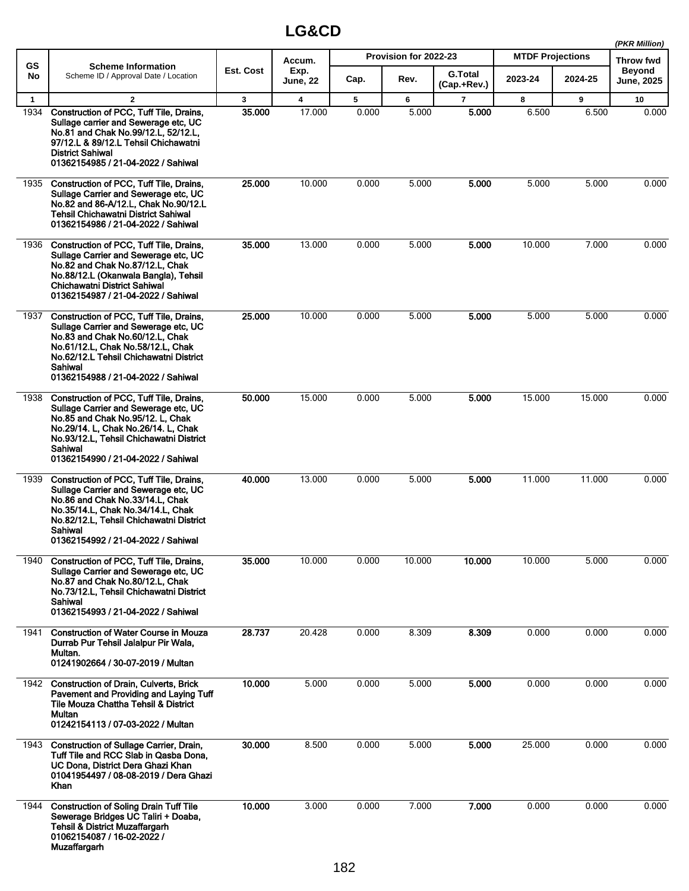|              |                                                                                                                                                                                                                                                        |              | (PKR Million)           |       |                       |                               |                         |         |                             |
|--------------|--------------------------------------------------------------------------------------------------------------------------------------------------------------------------------------------------------------------------------------------------------|--------------|-------------------------|-------|-----------------------|-------------------------------|-------------------------|---------|-----------------------------|
| <b>GS</b>    | <b>Scheme Information</b>                                                                                                                                                                                                                              |              | Accum.                  |       | Provision for 2022-23 |                               | <b>MTDF Projections</b> |         | Throw fwd                   |
| No           | Scheme ID / Approval Date / Location                                                                                                                                                                                                                   | Est. Cost    | Exp.<br><b>June, 22</b> | Cap.  | Rev.                  | <b>G.Total</b><br>(Cap.+Rev.) | 2023-24                 | 2024-25 | <b>Beyond</b><br>June, 2025 |
| $\mathbf{1}$ | $\mathbf{2}$                                                                                                                                                                                                                                           | $\mathbf{3}$ | 4                       | 5     | 6                     | $\overline{7}$                | 8                       | 9       | 10                          |
| 1934         | Construction of PCC, Tuff Tile, Drains,<br>Sullage carrier and Sewerage etc. UC<br>No.81 and Chak No.99/12.L, 52/12.L,<br>97/12.L & 89/12.L Tehsil Chichawatni<br><b>District Sahiwal</b><br>01362154985 / 21-04-2022 / Sahiwal                        | 35.000       | 17.000                  | 0.000 | 5.000                 | 5.000                         | 6.500                   | 6.500   | 0.000                       |
| 1935         | Construction of PCC, Tuff Tile, Drains,<br>Sullage Carrier and Sewerage etc, UC<br>No.82 and 86-A/12.L, Chak No.90/12.L<br><b>Tehsil Chichawatni District Sahiwal</b><br>01362154986 / 21-04-2022 / Sahiwal                                            | 25.000       | 10.000                  | 0.000 | 5.000                 | 5.000                         | 5.000                   | 5.000   | 0.000                       |
| 1936         | Construction of PCC, Tuff Tile, Drains,<br>Sullage Carrier and Sewerage etc, UC<br>No.82 and Chak No.87/12.L, Chak<br>No.88/12.L (Okanwala Bangla), Tehsil<br><b>Chichawatni District Sahiwal</b><br>01362154987 / 21-04-2022 / Sahiwal                | 35.000       | 13.000                  | 0.000 | 5.000                 | 5.000                         | 10.000                  | 7.000   | 0.000                       |
| 1937         | Construction of PCC, Tuff Tile, Drains,<br>Sullage Carrier and Sewerage etc. UC<br>No.83 and Chak No.60/12.L, Chak<br>No.61/12.L, Chak No.58/12.L, Chak<br>No.62/12.L Tehsil Chichawatni District<br>Sahiwal<br>01362154988 / 21-04-2022 / Sahiwal     | 25.000       | 10.000                  | 0.000 | 5.000                 | 5.000                         | 5.000                   | 5.000   | 0.000                       |
| 1938         | Construction of PCC, Tuff Tile, Drains,<br>Sullage Carrier and Sewerage etc, UC<br>No.85 and Chak No.95/12. L, Chak<br>No.29/14. L, Chak No.26/14. L, Chak<br>No.93/12.L, Tehsil Chichawatni District<br>Sahiwal<br>01362154990 / 21-04-2022 / Sahiwal | 50.000       | 15.000                  | 0.000 | 5.000                 | 5.000                         | 15.000                  | 15.000  | 0.000                       |
| 1939         | Construction of PCC, Tuff Tile, Drains,<br>Sullage Carrier and Sewerage etc. UC<br>No.86 and Chak No.33/14.L, Chak<br>No.35/14.L, Chak No.34/14.L, Chak<br>No.82/12.L, Tehsil Chichawatni District<br>Sahiwal<br>01362154992 / 21-04-2022 / Sahiwal    | 40.000       | 13.000                  | 0.000 | 5.000                 | 5.000                         | 11.000                  | 11.000  | 0.000                       |
| 1940         | Construction of PCC, Tuff Tile, Drains,<br>Sullage Carrier and Sewerage etc, UC<br>No.87 and Chak No.80/12.L, Chak<br>No.73/12.L, Tehsil Chichawatni District<br>Sahiwal<br>01362154993 / 21-04-2022 / Sahiwal                                         | 35.000       | 10.000                  | 0.000 | 10.000                | 10.000                        | 10.000                  | 5.000   | 0.000                       |
| 1941         | <b>Construction of Water Course in Mouza</b><br>Durrab Pur Tehsil Jalalpur Pir Wala,<br>Multan.<br>01241902664 / 30-07-2019 / Multan                                                                                                                   | 28.737       | 20.428                  | 0.000 | 8.309                 | 8.309                         | 0.000                   | 0.000   | 0.000                       |
| 1942         | <b>Construction of Drain, Culverts, Brick</b><br>Pavement and Providing and Laying Tuff<br>Tile Mouza Chattha Tehsil & District<br>Multan<br>01242154113 / 07-03-2022 / Multan                                                                         | 10.000       | 5.000                   | 0.000 | 5.000                 | 5.000                         | 0.000                   | 0.000   | 0.000                       |
| 1943         | Construction of Sullage Carrier, Drain,<br>Tuff Tile and RCC Slab in Qasba Dona,<br>UC Dona, District Dera Ghazi Khan<br>01041954497 / 08-08-2019 / Dera Ghazi<br>Khan                                                                                 | 30.000       | 8.500                   | 0.000 | 5.000                 | 5.000                         | 25.000                  | 0.000   | 0.000                       |
| 1944         | <b>Construction of Soling Drain Tuff Tile</b><br>Sewerage Bridges UC Taliri + Doaba,<br><b>Tehsil &amp; District Muzaffargarh</b><br>01062154087 / 16-02-2022 /<br>Muzaffargarh                                                                        | 10.000       | 3.000                   | 0.000 | 7.000                 | 7.000                         | 0.000                   | 0.000   | 0.000                       |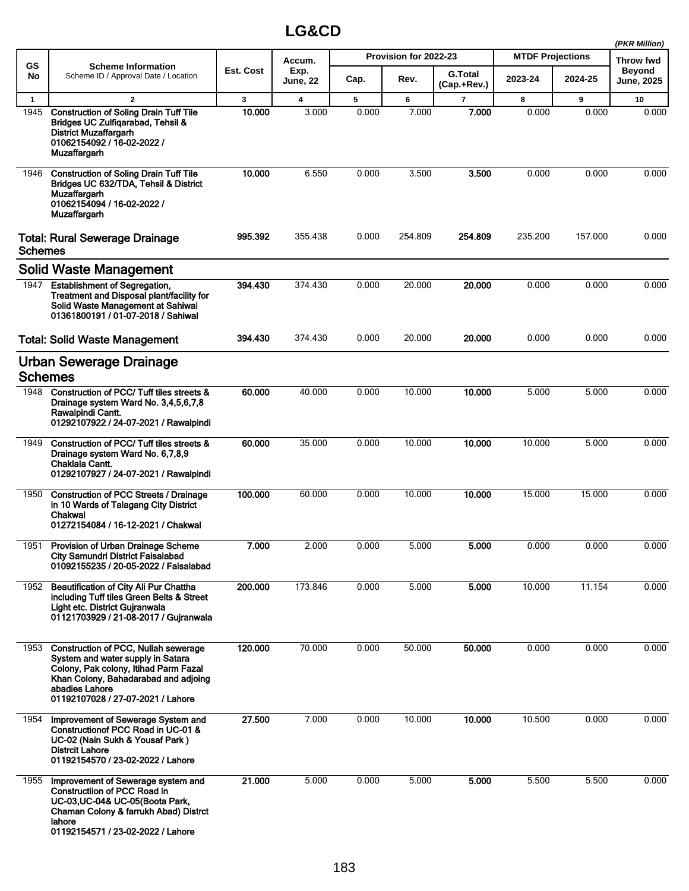|                |                                                                                                                                                                                                                   |           |                         |       |                       |                               |                         |         | (PKR Million)               |
|----------------|-------------------------------------------------------------------------------------------------------------------------------------------------------------------------------------------------------------------|-----------|-------------------------|-------|-----------------------|-------------------------------|-------------------------|---------|-----------------------------|
| GS             | <b>Scheme Information</b>                                                                                                                                                                                         |           | Accum.                  |       | Provision for 2022-23 |                               | <b>MTDF Projections</b> |         | Throw fwd                   |
| No             | Scheme ID / Approval Date / Location                                                                                                                                                                              | Est. Cost | Exp.<br><b>June, 22</b> | Cap.  | Rev.                  | <b>G.Total</b><br>(Cap.+Rev.) | 2023-24                 | 2024-25 | Beyond<br><b>June, 2025</b> |
| $\mathbf{1}$   | $\mathbf{2}$                                                                                                                                                                                                      | 3         | 4                       | 5     | 6                     | 7                             | 8                       | 9       | 10                          |
| 1945           | <b>Construction of Soling Drain Tuff Tile</b><br>Bridges UC Zulfiqarabad, Tehsil &<br>District Muzaffargarh<br>01062154092 / 16-02-2022 /<br>Muzaffargarh                                                         | 10.000    | 3.000                   | 0.000 | 7.000                 | 7.000                         | 0.000                   | 0.000   | 0.000                       |
| 1946           | <b>Construction of Soling Drain Tuff Tile</b><br>Bridges UC 632/TDA, Tehsil & District<br><b>Muzaffargarh</b><br>01062154094 / 16-02-2022 /<br>Muzaffargarh                                                       | 10.000    | 6.550                   | 0.000 | 3.500                 | 3.500                         | 0.000                   | 0.000   | 0.000                       |
| <b>Schemes</b> | <b>Total: Rural Sewerage Drainage</b>                                                                                                                                                                             | 995.392   | 355.438                 | 0.000 | 254.809               | 254.809                       | 235.200                 | 157.000 | 0.000                       |
|                | <b>Solid Waste Management</b>                                                                                                                                                                                     |           |                         |       |                       |                               |                         |         |                             |
| 1947           | <b>Establishment of Segregation,</b><br>Treatment and Disposal plant/facility for<br>Solid Waste Management at Sahiwal<br>01361800191 / 01-07-2018 / Sahiwal                                                      | 394.430   | 374.430                 | 0.000 | 20.000                | 20.000                        | 0.000                   | 0.000   | 0.000                       |
|                | <b>Total: Solid Waste Management</b>                                                                                                                                                                              | 394.430   | 374.430                 | 0.000 | 20.000                | 20.000                        | 0.000                   | 0.000   | 0.000                       |
|                | Urban Sewerage Drainage<br><b>Schemes</b>                                                                                                                                                                         |           |                         |       |                       |                               |                         |         |                             |
|                | 1948 Construction of PCC/Tuff tiles streets &<br>Drainage system Ward No. 3,4,5,6,7,8<br>Rawalpindi Cantt.<br>01292107922 / 24-07-2021 / Rawalpindi                                                               | 60.000    | 40.000                  | 0.000 | 10.000                | 10.000                        | 5.000                   | 5.000   | 0.000                       |
| 1949           | Construction of PCC/Tuff tiles streets &<br>Drainage system Ward No. 6,7,8,9<br>Chaklala Cantt.<br>01292107927 / 24-07-2021 / Rawalpindi                                                                          | 60.000    | 35.000                  | 0.000 | 10.000                | 10.000                        | 10.000                  | 5.000   | 0.000                       |
| 1950           | <b>Construction of PCC Streets / Drainage</b><br>in 10 Wards of Talagang City District<br>Chakwal<br>01272154084 / 16-12-2021 / Chakwal                                                                           | 100.000   | 60.000                  | 0.000 | 10.000                | 10.000                        | 15.000                  | 15.000  | 0.000                       |
|                | 1951 Provision of Urban Drainage Scheme<br>City Samundri District Faisalabad<br>01092155235 / 20-05-2022 / Faisalabad                                                                                             | 7.000     | 2.000                   | 0.000 | 5.000                 | 5.000                         | 0.000                   | 0.000   | 0.000                       |
| 1952           | Beautification of City Ali Pur Chattha<br>including Tuff tiles Green Belts & Street<br>Light etc. District Gujranwala<br>01121703929 / 21-08-2017 / Gujranwala                                                    | 200.000   | 173.846                 | 0.000 | 5.000                 | 5.000                         | 10.000                  | 11.154  | 0.000                       |
| 1953           | Construction of PCC, Nullah sewerage<br>System and water supply in Satara<br>Colony, Pak colony, Itihad Parm Fazal<br>Khan Colony, Bahadarabad and adjoing<br>abadies Lahore<br>01192107028 / 27-07-2021 / Lahore | 120.000   | 70.000                  | 0.000 | 50.000                | 50.000                        | 0.000                   | 0.000   | 0.000                       |
| 1954           | Improvement of Sewerage System and<br>Construction of PCC Road in UC-01 &<br>UC-02 (Nain Sukh & Yousaf Park)<br><b>Distrcit Lahore</b><br>01192154570 / 23-02-2022 / Lahore                                       | 27.500    | 7.000                   | 0.000 | 10.000                | 10.000                        | 10.500                  | 0.000   | 0.000                       |
| 1955           | Improvement of Sewerage system and<br><b>Constructiion of PCC Road in</b><br>UC-03, UC-04& UC-05(Boota Park,<br>Chaman Colony & farrukh Abad) Distrct<br>lahore<br>01192154571 / 23-02-2022 / Lahore              | 21.000    | 5.000                   | 0.000 | 5.000                 | 5.000                         | 5.500                   | 5.500   | 0.000                       |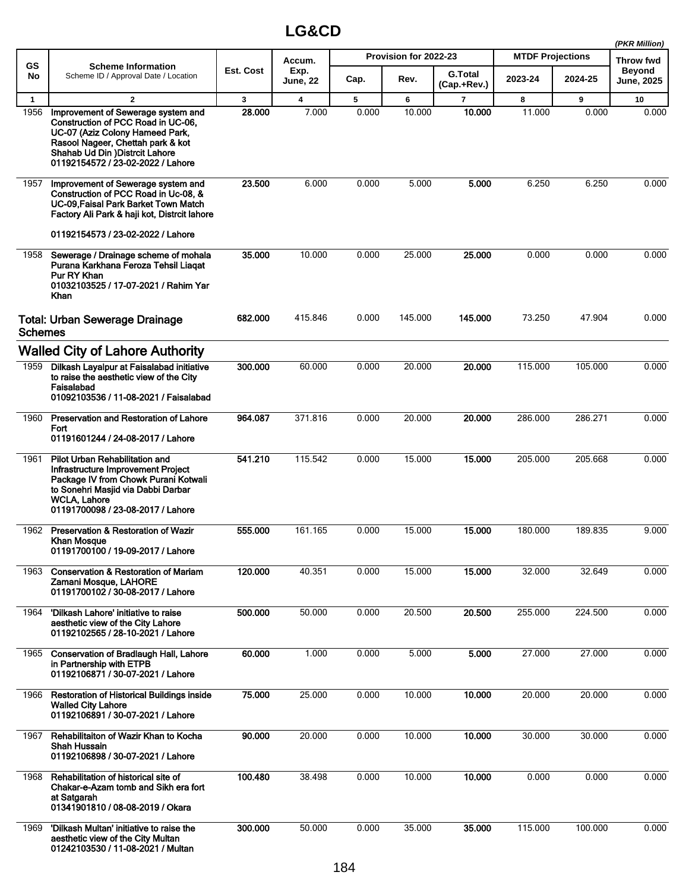|                |                                                                                                                                                                                                                          |           |                         |       |                       |                               |                         |         | (PKR Million)               |
|----------------|--------------------------------------------------------------------------------------------------------------------------------------------------------------------------------------------------------------------------|-----------|-------------------------|-------|-----------------------|-------------------------------|-------------------------|---------|-----------------------------|
| <b>GS</b>      | <b>Scheme Information</b>                                                                                                                                                                                                |           | Accum.                  |       | Provision for 2022-23 |                               | <b>MTDF Projections</b> |         | <b>Throw fwd</b>            |
| No             | Scheme ID / Approval Date / Location                                                                                                                                                                                     | Est. Cost | Exp.<br><b>June, 22</b> | Cap.  | Rev.                  | <b>G.Total</b><br>(Cap.+Rev.) | 2023-24                 | 2024-25 | <b>Beyond</b><br>June, 2025 |
| $\mathbf{1}$   | $\mathbf{2}$                                                                                                                                                                                                             | 3         | 4                       | 5     | 6                     | 7                             | 8                       | 9       | 10                          |
| 1956           | Improvement of Sewerage system and<br>Construction of PCC Road in UC-06,<br>UC-07 (Aziz Colony Hameed Park,<br>Rasool Nageer, Chettah park & kot<br>Shahab Ud Din ) Distrcit Lahore<br>01192154572 / 23-02-2022 / Lahore | 28.000    | 7.000                   | 0.000 | 10.000                | 10.000                        | 11.000                  | 0.000   | 0.000                       |
| 1957           | Improvement of Sewerage system and<br>Construction of PCC Road in Uc-08, &<br>UC-09 Faisal Park Barket Town Match<br>Factory Ali Park & haji kot, Distrcit lahore                                                        | 23.500    | 6.000                   | 0.000 | 5.000                 | 5.000                         | 6.250                   | 6.250   | 0.000                       |
|                | 01192154573 / 23-02-2022 / Lahore                                                                                                                                                                                        |           |                         |       |                       |                               |                         |         |                             |
| 1958           | Sewerage / Drainage scheme of mohala<br>Purana Karkhana Feroza Tehsil Liaqat<br>Pur RY Khan<br>01032103525 / 17-07-2021 / Rahim Yar<br>Khan                                                                              | 35.000    | 10.000                  | 0.000 | 25.000                | 25.000                        | 0.000                   | 0.000   | 0.000                       |
| <b>Schemes</b> | <b>Total: Urban Sewerage Drainage</b>                                                                                                                                                                                    | 682.000   | 415.846                 | 0.000 | 145.000               | 145.000                       | 73.250                  | 47.904  | 0.000                       |
|                | <b>Walled City of Lahore Authority</b>                                                                                                                                                                                   |           |                         |       |                       |                               |                         |         |                             |
| 1959           | Dilkash Layalpur at Faisalabad initiative<br>to raise the aesthetic view of the City<br>Faisalabad<br>01092103536 / 11-08-2021 / Faisalabad                                                                              | 300.000   | 60.000                  | 0.000 | 20.000                | 20.000                        | 115.000                 | 105.000 | 0.000                       |
| 1960           | Preservation and Restoration of Lahore<br>Fort<br>01191601244 / 24-08-2017 / Lahore                                                                                                                                      | 964.087   | 371.816                 | 0.000 | 20.000                | 20,000                        | 286.000                 | 286.271 | 0.000                       |
| 1961           | Pilot Urban Rehabilitation and<br>Infrastructure Improvement Project<br>Package IV from Chowk Purani Kotwali<br>to Sonehri Masjid via Dabbi Darbar<br><b>WCLA, Lahore</b><br>01191700098 / 23-08-2017 / Lahore           | 541 210   | 115.542                 | 0.000 | 15.000                | 15,000                        | 205.000                 | 205.668 | 0.000                       |
| 1962           | Preservation & Restoration of Wazir<br><b>Khan Mosque</b><br>01191700100 / 19-09-2017 / Lahore                                                                                                                           | 555.000   | 161.165                 | 0.000 | 15.000                | 15.000                        | 180.000                 | 189.835 | 9.000                       |
| 1963           | <b>Conservation &amp; Restoration of Mariam</b><br>Zamani Mosque, LAHORE<br>01191700102 / 30-08-2017 / Lahore                                                                                                            | 120.000   | 40.351                  | 0.000 | 15.000                | 15.000                        | 32.000                  | 32.649  | 0.000                       |
| 1964           | 'Dilkash Lahore' initiative to raise<br>aesthetic view of the City Lahore<br>01192102565 / 28-10-2021 / Lahore                                                                                                           | 500.000   | 50.000                  | 0.000 | 20.500                | 20.500                        | 255.000                 | 224.500 | 0.000                       |
|                | 1965 Conservation of Bradlaugh Hall, Lahore<br>in Partnership with ETPB<br>01192106871 / 30-07-2021 / Lahore                                                                                                             | 60.000    | 1.000                   | 0.000 | 5.000                 | 5.000                         | 27.000                  | 27.000  | 0.000                       |
| 1966           | <b>Restoration of Historical Buildings inside</b><br><b>Walled City Lahore</b><br>01192106891 / 30-07-2021 / Lahore                                                                                                      | 75.000    | 25.000                  | 0.000 | 10.000                | 10.000                        | 20.000                  | 20.000  | 0.000                       |
| 1967           | Rehabilitaiton of Wazir Khan to Kocha<br>Shah Hussain<br>01192106898 / 30-07-2021 / Lahore                                                                                                                               | 90.000    | 20.000                  | 0.000 | 10.000                | 10.000                        | 30.000                  | 30.000  | 0.000                       |
| 1968           | Rehabilitation of historical site of<br>Chakar-e-Azam tomb and Sikh era fort<br>at Satgarah<br>01341901810 / 08-08-2019 / Okara                                                                                          | 100.480   | 38.498                  | 0.000 | 10.000                | 10.000                        | 0.000                   | 0.000   | 0.000                       |
| 1969           | 'Dilkash Multan' initiative to raise the<br>aesthetic view of the City Multan<br>01242103530 / 11-08-2021 / Multan                                                                                                       | 300.000   | 50.000                  | 0.000 | 35.000                | 35.000                        | 115.000                 | 100.000 | 0.000                       |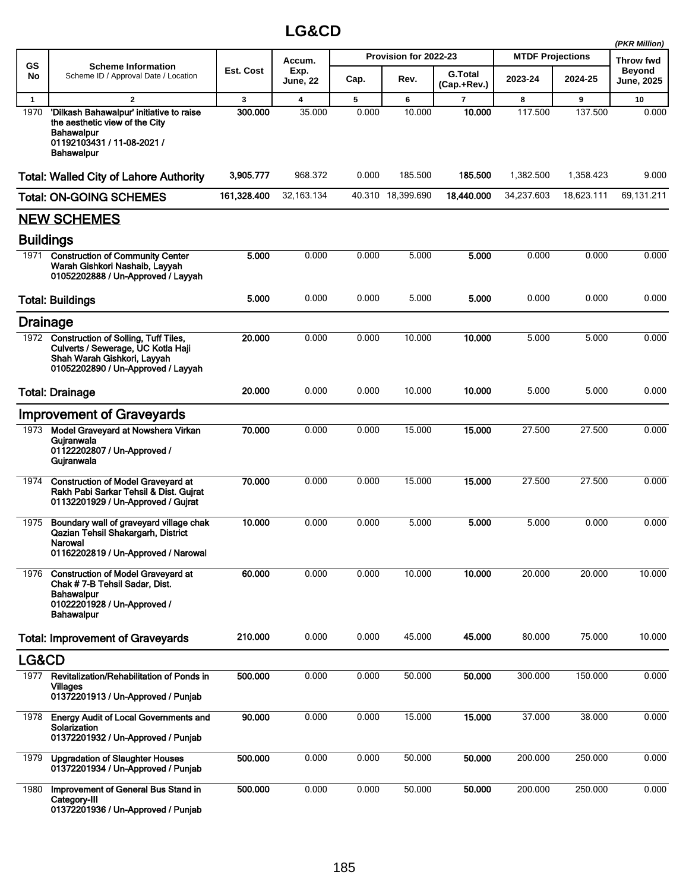|                  |                                                                                                                                                      |             |                  |       |                       |                               |                         |            | (PKR Million)                      |
|------------------|------------------------------------------------------------------------------------------------------------------------------------------------------|-------------|------------------|-------|-----------------------|-------------------------------|-------------------------|------------|------------------------------------|
| <b>GS</b>        | <b>Scheme Information</b>                                                                                                                            |             | Accum.           |       | Provision for 2022-23 |                               | <b>MTDF Projections</b> |            | <b>Throw fwd</b>                   |
| No               | Scheme ID / Approval Date / Location                                                                                                                 | Est. Cost   | Exp.<br>June, 22 | Cap.  | Rev.                  | <b>G.Total</b><br>(Cap.+Rev.) | 2023-24                 | 2024-25    | <b>Beyond</b><br><b>June, 2025</b> |
| $\mathbf{1}$     | $\mathbf{2}$                                                                                                                                         | 3           | 4                | 5     | 6                     | 7                             | 8                       | 9          | 10                                 |
| 1970             | 'Dilkash Bahawalpur' initiative to raise<br>the aesthetic view of the City<br><b>Bahawalpur</b><br>01192103431 / 11-08-2021 /<br>Bahawalpur          | 300.000     | 35.000           | 0.000 | 10.000                | 10.000                        | 117.500                 | 137.500    | 0.000                              |
|                  | <b>Total: Walled City of Lahore Authority</b>                                                                                                        | 3,905,777   | 968.372          | 0.000 | 185.500               | 185.500                       | 1.382.500               | 1,358.423  | 9.000                              |
|                  | <b>Total: ON-GOING SCHEMES</b>                                                                                                                       | 161,328.400 | 32, 163. 134     |       | 40.310 18,399.690     | 18,440.000                    | 34,237.603              | 18,623.111 | 69,131.211                         |
|                  | <b>NEW SCHEMES</b>                                                                                                                                   |             |                  |       |                       |                               |                         |            |                                    |
| <b>Buildings</b> |                                                                                                                                                      |             |                  |       |                       |                               |                         |            |                                    |
| 1971             | <b>Construction of Community Center</b><br>Warah Gishkori Nashaib, Layyah<br>01052202888 / Un-Approved / Layyah                                      | 5.000       | 0.000            | 0.000 | 5.000                 | 5.000                         | 0.000                   | 0.000      | 0.000                              |
|                  | <b>Total: Buildings</b>                                                                                                                              | 5.000       | 0.000            | 0.000 | 5.000                 | 5.000                         | 0.000                   | 0.000      | 0.000                              |
|                  | <b>Drainage</b>                                                                                                                                      |             |                  |       |                       |                               |                         |            |                                    |
|                  | 1972 Construction of Solling, Tuff Tiles,<br>Culverts / Sewerage, UC Kotla Haji<br>Shah Warah Gishkori, Layyah<br>01052202890 / Un-Approved / Layyah | 20.000      | 0.000            | 0.000 | 10.000                | 10.000                        | 5.000                   | 5.000      | 0.000                              |
|                  | <b>Total: Drainage</b>                                                                                                                               | 20.000      | 0.000            | 0.000 | 10.000                | 10.000                        | 5.000                   | 5.000      | 0.000                              |
|                  | <b>Improvement of Graveyards</b>                                                                                                                     |             |                  |       |                       |                               |                         |            |                                    |
| 1973             | Model Graveyard at Nowshera Virkan<br>Gujranwala<br>01122202807 / Un-Approved /<br>Gujranwala                                                        | 70.000      | 0.000            | 0.000 | 15.000                | 15,000                        | 27.500                  | 27.500     | 0.000                              |
|                  | 1974 Construction of Model Graveyard at<br>Rakh Pabi Sarkar Tehsil & Dist. Guirat<br>01132201929 / Un-Approved / Gujrat                              | 70.000      | 0.000            | 0.000 | 15.000                | 15.000                        | 27.500                  | 27.500     | 0.000                              |
| 1975             | Boundary wall of graveyard village chak<br>Qazian Tehsil Shakargarh, District<br>Narowal<br>01162202819 / Un-Approved / Narowal                      | 10.000      | 0.000            | 0.000 | 5.000                 | 5.000                         | 5.000                   | 0.000      | 0.000                              |
| 1976             | <b>Construction of Model Graveyard at</b><br>Chak #7-B Tehsil Sadar, Dist.<br><b>Bahawalpur</b><br>01022201928 / Un-Approved /<br><b>Bahawalpur</b>  | 60.000      | 0.000            | 0.000 | 10.000                | 10.000                        | 20.000                  | 20.000     | 10.000                             |
|                  | <b>Total: Improvement of Graveyards</b>                                                                                                              | 210.000     | 0.000            | 0.000 | 45.000                | 45.000                        | 80.000                  | 75.000     | 10.000                             |
| LG&CD            |                                                                                                                                                      |             |                  |       |                       |                               |                         |            |                                    |
| 1977             | Revitalization/Rehabilitation of Ponds in<br><b>Villages</b><br>01372201913 / Un-Approved / Punjab                                                   | 500.000     | 0.000            | 0.000 | 50.000                | 50.000                        | 300.000                 | 150.000    | 0.000                              |
| 1978             | <b>Energy Audit of Local Governments and</b><br>Solarization<br>01372201932 / Un-Approved / Punjab                                                   | 90.000      | 0.000            | 0.000 | 15.000                | 15.000                        | 37.000                  | 38.000     | 0.000                              |
| 1979             | <b>Upgradation of Slaughter Houses</b><br>01372201934 / Un-Approved / Punjab                                                                         | 500.000     | 0.000            | 0.000 | 50.000                | 50.000                        | 200.000                 | 250.000    | 0.000                              |
| 1980             | Improvement of General Bus Stand in<br>Category-III<br>01372201936 / Un-Approved / Punjab                                                            | 500.000     | 0.000            | 0.000 | 50.000                | 50.000                        | 200.000                 | 250.000    | 0.000                              |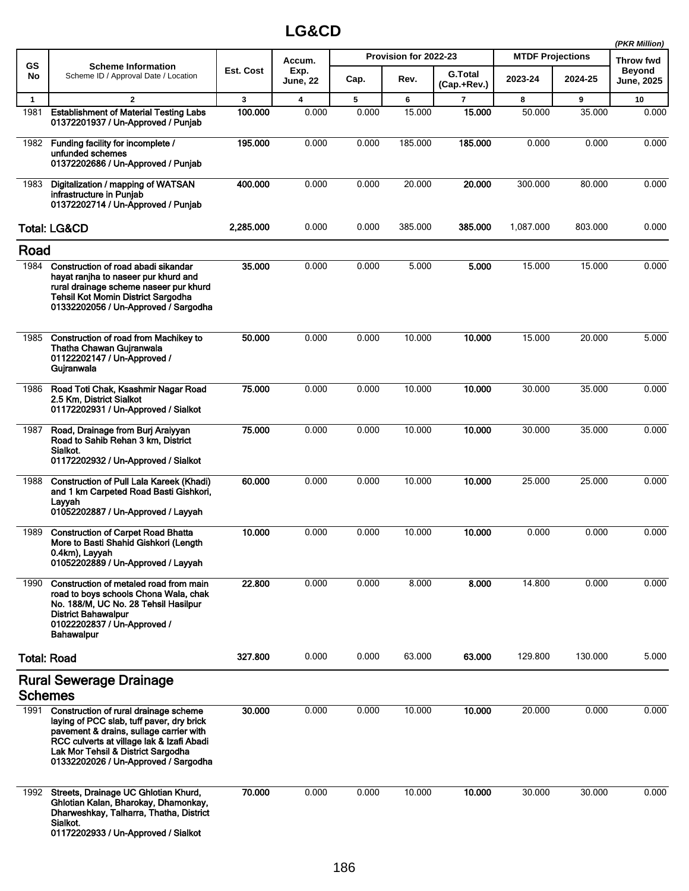|              |                                                                                                                                                                                                                                                          |           |                         |       |                       |                               |                         |         | (PKR Million)                      |
|--------------|----------------------------------------------------------------------------------------------------------------------------------------------------------------------------------------------------------------------------------------------------------|-----------|-------------------------|-------|-----------------------|-------------------------------|-------------------------|---------|------------------------------------|
| <b>GS</b>    | <b>Scheme Information</b>                                                                                                                                                                                                                                |           | Accum.                  |       | Provision for 2022-23 |                               | <b>MTDF Projections</b> |         | Throw fwd                          |
| No           | Scheme ID / Approval Date / Location                                                                                                                                                                                                                     | Est. Cost | Exp.<br><b>June, 22</b> | Cap.  | Rev.                  | <b>G.Total</b><br>(Cap.+Rev.) | 2023-24                 | 2024-25 | <b>Beyond</b><br><b>June, 2025</b> |
| $\mathbf{1}$ | $\overline{2}$                                                                                                                                                                                                                                           | 3         | $\overline{\mathbf{4}}$ | 5     | 6                     | $\overline{7}$                | 8                       | 9       | 10                                 |
| 1981         | <b>Establishment of Material Testing Labs</b><br>01372201937 / Un-Approved / Punjab                                                                                                                                                                      | 100.000   | 0.000                   | 0.000 | 15.000                | 15.000                        | 50.000                  | 35.000  | 0.000                              |
|              | 1982 Funding facility for incomplete /<br>unfunded schemes<br>01372202686 / Un-Approved / Punjab                                                                                                                                                         | 195.000   | 0.000                   | 0.000 | 185.000               | 185.000                       | 0.000                   | 0.000   | 0.000                              |
| 1983         | Digitalization / mapping of WATSAN<br>infrastructure in Punjab<br>01372202714 / Un-Approved / Punjab                                                                                                                                                     | 400.000   | 0.000                   | 0.000 | 20.000                | 20.000                        | 300.000                 | 80.000  | 0.000                              |
|              | <b>Total: LG&amp;CD</b>                                                                                                                                                                                                                                  | 2,285.000 | 0.000                   | 0.000 | 385.000               | 385.000                       | 1,087.000               | 803.000 | 0.000                              |
| Road         |                                                                                                                                                                                                                                                          |           |                         |       |                       |                               |                         |         |                                    |
| 1984         | Construction of road abadi sikandar<br>hayat ranjha to naseer pur khurd and<br>rural drainage scheme naseer pur khurd<br><b>Tehsil Kot Momin District Sargodha</b><br>01332202056 / Un-Approved / Sargodha                                               | 35.000    | 0.000                   | 0.000 | 5.000                 | 5.000                         | 15.000                  | 15.000  | 0.000                              |
| 1985         | Construction of road from Machikey to<br>Thatha Chawan Gujranwala<br>01122202147 / Un-Approved /<br>Gujranwala                                                                                                                                           | 50.000    | 0.000                   | 0.000 | 10.000                | 10.000                        | 15.000                  | 20.000  | 5.000                              |
| 1986         | Road Toti Chak, Ksashmir Nagar Road<br>2.5 Km, District Sialkot<br>01172202931 / Un-Approved / Sialkot                                                                                                                                                   | 75.000    | 0.000                   | 0.000 | 10.000                | 10.000                        | 30.000                  | 35.000  | 0.000                              |
| 1987         | Road, Drainage from Burj Araiyyan<br>Road to Sahib Rehan 3 km, District<br>Sialkot.<br>01172202932 / Un-Approved / Sialkot                                                                                                                               | 75.000    | 0.000                   | 0.000 | 10.000                | 10.000                        | 30.000                  | 35.000  | 0.000                              |
| 1988         | <b>Construction of Pull Lala Kareek (Khadi)</b><br>and 1 km Carpeted Road Basti Gishkori,<br>Layyah<br>01052202887 / Un-Approved / Layyah                                                                                                                | 60.000    | 0.000                   | 0.000 | 10.000                | 10.000                        | 25.000                  | 25.000  | 0.000                              |
| 1989         | <b>Construction of Carpet Road Bhatta</b><br>More to Basti Shahid Gishkori (Length<br>0.4km), Layyah<br>01052202889 / Un-Approved / Layyah                                                                                                               | 10.000    | 0.000                   | 0.000 | 10.000                | 10.000                        | 0.000                   | 0.000   | 0.000                              |
| 1990         | Construction of metaled road from main<br>road to boys schools Chona Wala, chak<br>No. 188/M, UC No. 28 Tehsil Hasilpur<br><b>District Bahawalpur</b><br>01022202837 / Un-Approved /<br><b>Bahawalpur</b>                                                | 22.800    | 0.000                   | 0.000 | 8.000                 | 8.000                         | 14.800                  | 0.000   | 0.000                              |
|              | <b>Total: Road</b>                                                                                                                                                                                                                                       | 327.800   | 0.000                   | 0.000 | 63.000                | 63.000                        | 129.800                 | 130.000 | 5.000                              |
|              | <b>Rural Sewerage Drainage</b><br><b>Schemes</b>                                                                                                                                                                                                         |           |                         |       |                       |                               |                         |         |                                    |
| 1991         | Construction of rural drainage scheme<br>laying of PCC slab, tuff paver, dry brick<br>pavement & drains, sullage carrier with<br>RCC culverts at village lak & Izafi Abadi<br>Lak Mor Tehsil & District Sargodha<br>01332202026 / Un-Approved / Sargodha | 30.000    | 0.000                   | 0.000 | 10.000                | 10.000                        | 20.000                  | 0.000   | 0.000                              |
| 1992         | Streets, Drainage UC Ghlotian Khurd,<br>Ghlotian Kalan, Bharokay, Dhamonkay,<br>Dharweshkay, Talharra, Thatha, District<br>Sialkot.<br>01172202933 / Un-Approved / Sialkot                                                                               | 70.000    | 0.000                   | 0.000 | 10.000                | 10.000                        | 30.000                  | 30.000  | 0.000                              |